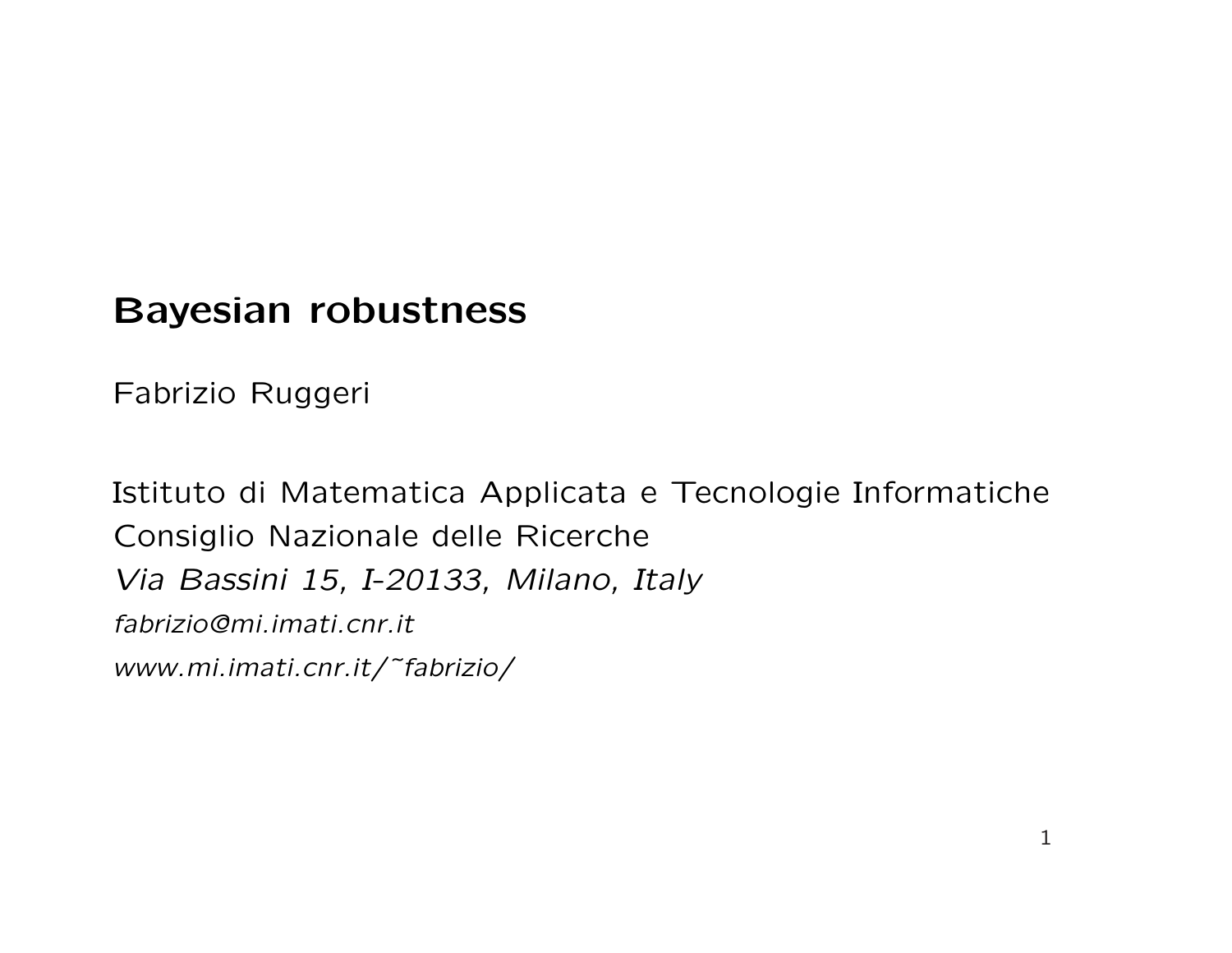### Bayesian robustness

Fabrizio Ruggeri

Istituto di Matematica Applicata e Tecnologie Informatiche Consiglio Nazionale delle Ricerche Via Bassini 15, I-20133, Milano, Italy fabrizio@mi.imati.cnr.it www.mi.imati.cnr.it/˜fabrizio/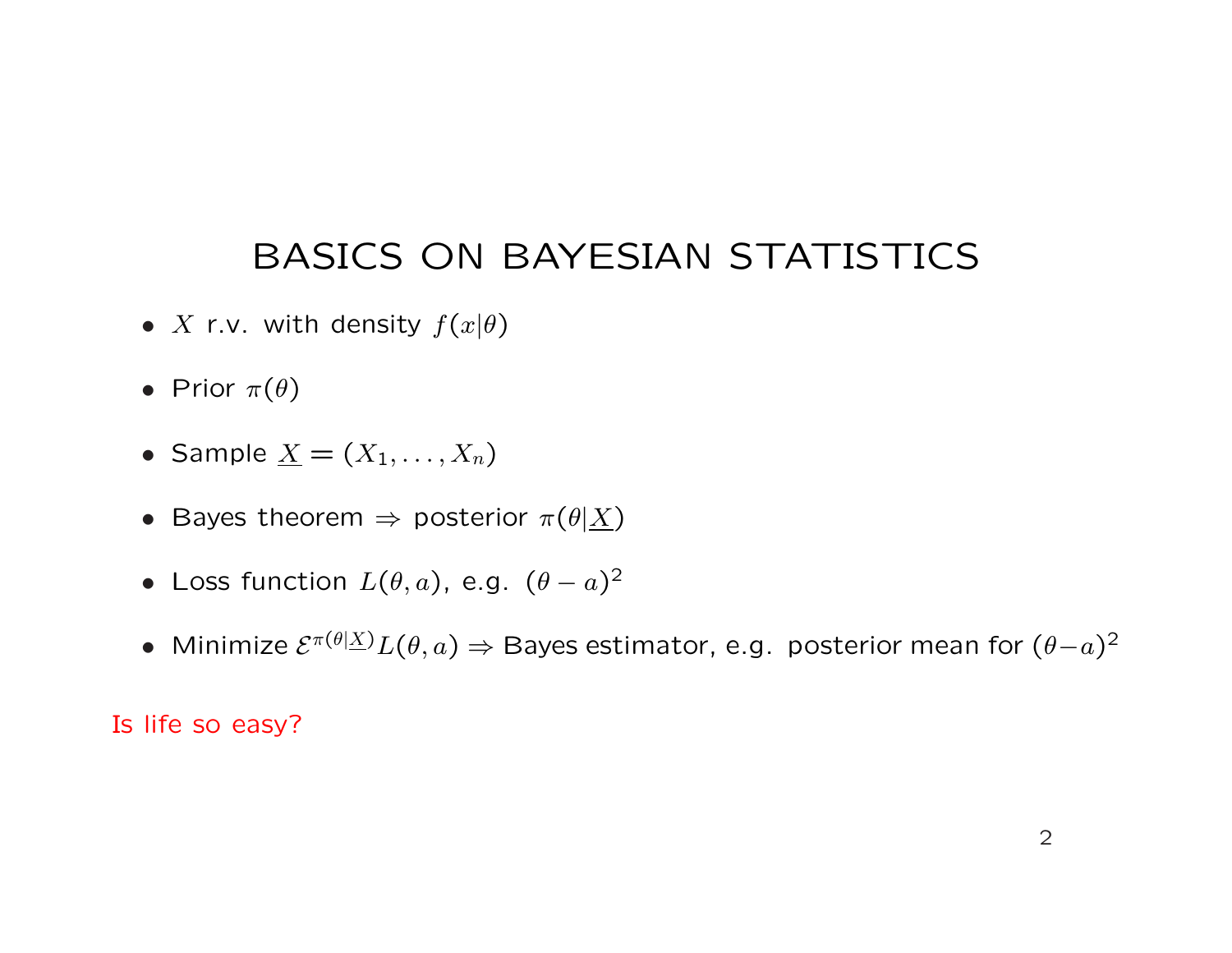## BASICS ON BAYESIAN STATISTICS

- X r.v. with density  $f(x|\theta)$
- Prior  $\pi(\theta)$
- Sample  $\underline{X} = (X_1, \ldots, X_n)$
- Bayes theorem  $\Rightarrow$  posterior  $\pi(\theta|\underline{X})$
- Loss function  $L(\theta, a)$ , e.g.  $(\theta a)^2$
- Minimize  $\mathcal{E}^{\pi(\theta|\underline{X})}L(\theta,a) \Rightarrow$  Bayes estimator, e.g. posterior mean for  $(\theta{-}a)^2$

#### Is life so easy?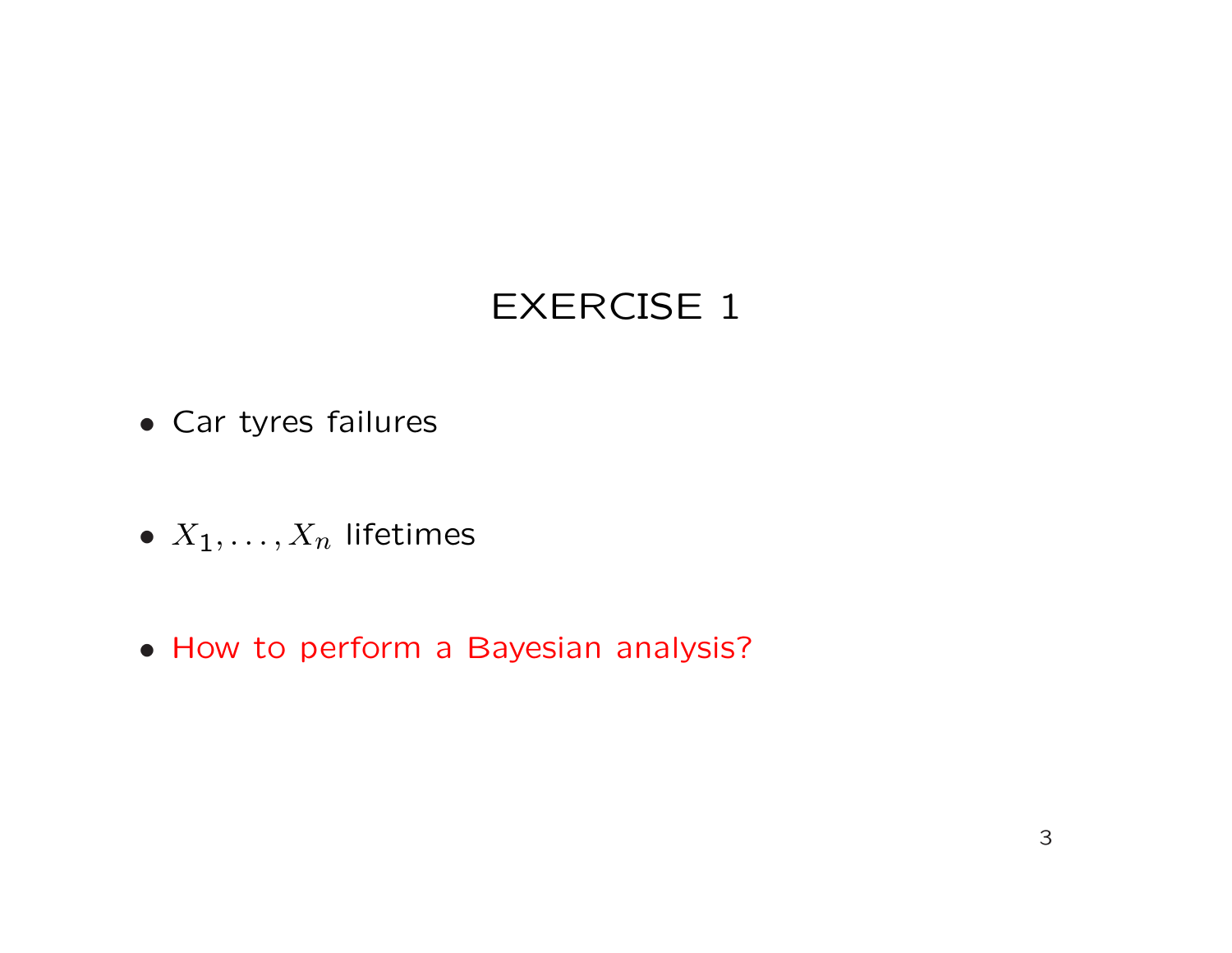## EXERCISE 1

- Car tyres failures
- $X_1, \ldots, X_n$  lifetimes
- How to perform a Bayesian analysis?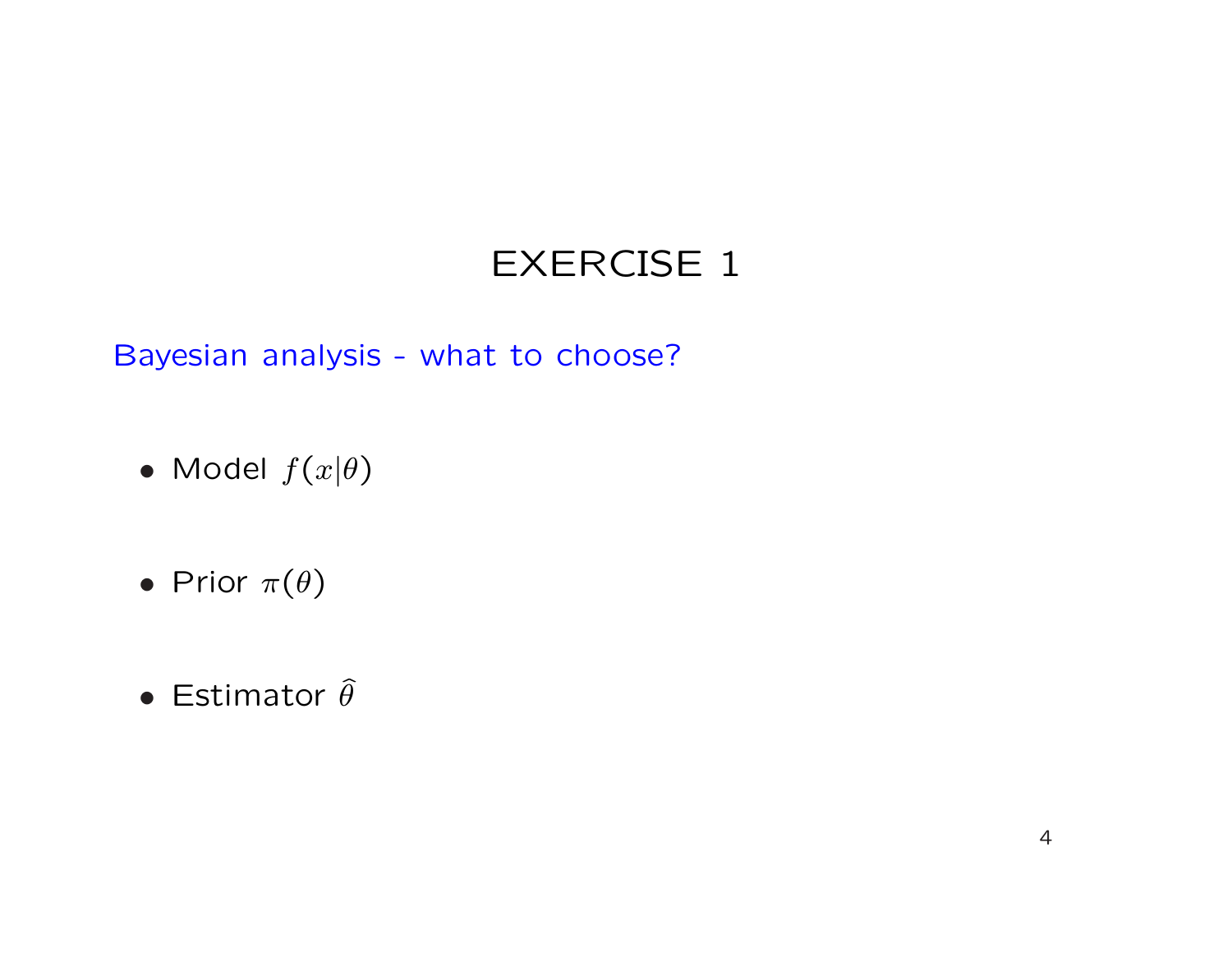## EXERCISE 1

Bayesian analysis - what to choose?

- Model  $f(x|\theta)$
- Prior  $\pi(\theta)$
- Estimator  $\widehat{\theta}$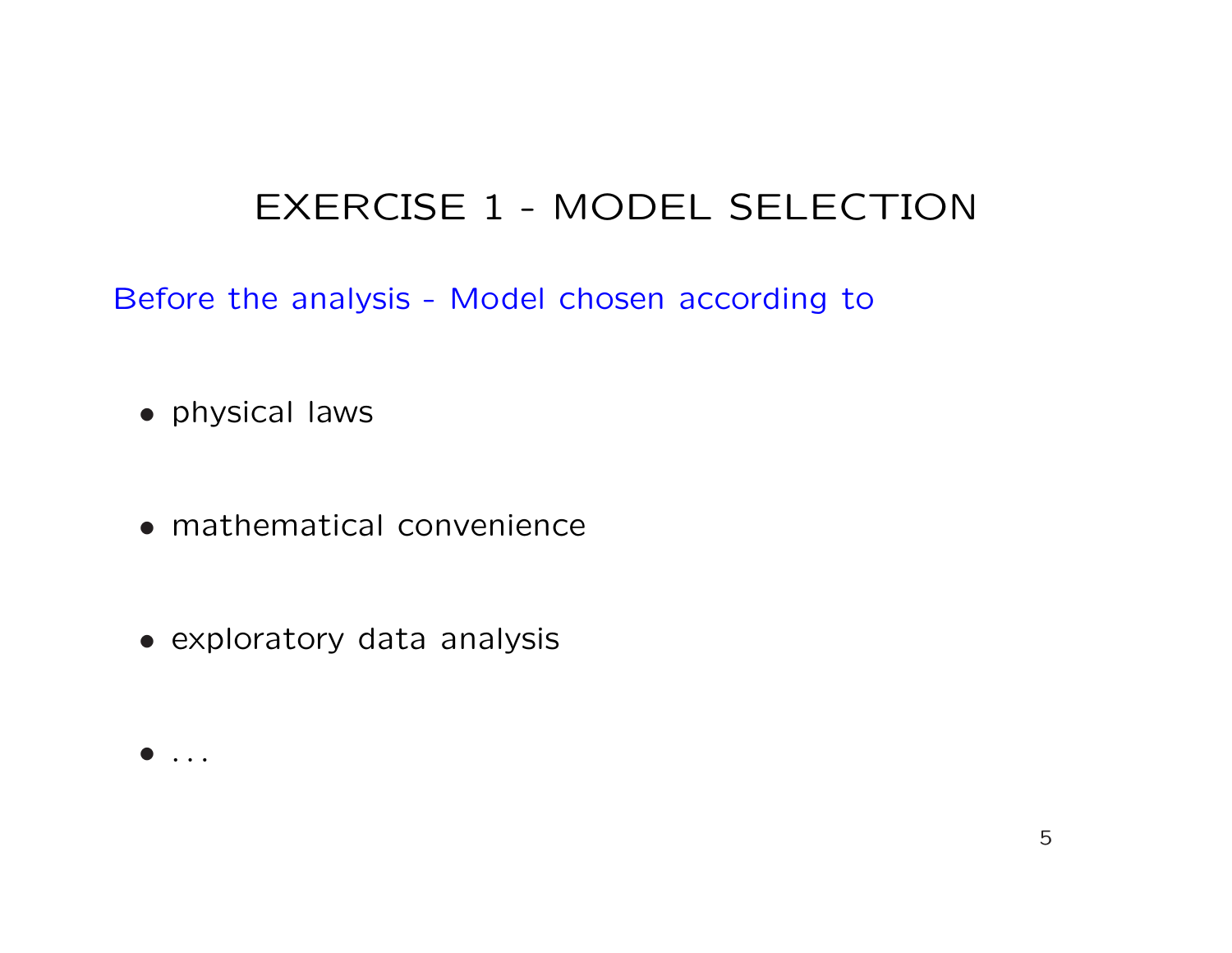Before the analysis - Model chosen according to

- physical laws
- mathematical convenience
- exploratory data analysis

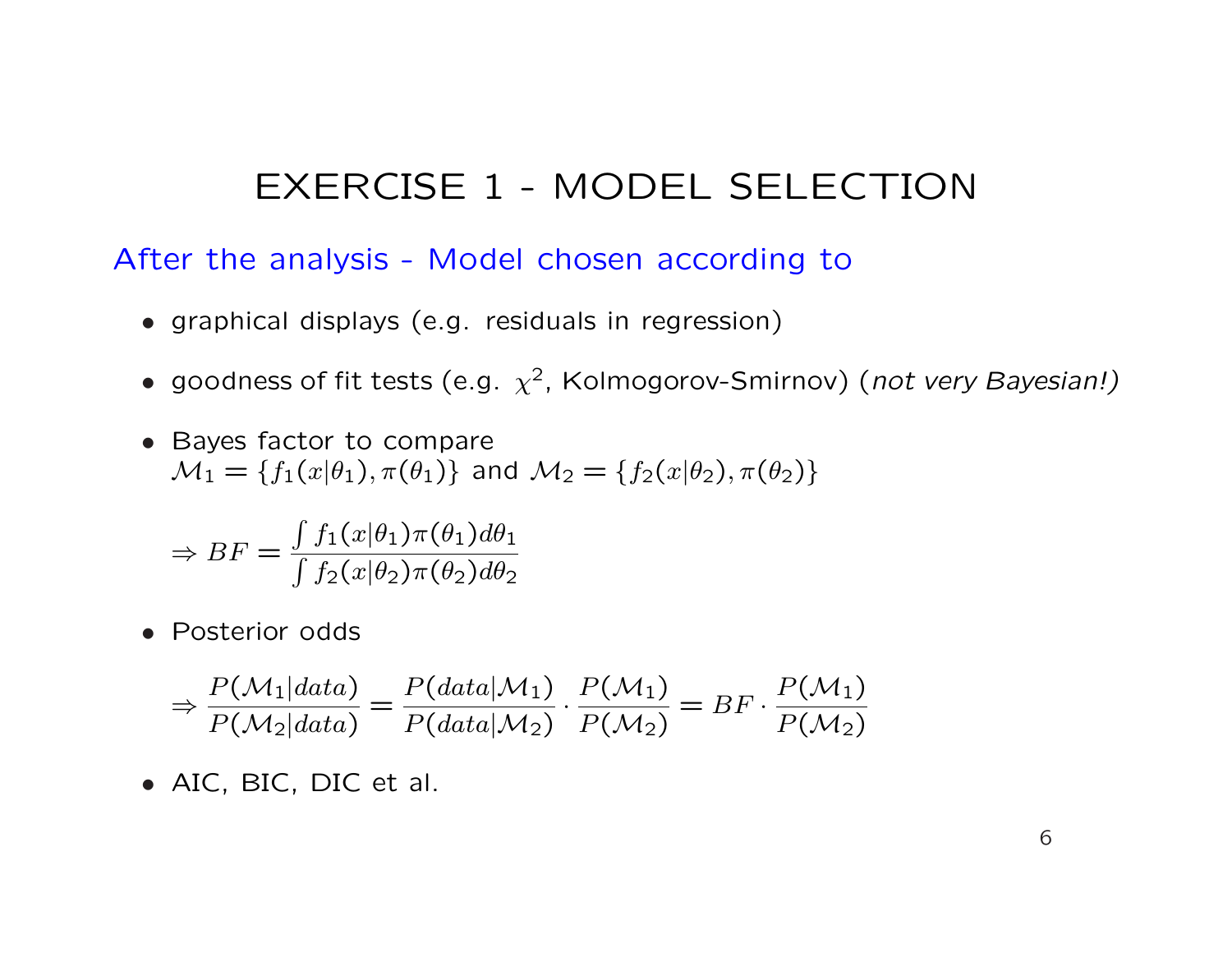After the analysis - Model chosen according to

- graphical displays (e.g. residuals in regression)
- goodness of fit tests (e.g.  $\chi^2$ , Kolmogorov-Smirnov) (not very Bayesian!)
- Bayes factor to compare  $\mathcal{M}_1 = \{f_1(x|\theta_1), \pi(\theta_1)\}\$ and  $\mathcal{M}_2 = \{f_2(x|\theta_2), \pi(\theta_2)\}\$

$$
\Rightarrow BF = \frac{\int f_1(x|\theta_1)\pi(\theta_1)d\theta_1}{\int f_2(x|\theta_2)\pi(\theta_2)d\theta_2}
$$

• Posterior odds

$$
\Rightarrow \frac{P(\mathcal{M}_1|data)}{P(\mathcal{M}_2|data)} = \frac{P(data|\mathcal{M}_1)}{P(data|\mathcal{M}_2)} \cdot \frac{P(\mathcal{M}_1)}{P(\mathcal{M}_2)} = BF \cdot \frac{P(\mathcal{M}_1)}{P(\mathcal{M}_2)}
$$

• AIC, BIC, DIC et al.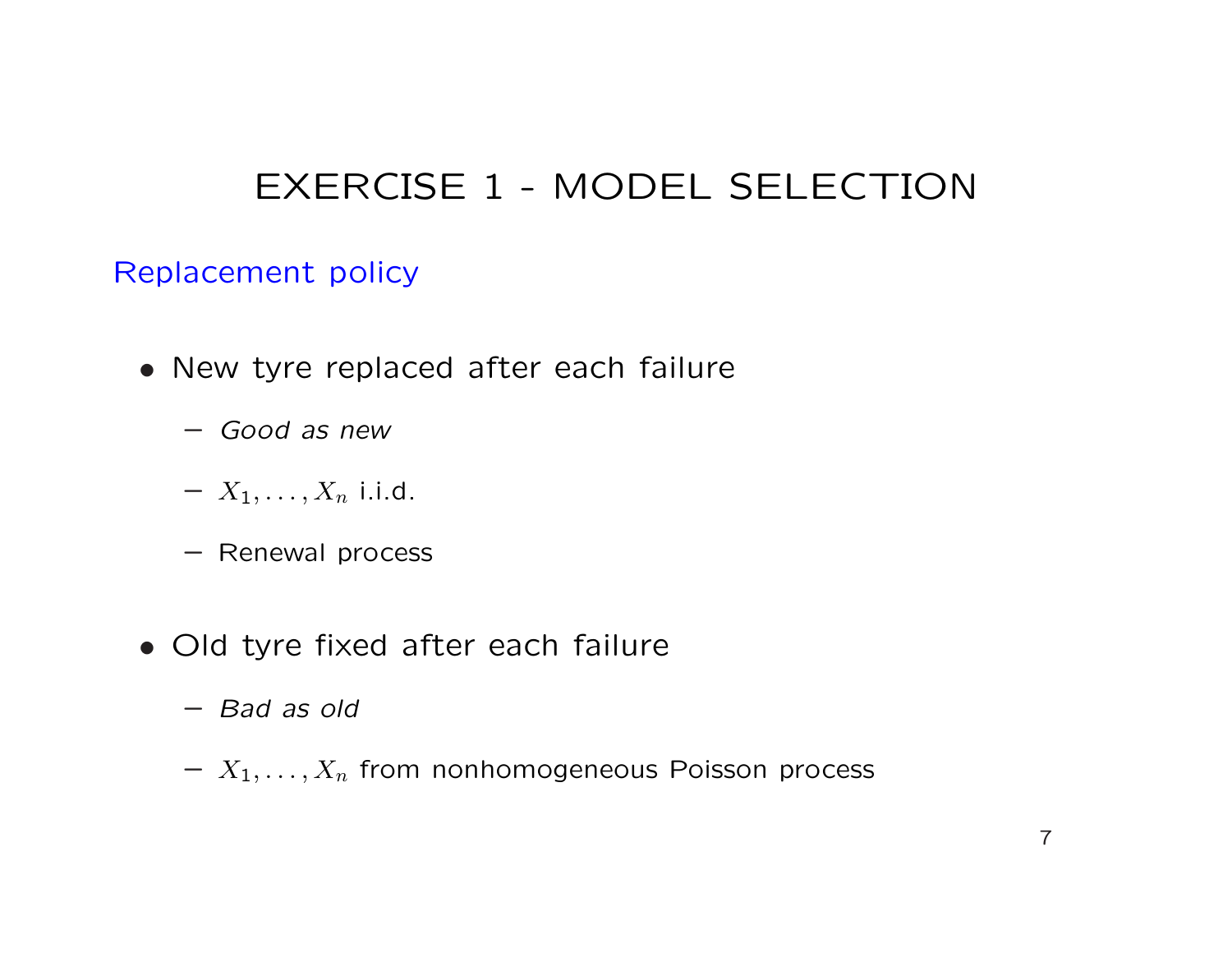### Replacement policy

- New tyre replaced after each failure
	- Good as new
	- $X_1, \ldots, X_n$  i.i.d.
	- Renewal process
- Old tyre fixed after each failure
	- Bad as old
	- $-X_1, \ldots, X_n$  from nonhomogeneous Poisson process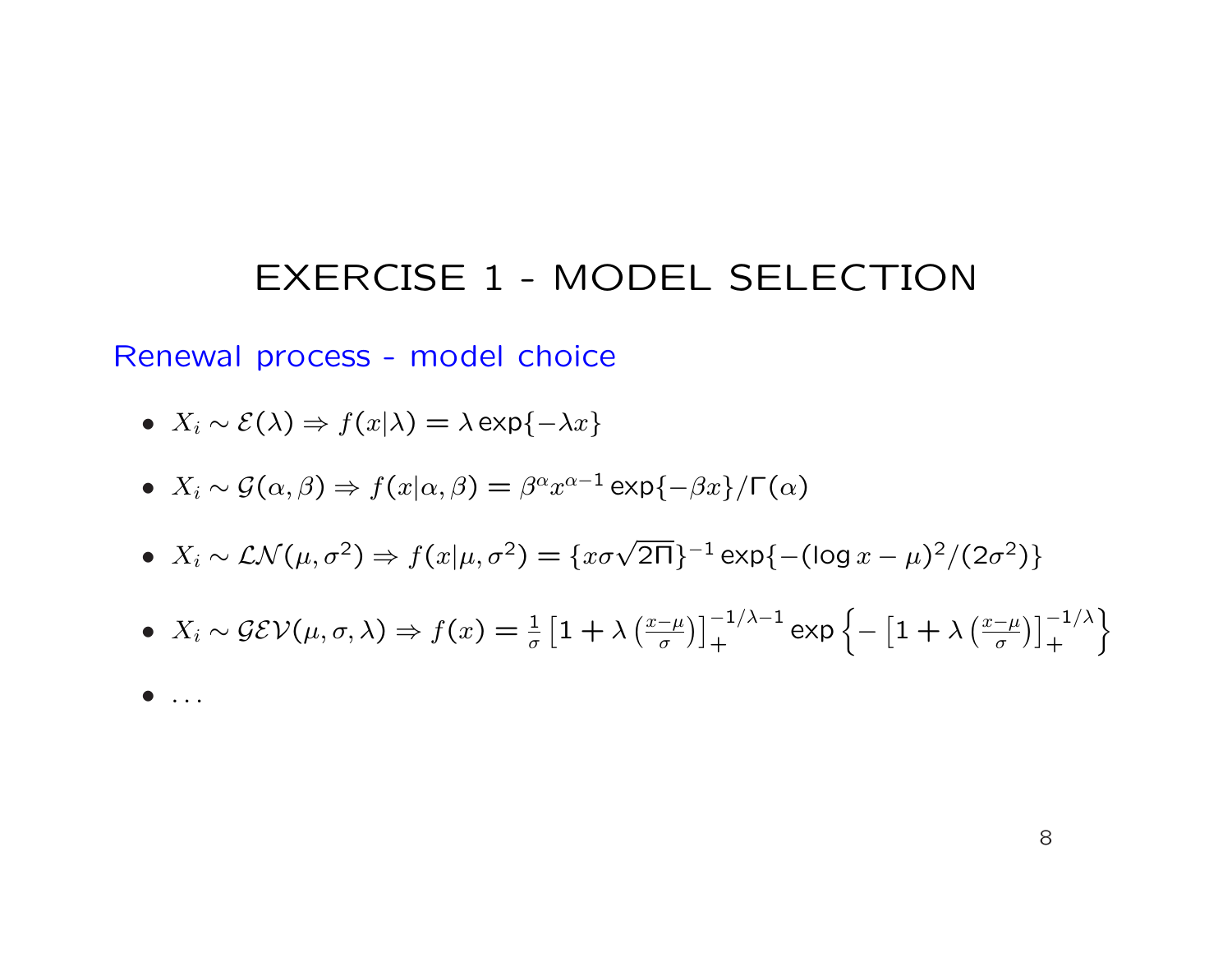Renewal process - model choice

• 
$$
X_i \sim \mathcal{E}(\lambda) \Rightarrow f(x|\lambda) = \lambda \exp\{-\lambda x\}
$$

• 
$$
X_i \sim \mathcal{G}(\alpha, \beta) \Rightarrow f(x|\alpha, \beta) = \beta^{\alpha} x^{\alpha-1} \exp\{-\beta x\} / \Gamma(\alpha)
$$

• 
$$
X_i \sim \mathcal{LN}(\mu, \sigma^2) \Rightarrow f(x|\mu, \sigma^2) = \{x\sigma\sqrt{2\Pi}\}^{-1} \exp\{-(\log x - \mu)^2/(2\sigma^2)\}
$$

• 
$$
X_i \sim \mathcal{GEV}(\mu, \sigma, \lambda) \Rightarrow f(x) = \frac{1}{\sigma} \left[ 1 + \lambda \left( \frac{x-\mu}{\sigma} \right) \right]_+^{-1/\lambda - 1} \exp \left\{ - \left[ 1 + \lambda \left( \frac{x-\mu}{\sigma} \right) \right]_+^{-1/\lambda} \right\}
$$

 $\bullet$  ...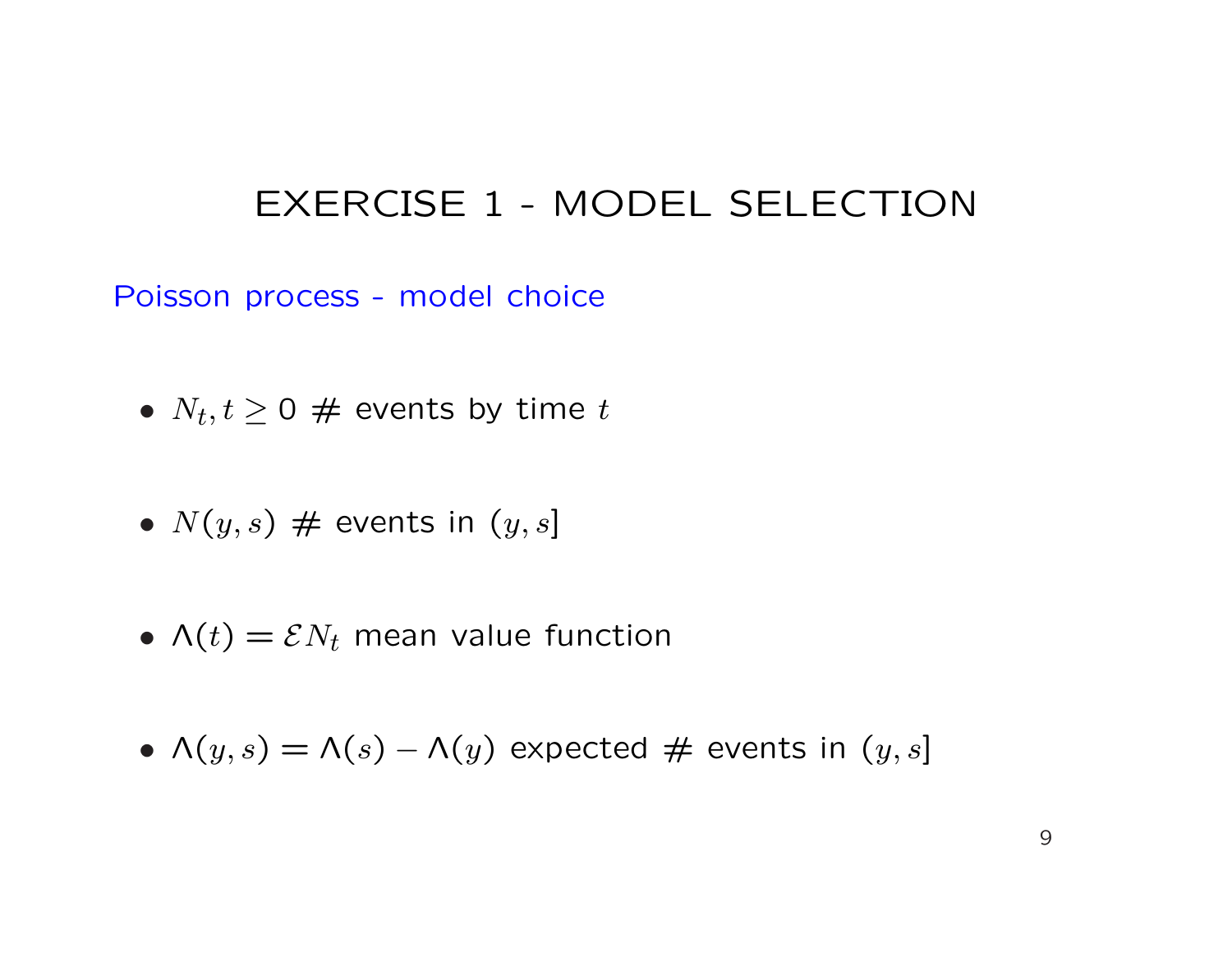Poisson process - model choice

- $N_t, t \geq 0$  # events by time  $t$
- $N(y, s)$  # events in  $(y, s]$
- $\Lambda(t) = \mathcal{E} N_t$  mean value function
- $\Lambda(y,s) = \Lambda(s) \Lambda(y)$  expected # events in  $(y,s]$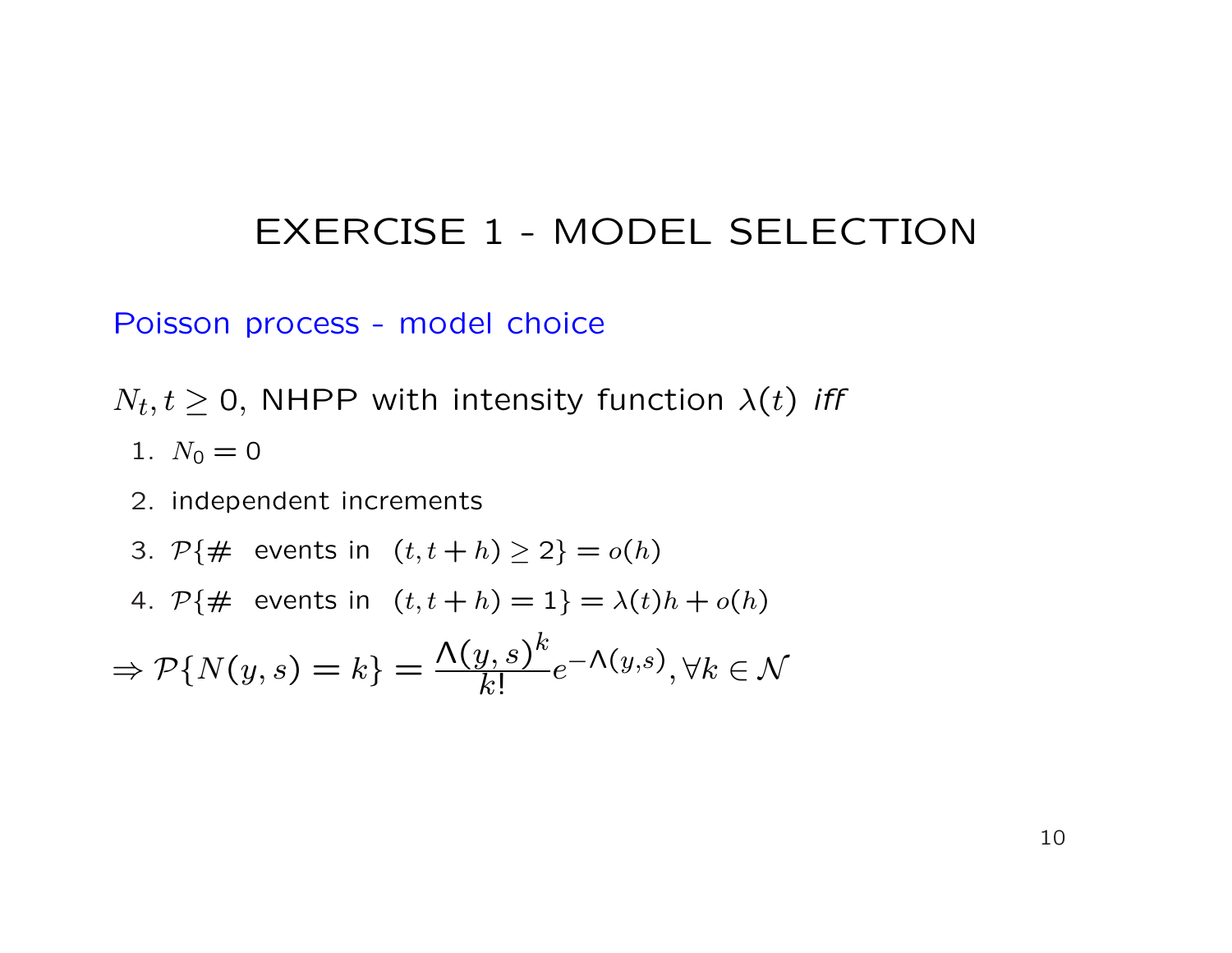#### Poisson process - model choice

 $N_t, t\geq 0,$  NHPP with intensity function  $\lambda(t)$  *iff* 

- 1.  $N_0 = 0$
- 2. independent increments
- 3.  $P\{\# \text{ events in } (t, t+h) \geq 2\} = o(h)$
- 4.  $P\{\# \text{ events in } (t, t+h) = 1\} = \lambda(t)h + o(h)$

$$
\Rightarrow \mathcal{P}\{N(y,s) = k\} = \frac{\Lambda(y,s)^k}{k!}e^{-\Lambda(y,s)}, \forall k \in \mathcal{N}
$$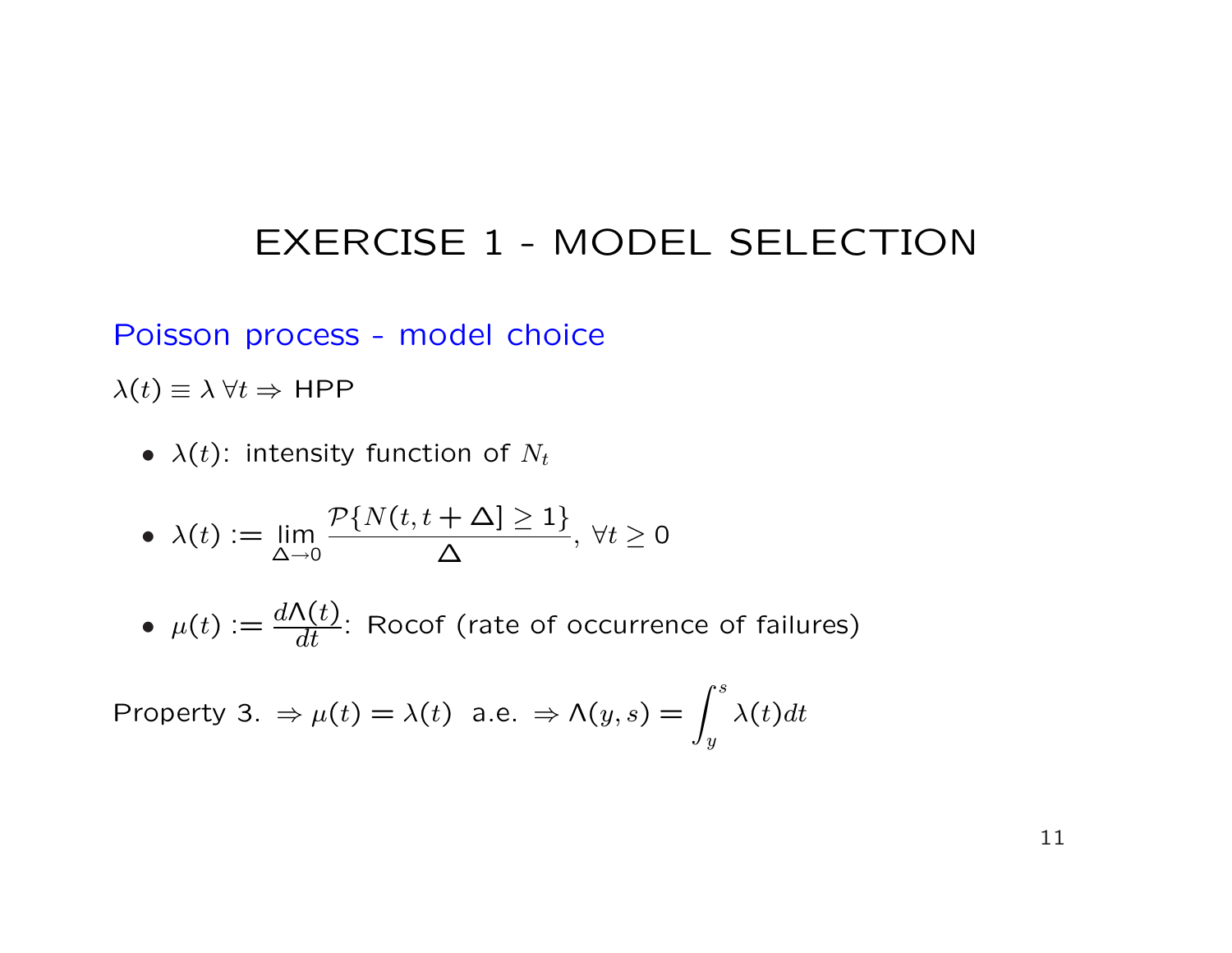Poisson process - model choice

 $\lambda(t) \equiv \lambda \ \forall t \Rightarrow \text{HPP}$ 

•  $\lambda(t)$ : intensity function of  $N_t$ 

• 
$$
\lambda(t) := \lim_{\Delta \to 0} \frac{\mathcal{P}\{N(t, t + \Delta) \ge 1\}}{\Delta}, \ \forall t \ge 0
$$

•  $\mu(t) := \frac{d\Lambda(t)}{dt}$  $\frac{\mathcal{N}(U)}{dt}$ : Rocof (rate of occurrence of failures)

Property 3.  $\Rightarrow \mu(t) = \lambda(t)$  a.e.  $\Rightarrow \Lambda(y, s) = \int^s$  $\hat{y}$  $\lambda(t)dt$ 

11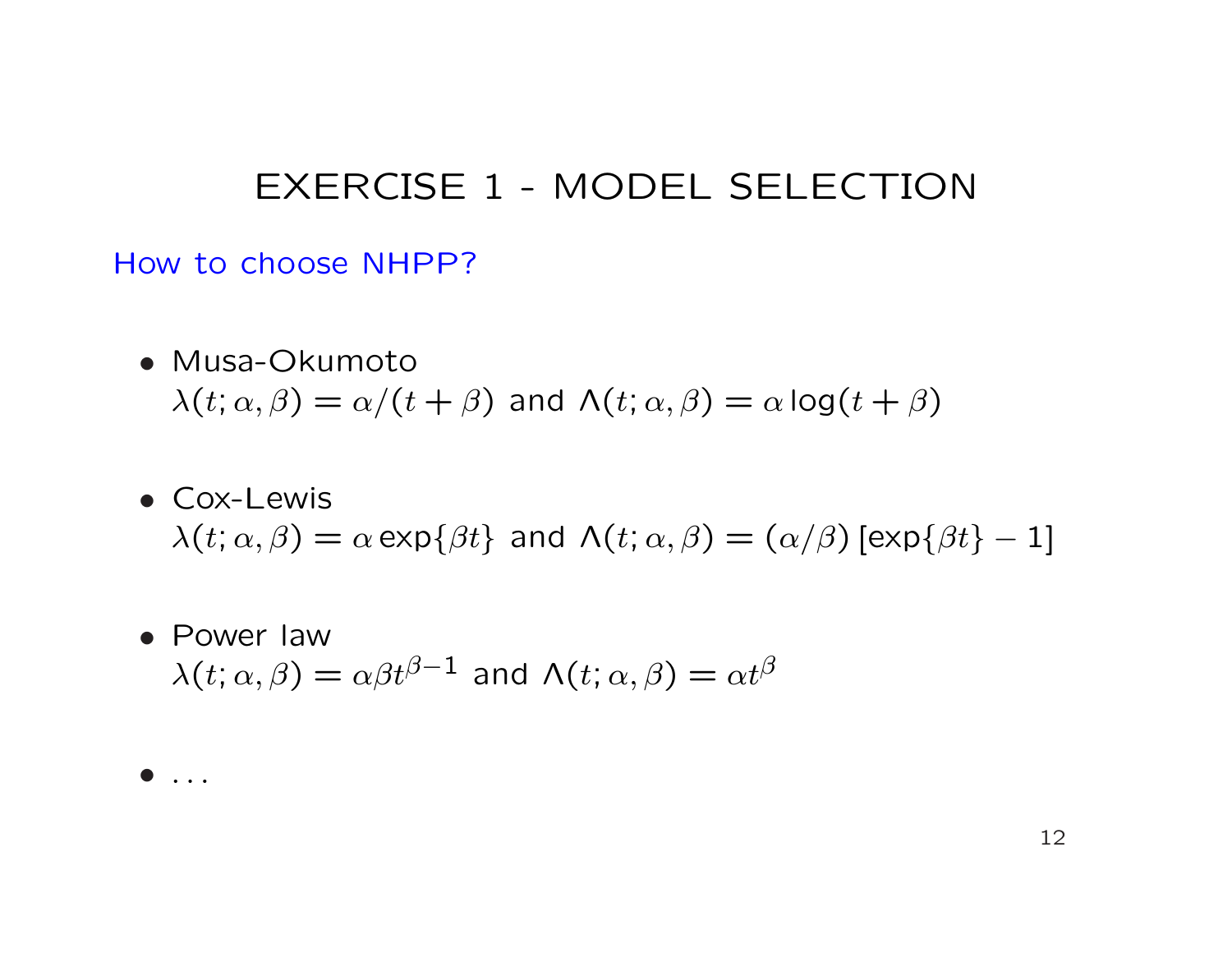How to choose NHPP?

- Musa-Okumoto  $\lambda(t; \alpha, \beta) = \alpha/(t + \beta)$  and  $\Lambda(t; \alpha, \beta) = \alpha \log(t + \beta)$
- Cox-Lewis  $\lambda(t; \alpha, \beta) = \alpha \exp\{\beta t\}$  and  $\Lambda(t; \alpha, \beta) = (\alpha/\beta) [\exp\{\beta t\} - 1]$
- Power law  $\lambda(t; \alpha, \beta) = \alpha \beta t^{\beta - 1}$  and  $\Lambda(t; \alpha, \beta) = \alpha t^{\beta}$
- $\bullet$  ...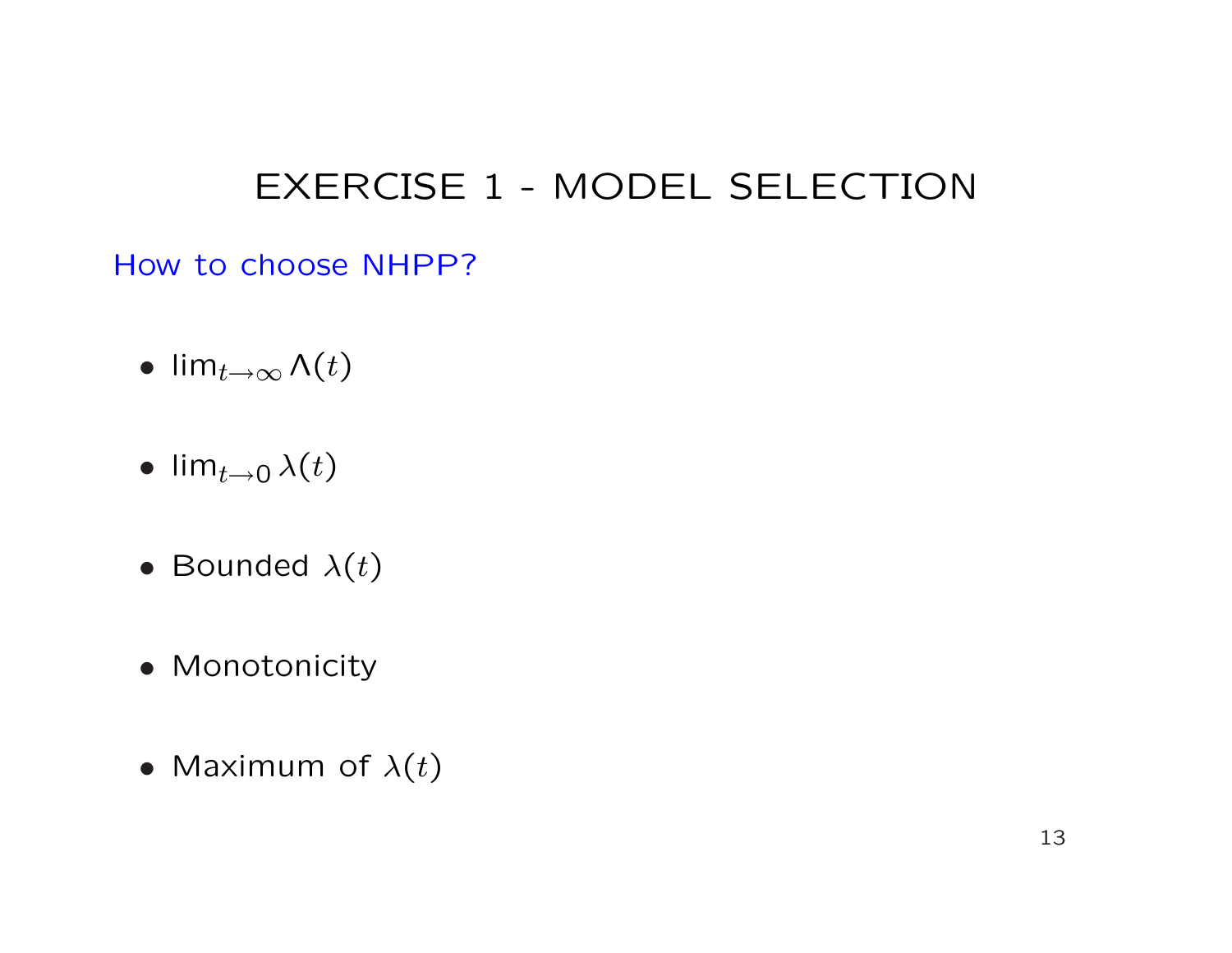How to choose NHPP?

- lim $_{t\rightarrow\infty}$   $\Lambda(t)$
- lim<sub>t→0</sub>  $\lambda(t)$
- Bounded  $\lambda(t)$
- Monotonicity
- Maximum of  $\lambda(t)$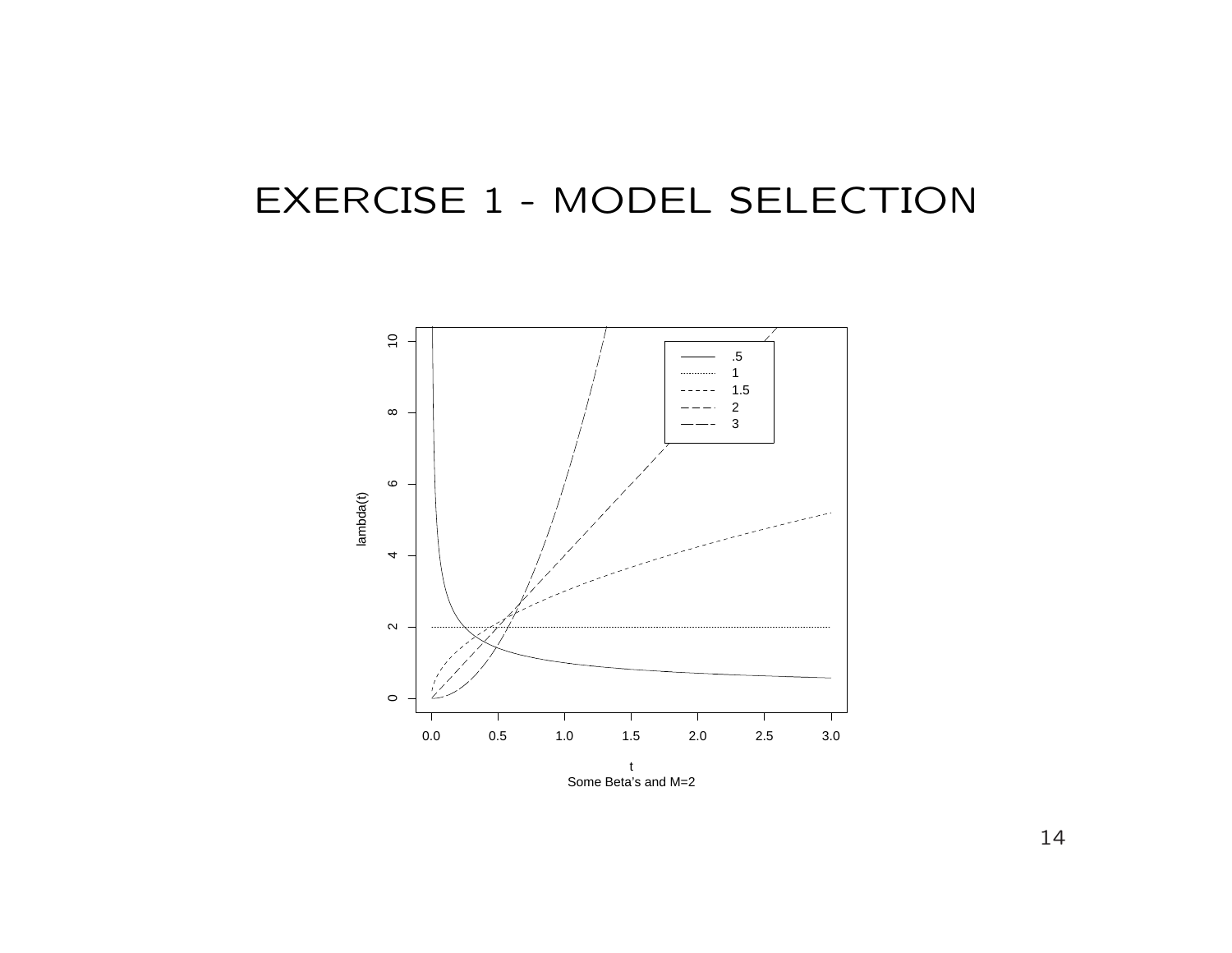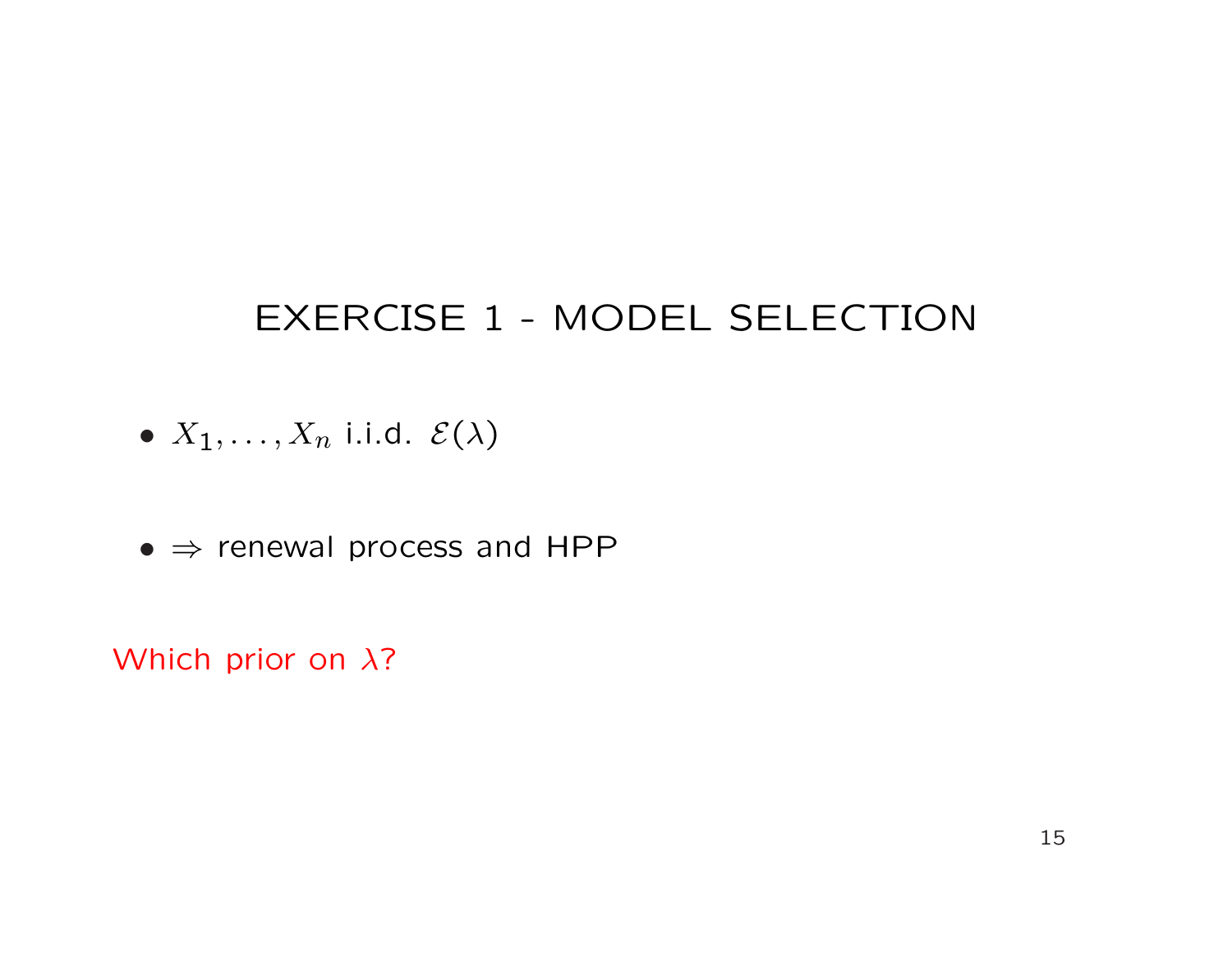- $X_1, \ldots, X_n$  i.i.d.  $\mathcal{E}(\lambda)$
- $\bullet \Rightarrow$  renewal process and HPP

Which prior on λ?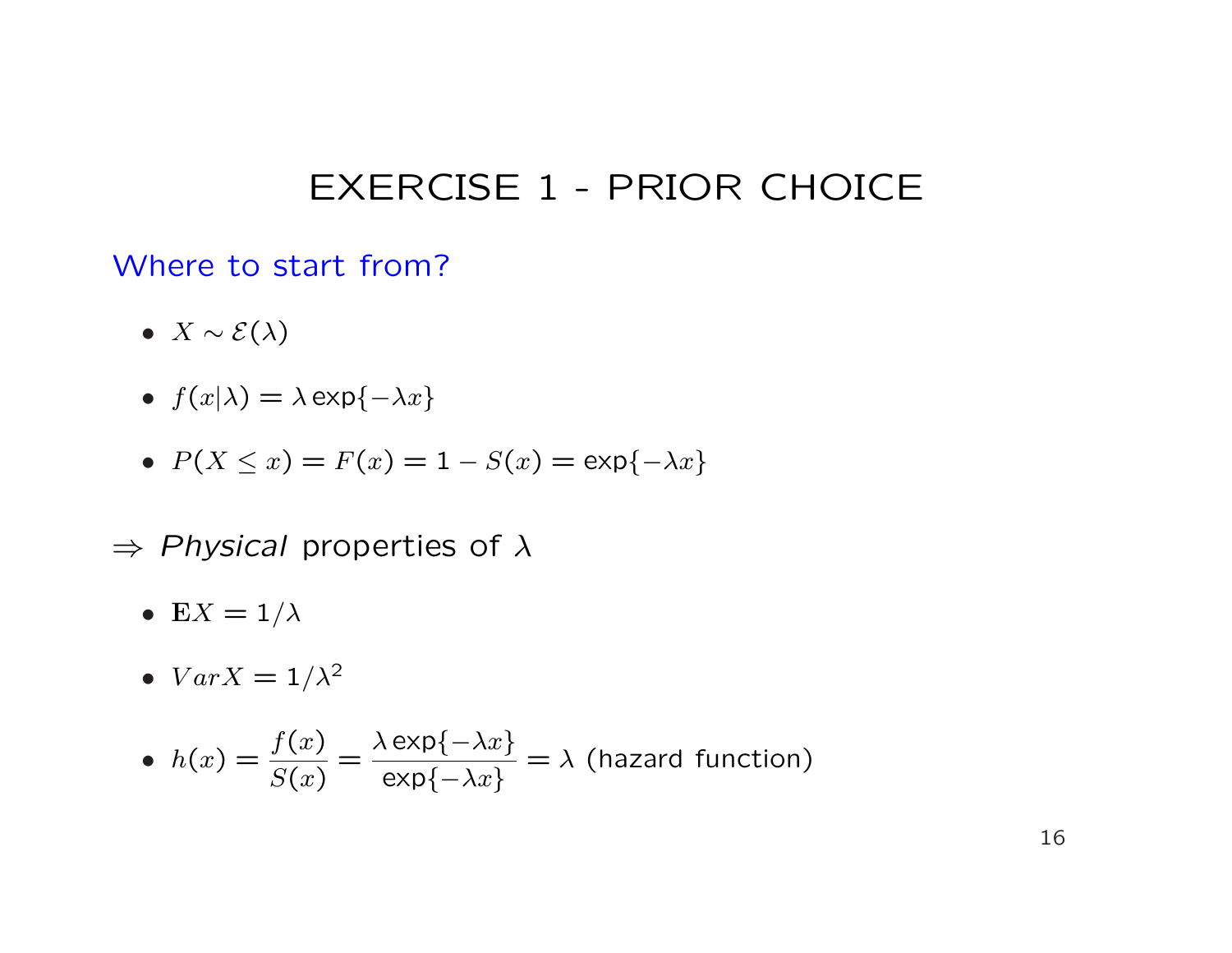#### Where to start from?

- $X \sim \mathcal{E}(\lambda)$
- $f(x|\lambda) = \lambda \exp\{-\lambda x\}$
- $P(X \le x) = F(x) = 1 S(x) = \exp{-\lambda x}$
- $\Rightarrow$  Physical properties of  $\lambda$ 
	- E $X = 1/\lambda$
	- $Var X = 1/\lambda^2$

• 
$$
h(x) = \frac{f(x)}{S(x)} = \frac{\lambda \exp\{-\lambda x\}}{\exp\{-\lambda x\}} = \lambda
$$
 (hazard function)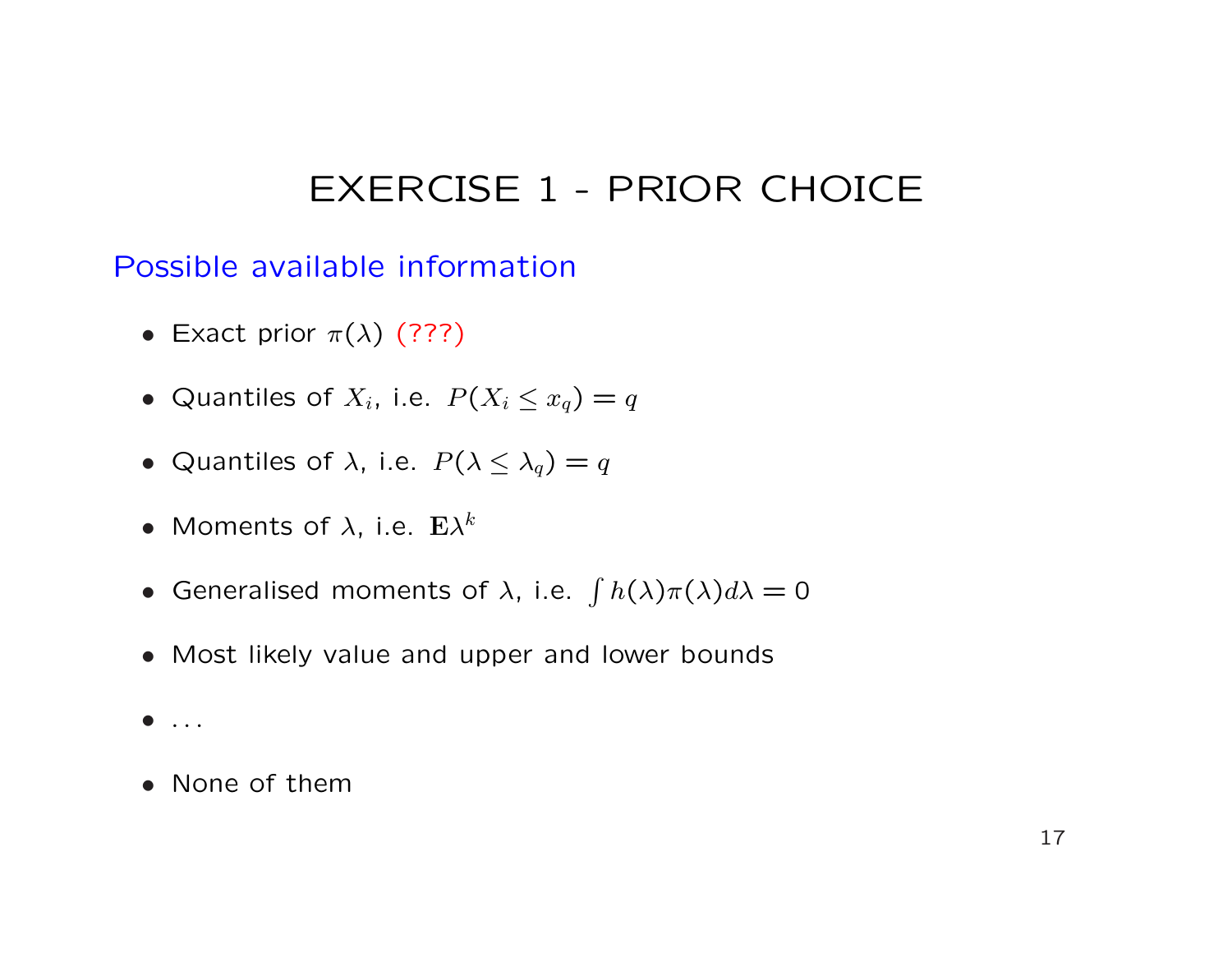Possible available information

- Exact prior  $\pi(\lambda)$  (???)
- Quantiles of  $X_i$ , i.e.  $P(X_i \le x_q) = q$
- Quantiles of  $\lambda$ , i.e.  $P(\lambda \leq \lambda_q) = q$
- $\bullet$  Moments of  $\lambda$ , i.e.  $\mathrm{E} \lambda^k$
- Generalised moments of  $\lambda$ , i.e.  $\int h(\lambda)\pi(\lambda)d\lambda = 0$
- Most likely value and upper and lower bounds
- $\bullet$  ...
- None of them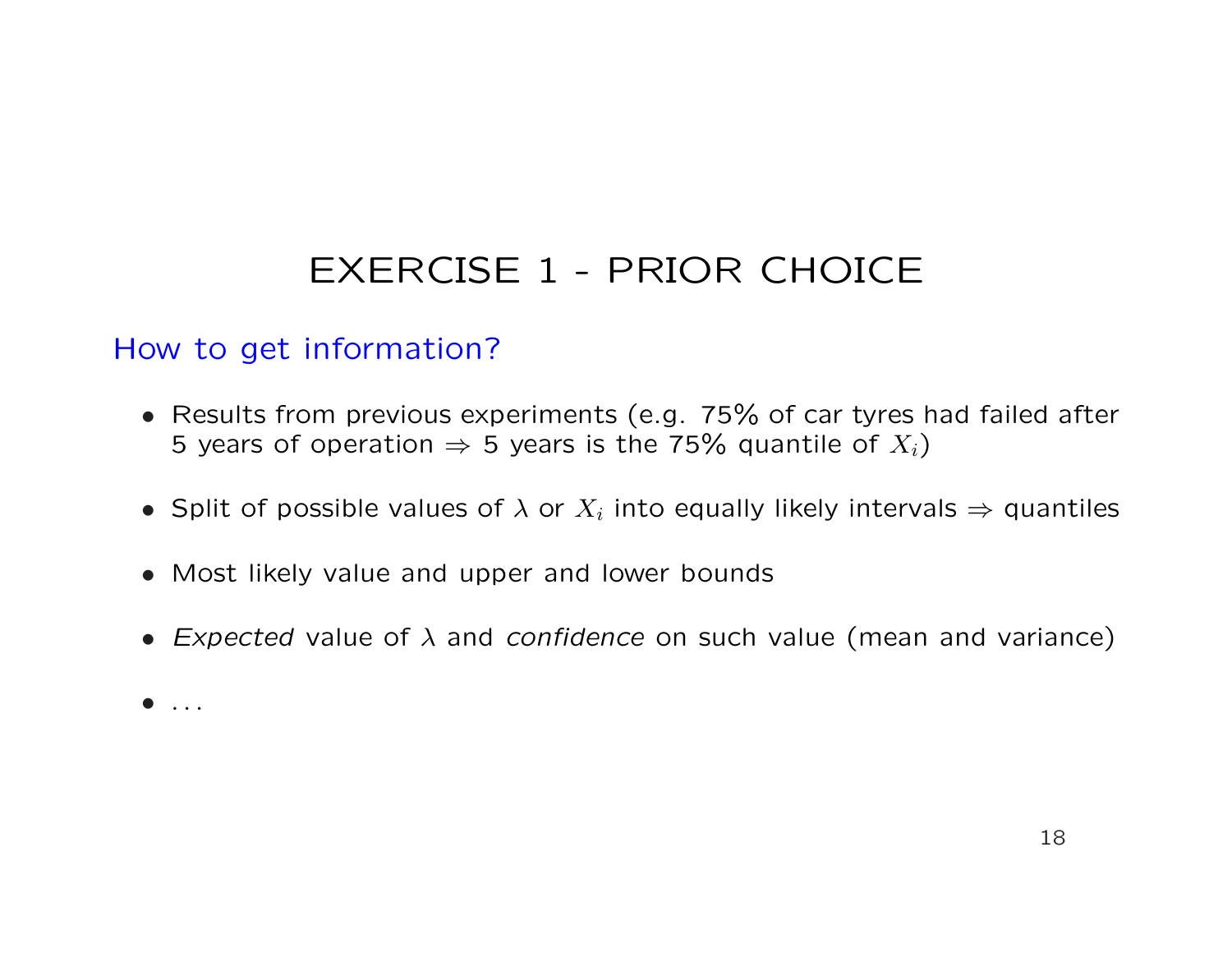### How to get information?

- Results from previous experiments (e.g. 75% of car tyres had failed after 5 years of operation  $\Rightarrow$  5 years is the 75% quantile of  $X_i$ )
- Split of possible values of  $\lambda$  or  $X_i$  into equally likely intervals  $\Rightarrow$  quantiles
- Most likely value and upper and lower bounds
- Expected value of  $\lambda$  and confidence on such value (mean and variance)
- . . .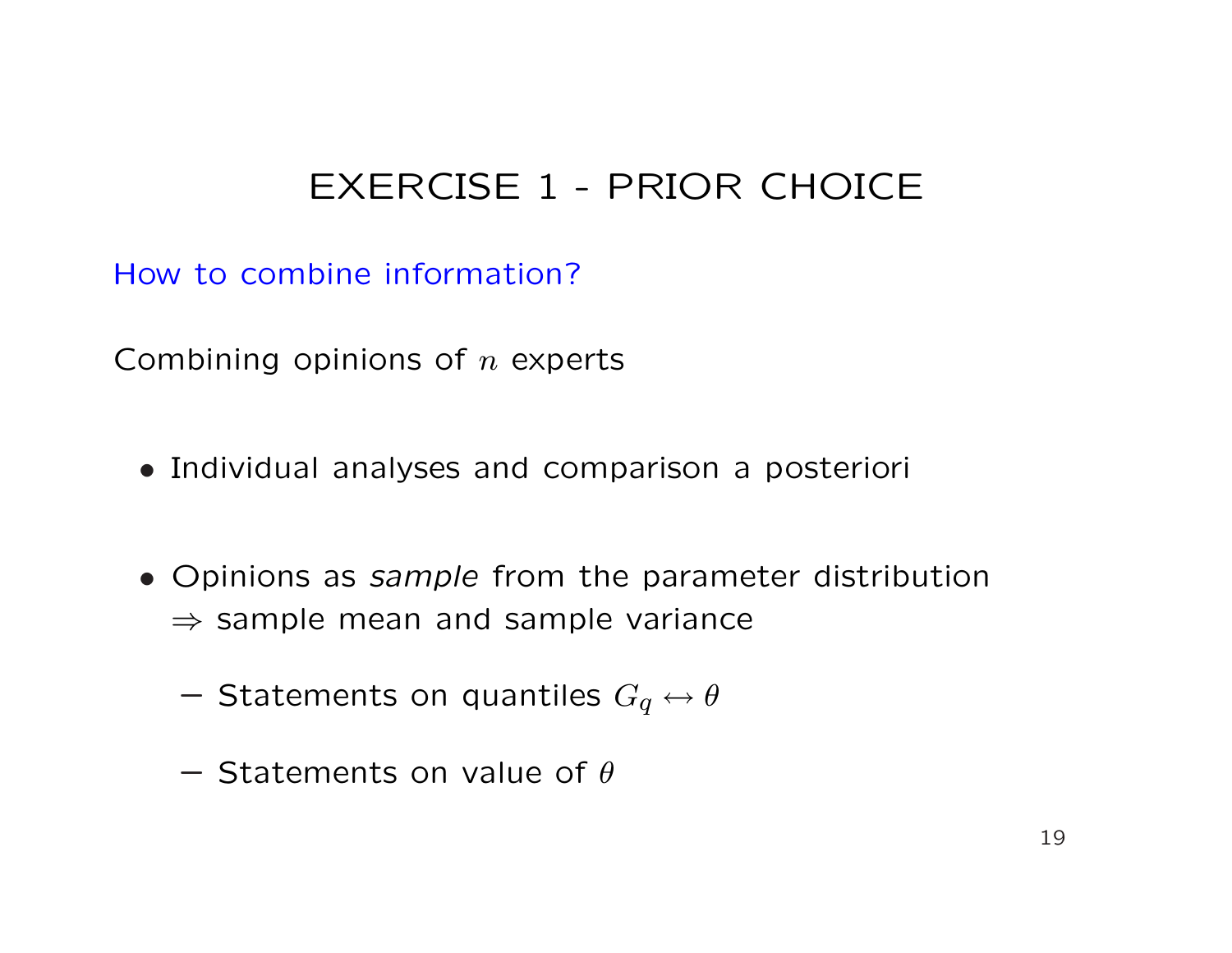How to combine information?

Combining opinions of  $n$  experts

- Individual analyses and comparison a posteriori
- Opinions as sample from the parameter distribution  $\Rightarrow$  sample mean and sample variance
	- Statements on quantiles  $G_q \leftrightarrow \theta$
	- $-$  Statements on value of  $\theta$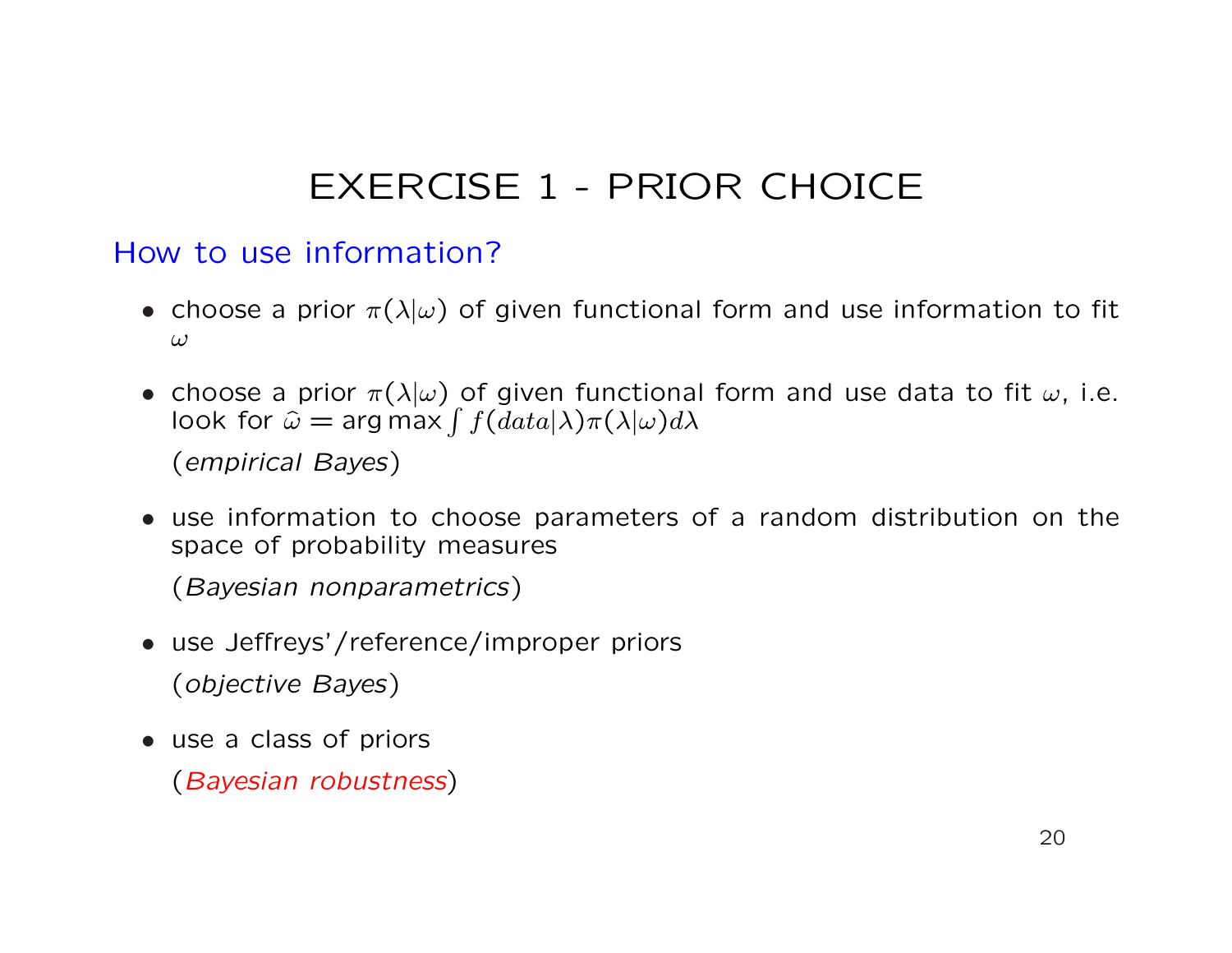#### How to use information?

- choose a prior  $\pi(\lambda|\omega)$  of given functional form and use information to fit ω
- choose a prior  $\pi(\lambda|\omega)$  of given functional form and use data to fit  $\omega$ , i.e. choose a prior  $\pi(\lambda|\omega)$  of given functiona<br>look for  $\widehat{\omega} =$  arg max  $\int f(data|\lambda)\pi(\lambda|\omega)d\lambda$

(empirical Bayes)

• use information to choose parameters of a random distribution on the space of probability measures

(Bayesian nonparametrics)

- use Jeffreys'/reference/improper priors (objective Bayes)
- use a class of priors

(Bayesian robustness)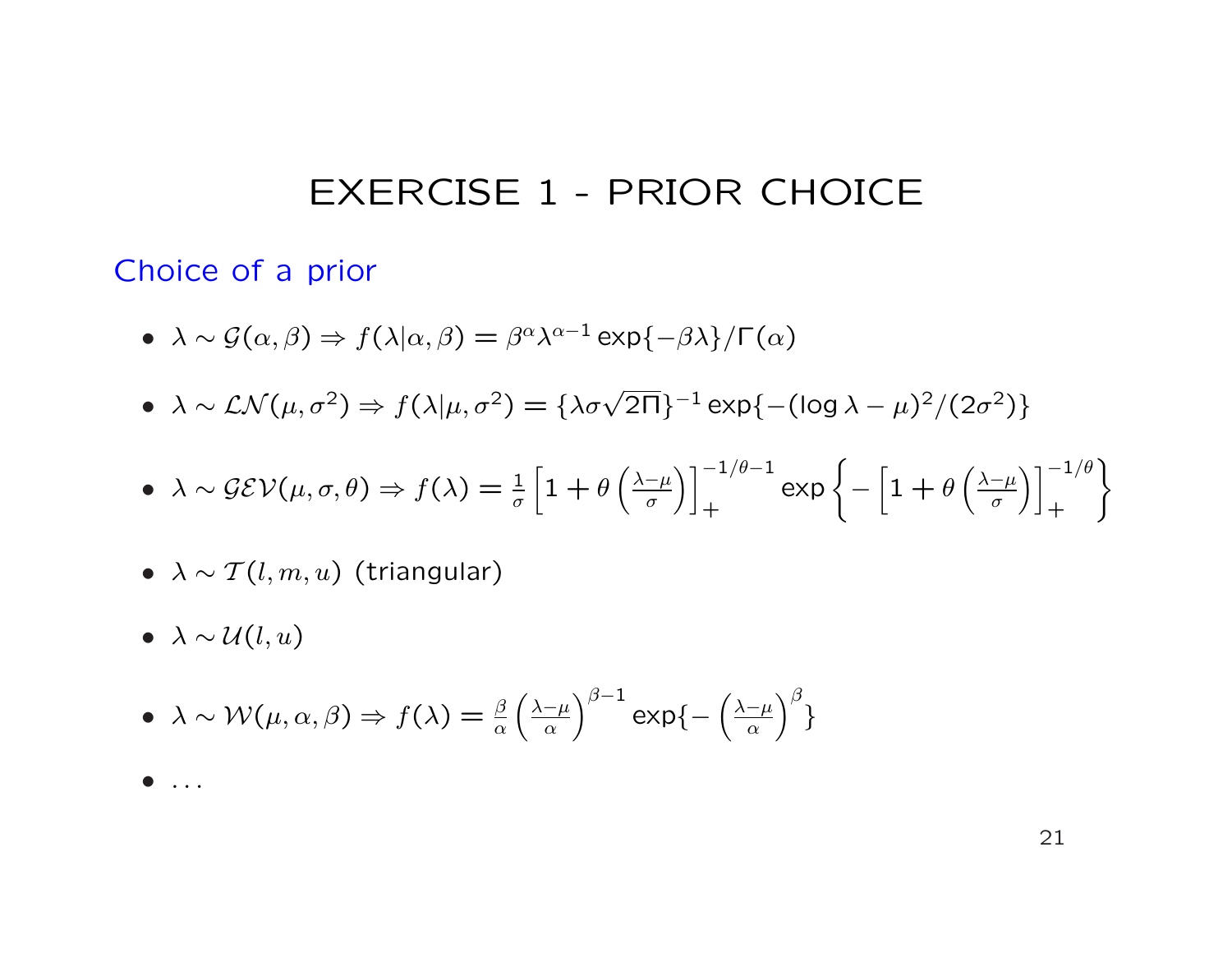#### Choice of a prior

- $\lambda \sim \mathcal{G}(\alpha, \beta) \Rightarrow f(\lambda|\alpha, \beta) = \beta^{\alpha} \lambda^{\alpha-1} \exp{\{-\beta \lambda\}} / \Gamma(\alpha)$
- $\lambda \sim \mathcal{LN}(\mu, \sigma^2) \Rightarrow f(\lambda | \mu, \sigma^2) = {\lambda \sigma \sqrt{2\pi}}^{-1} \exp{-\frac{(\log \lambda \mu)^2}{2\sigma^2}}$

• 
$$
\lambda \sim \mathcal{GEV}(\mu, \sigma, \theta) \Rightarrow f(\lambda) = \frac{1}{\sigma} \left[ 1 + \theta \left( \frac{\lambda - \mu}{\sigma} \right) \right]_+^{-1/\theta - 1} \exp \left\{ - \left[ 1 + \theta \left( \frac{\lambda - \mu}{\sigma} \right) \right]_+^{-1/\theta} \right\}
$$

- $\lambda \sim \mathcal{T}(l, m, u)$  (triangular)
- $\lambda \sim \mathcal{U}(l, u)$

• 
$$
\lambda \sim \mathcal{W}(\mu, \alpha, \beta) \Rightarrow f(\lambda) = \frac{\beta}{\alpha} \left(\frac{\lambda - \mu}{\alpha}\right)^{\beta - 1} \exp\left\{-\left(\frac{\lambda - \mu}{\alpha}\right)^{\beta}\right\}
$$

 $\bullet$  ...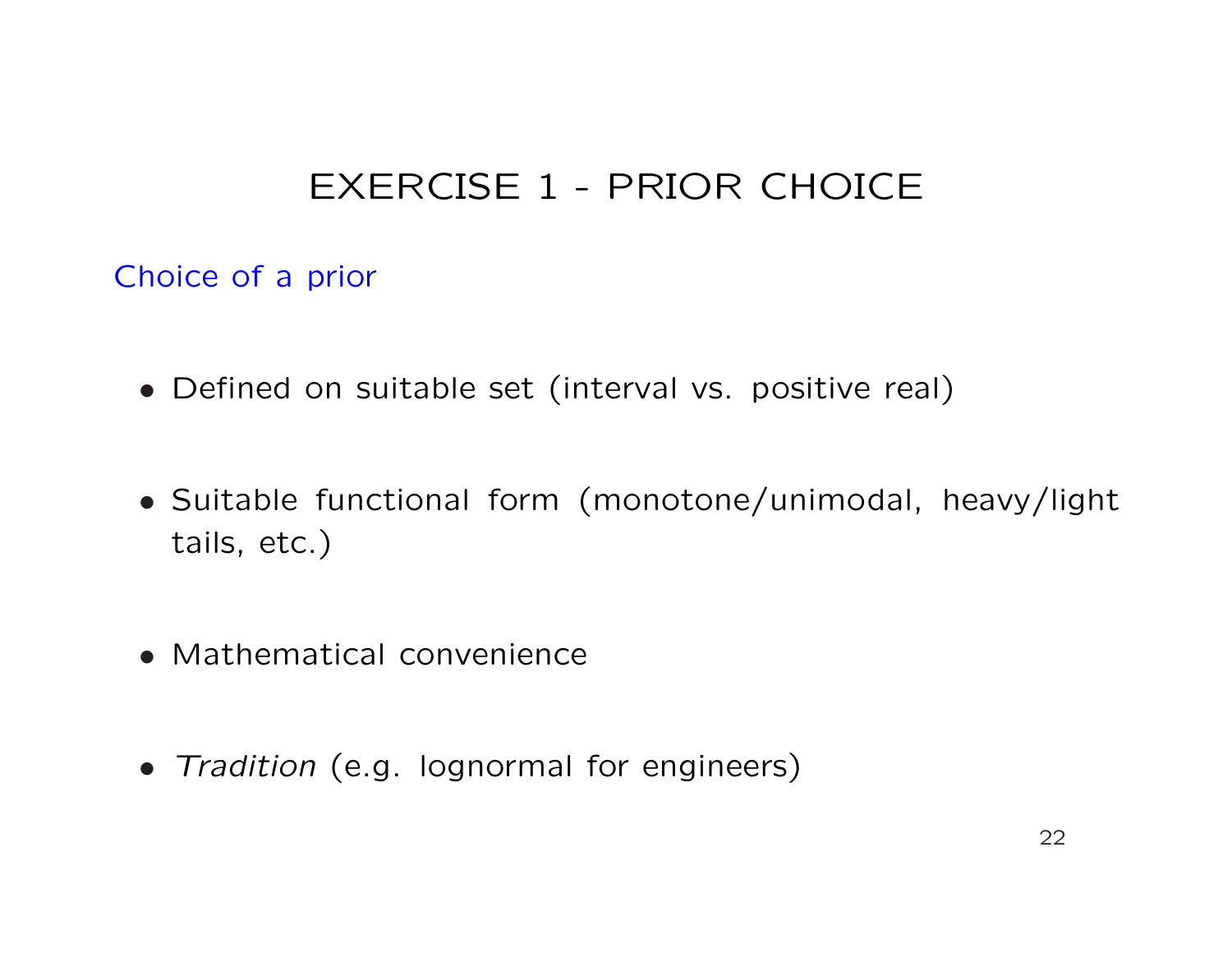Choice of a prior

- Defined on suitable set (interval vs. positive real)
- Suitable functional form (monotone/unimodal, heavy/light tails, etc.)
- Mathematical convenience
- Tradition (e.g. lognormal for engineers)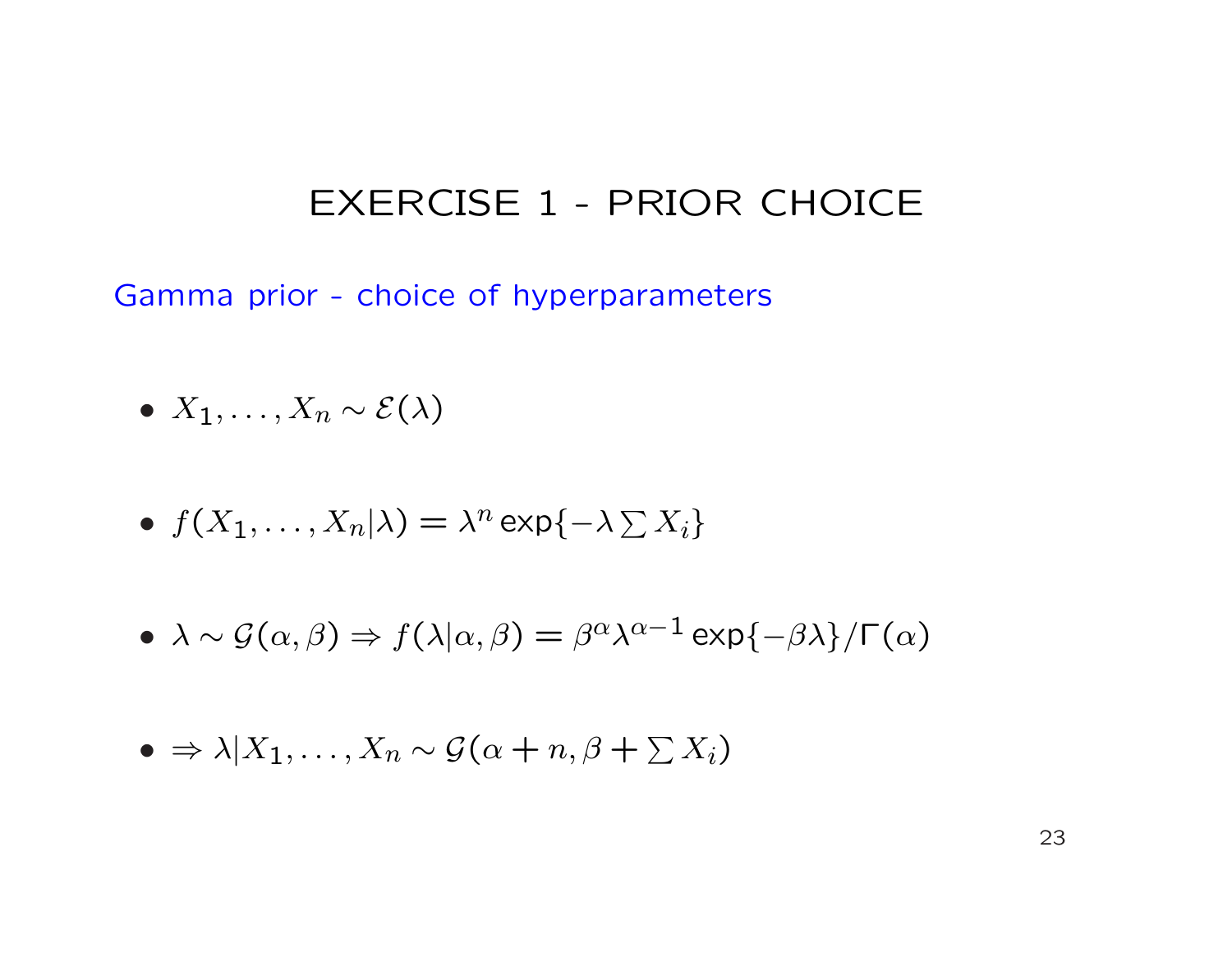Gamma prior - choice of hyperparameters

- $X_1, \ldots, X_n \sim \mathcal{E}(\lambda)$
- $f(X_1, ..., X_n | \lambda) = \lambda^n \exp\{-\lambda \sum X_i\}$
- $\lambda \sim \mathcal{G}(\alpha, \beta) \Rightarrow f(\lambda|\alpha, \beta) = \beta^{\alpha} \lambda^{\alpha-1} \exp{\{-\beta \lambda\}} / \Gamma(\alpha)$

$$
\bullet \Rightarrow \lambda | X_1, \ldots, X_n \sim \mathcal{G}(\alpha + n, \beta + \sum X_i)
$$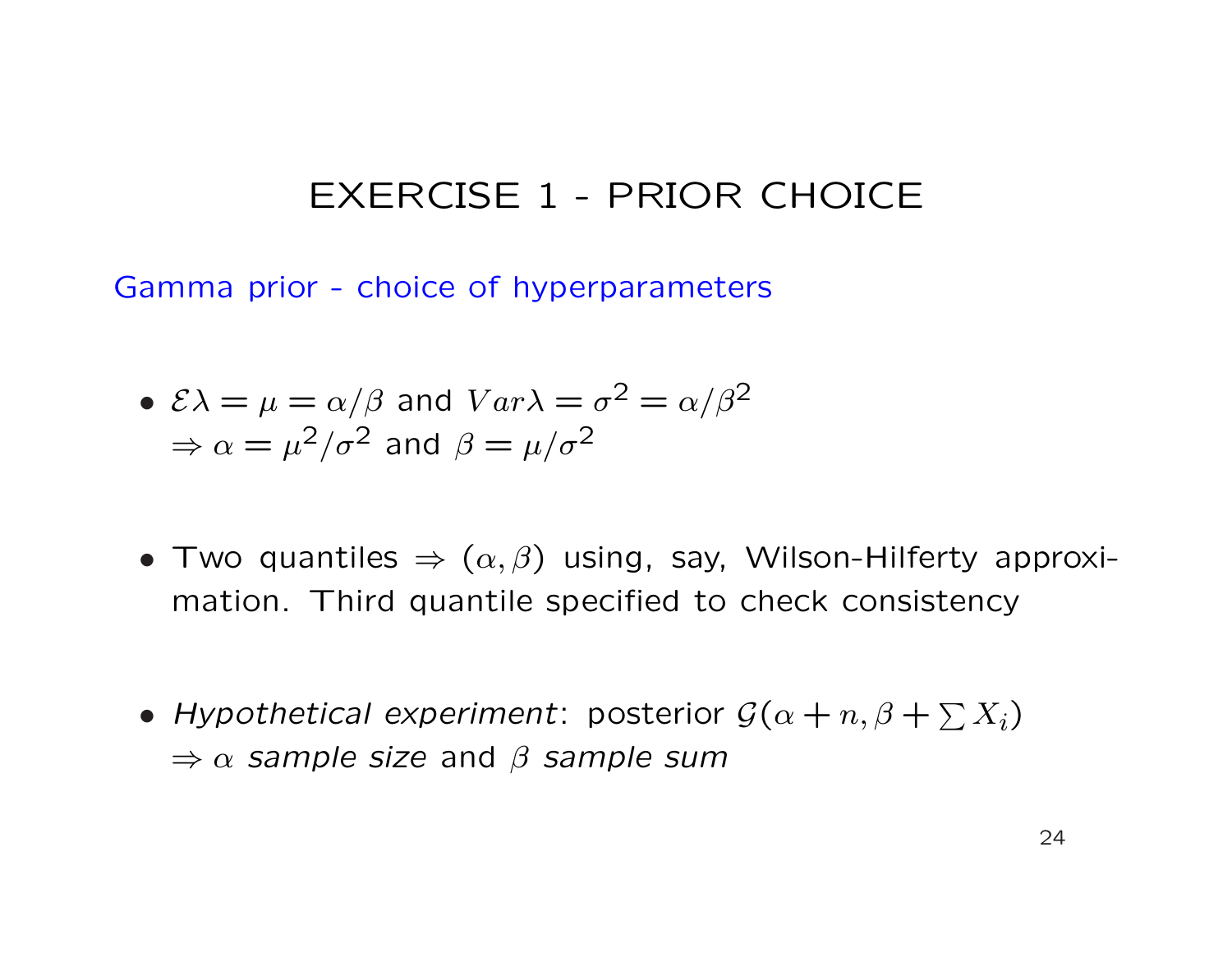Gamma prior - choice of hyperparameters

• 
$$
\mathcal{E}\lambda = \mu = \alpha/\beta
$$
 and  $Var\lambda = \sigma^2 = \alpha/\beta^2$   
\n $\Rightarrow \alpha = \mu^2/\sigma^2$  and  $\beta = \mu/\sigma^2$ 

- Two quantiles  $\Rightarrow (\alpha, \beta)$  using, say, Wilson-Hilferty approximation. Third quantile specified to check consistency
- Hypothetical experiment: posterior  $\mathcal{G}(\alpha+n, \beta+\sum X_i)$  $\Rightarrow \alpha$  sample size and  $\beta$  sample sum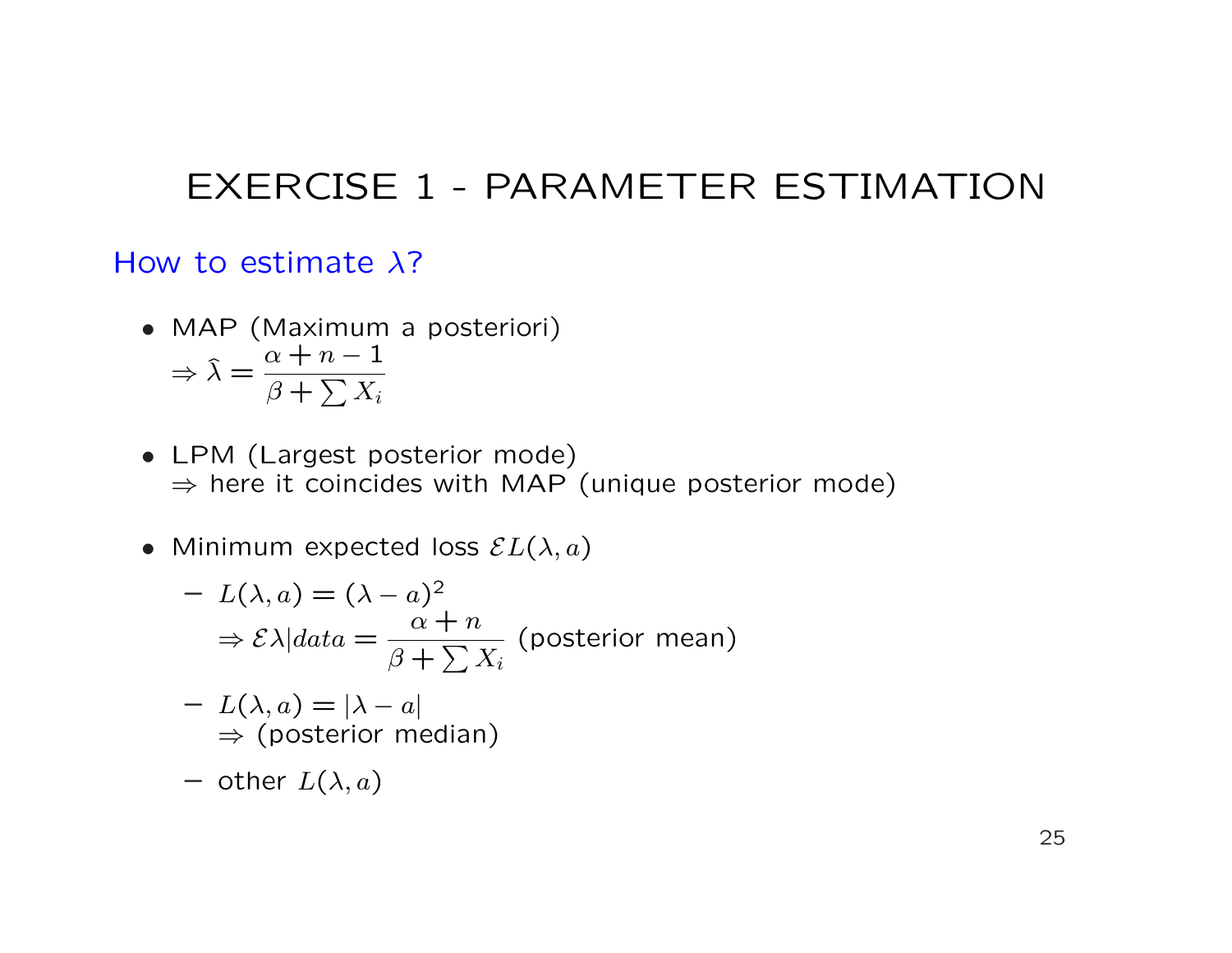### EXERCISE 1 - PARAMETER ESTIMATION

#### How to estimate  $\lambda$ ?

- MAP (Maximum a posteriori)  $\Rightarrow$   $\hat{\lambda} =$  $\alpha + n - 1$  $\frac{\alpha + n}{\beta + \sum X_i}$
- LPM (Largest posterior mode)  $\Rightarrow$  here it coincides with MAP (unique posterior mode)
- Minimum expected loss  $\mathcal{E}L(\lambda,a)$

$$
- L(\lambda, a) = (\lambda - a)^2
$$
  
\n
$$
\Rightarrow \mathcal{E}\lambda|data = \frac{\alpha + n}{\beta + \sum X_i}
$$
 (posterior mean)

$$
- L(\lambda, a) = |\lambda - a|
$$
  
\n
$$
\Rightarrow \text{(posterior median)}
$$

- other 
$$
L(\lambda, a)
$$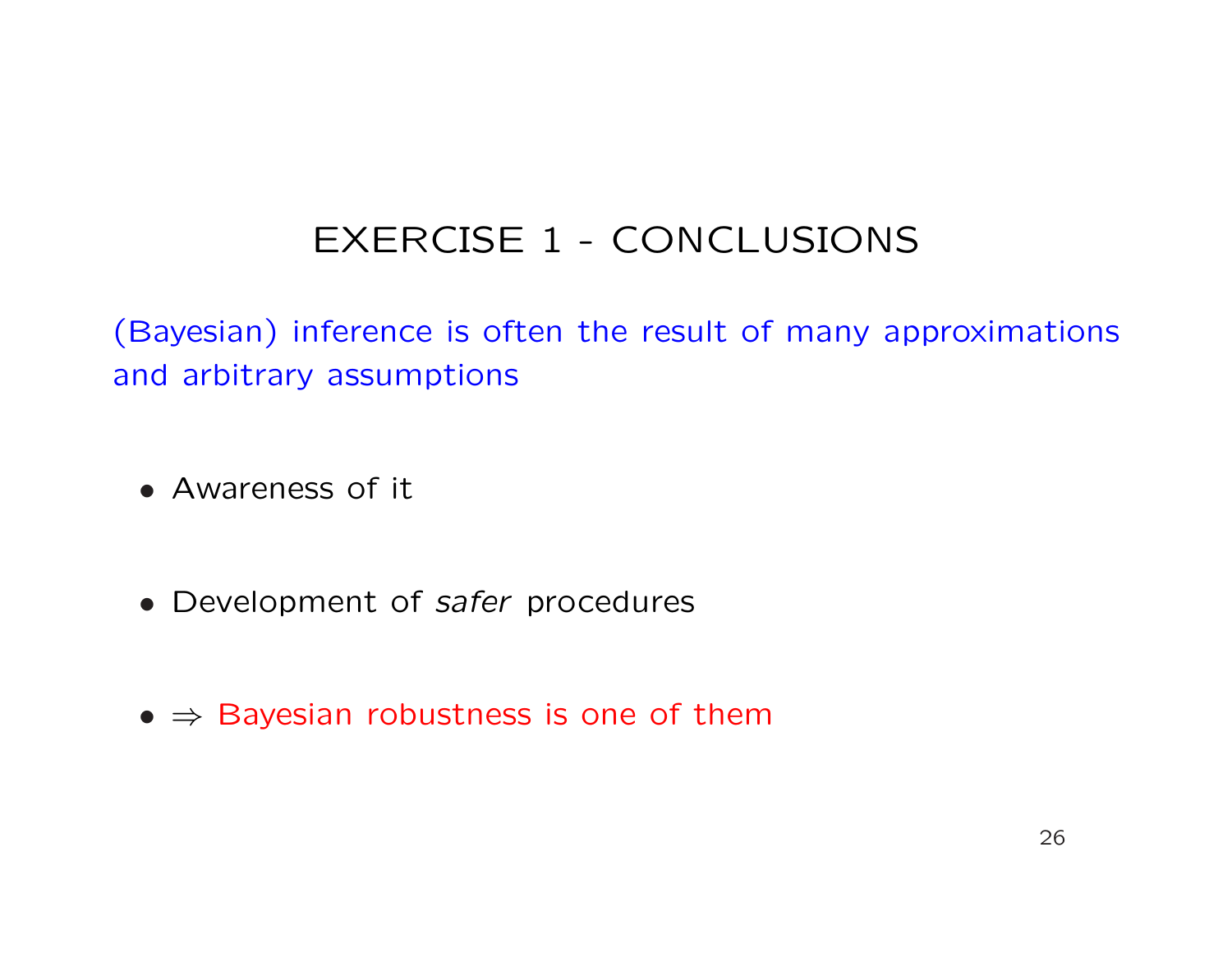# EXERCISE 1 - CONCLUSIONS

(Bayesian) inference is often the result of many approximations and arbitrary assumptions

- Awareness of it
- Development of safer procedures
- $\bullet \Rightarrow$  Bayesian robustness is one of them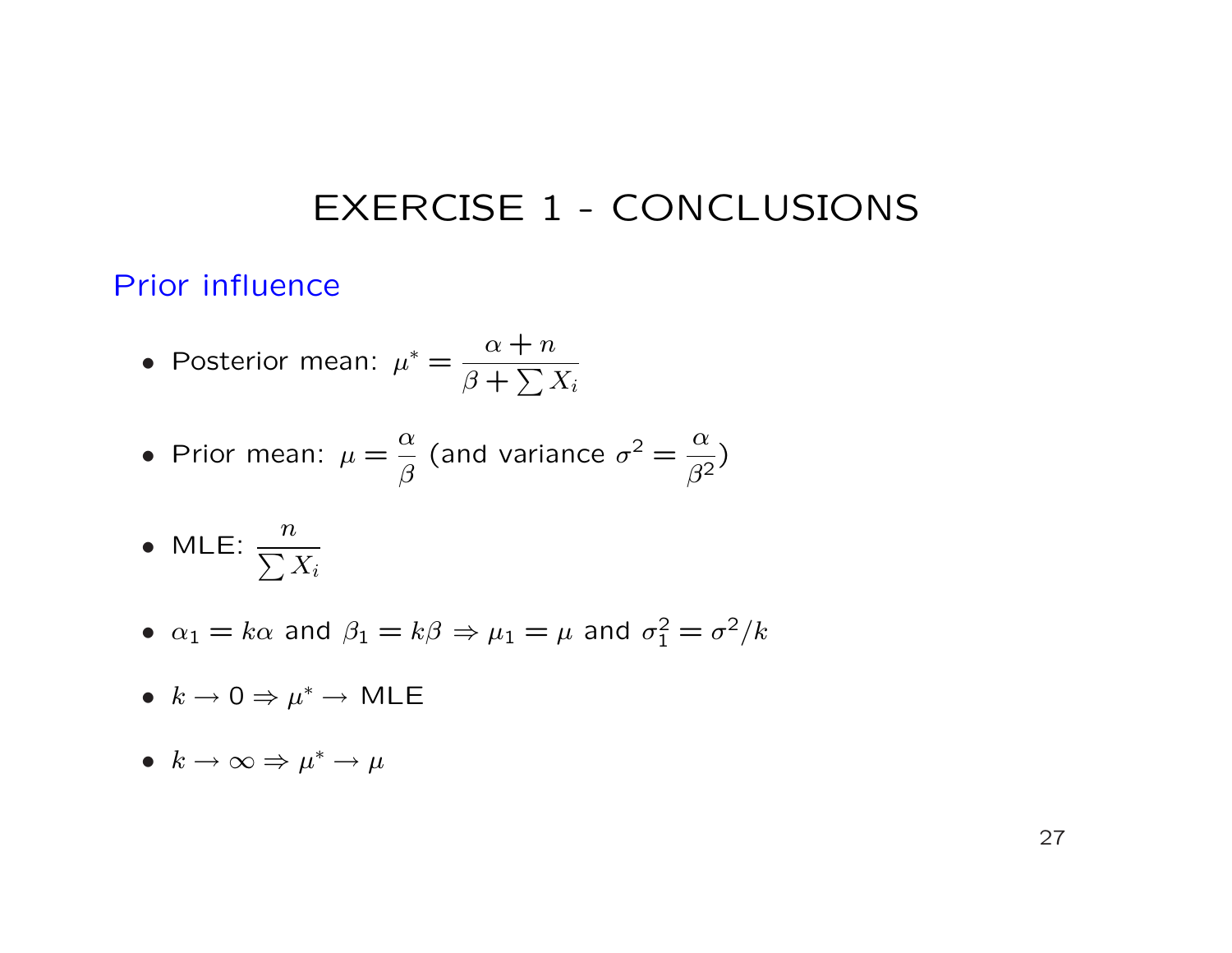### EXERCISE 1 - CONCLUSIONS

### Prior influence

• Posterior mean: 
$$
\mu^* = \frac{\alpha + n}{\beta + \sum X_i}
$$

• Prior mean: 
$$
\mu = \frac{\alpha}{\beta}
$$
 (and variance  $\sigma^2 = \frac{\alpha}{\beta^2}$ )

• MLE: 
$$
\frac{n}{\sum X_i}
$$

- $\alpha_1 = k\alpha$  and  $\beta_1 = k\beta \Rightarrow \mu_1 = \mu$  and  $\sigma_1^2 = \sigma^2/k$
- $k \to 0 \Rightarrow \mu^* \to \text{MLE}$
- $k \to \infty \Rightarrow \mu^* \to \mu^*$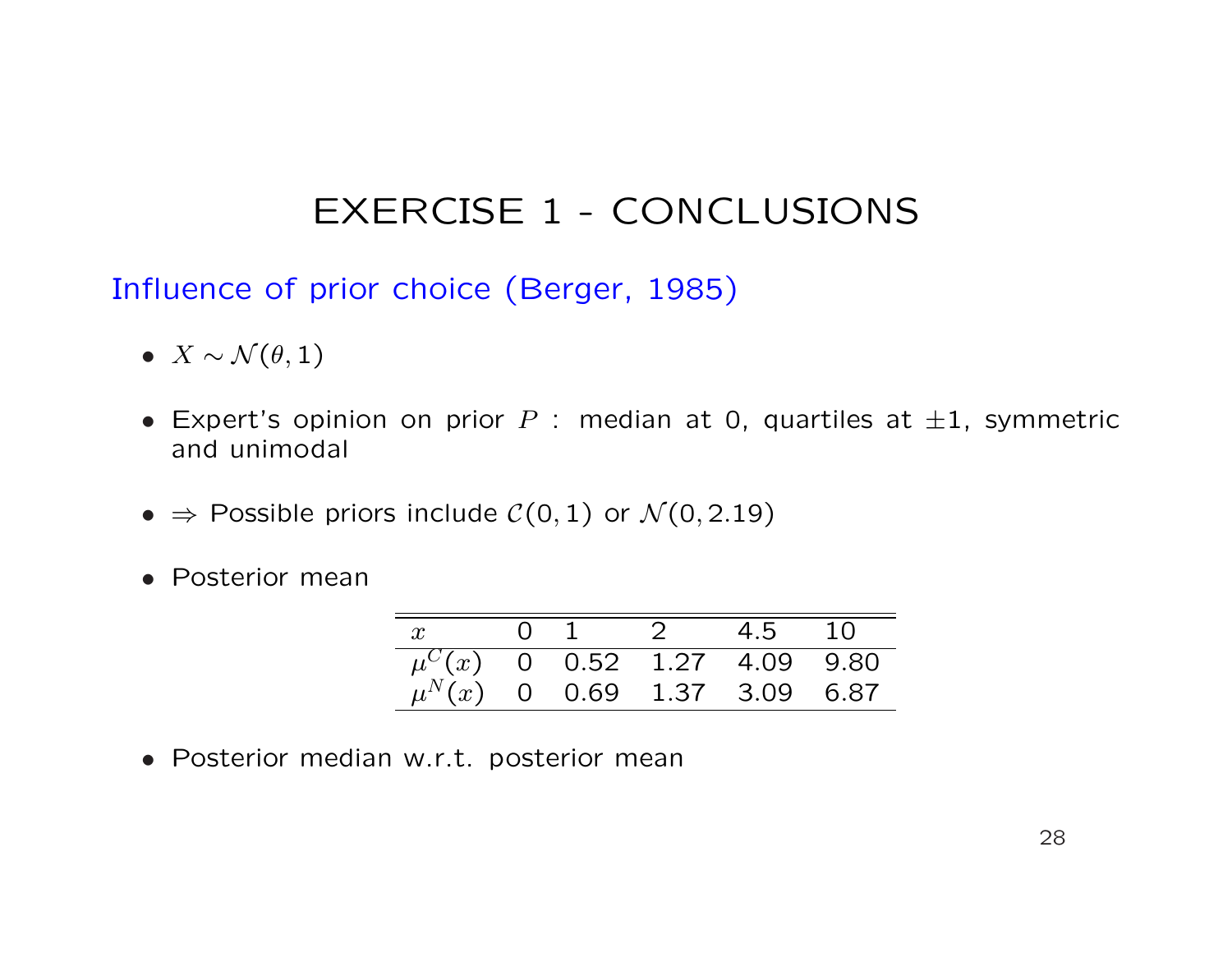## EXERCISE 1 - CONCLUSIONS

Influence of prior choice (Berger, 1985)

- $X \sim \mathcal{N}(\theta, 1)$
- Expert's opinion on prior  $P$  : median at 0, quartiles at  $\pm 1$ , symmetric and unimodal
- $\Rightarrow$  Possible priors include  $C(0, 1)$  or  $\mathcal{N}(0, 2.19)$
- Posterior mean

| $x$ 0 1 2 4.5 10                   |  |  |  |
|------------------------------------|--|--|--|
| $\mu^{C}(x)$ 0 0.52 1.27 4.09 9.80 |  |  |  |
| $\mu^{N}(x)$ 0 0.69 1.37 3.09 6.87 |  |  |  |

• Posterior median w.r.t. posterior mean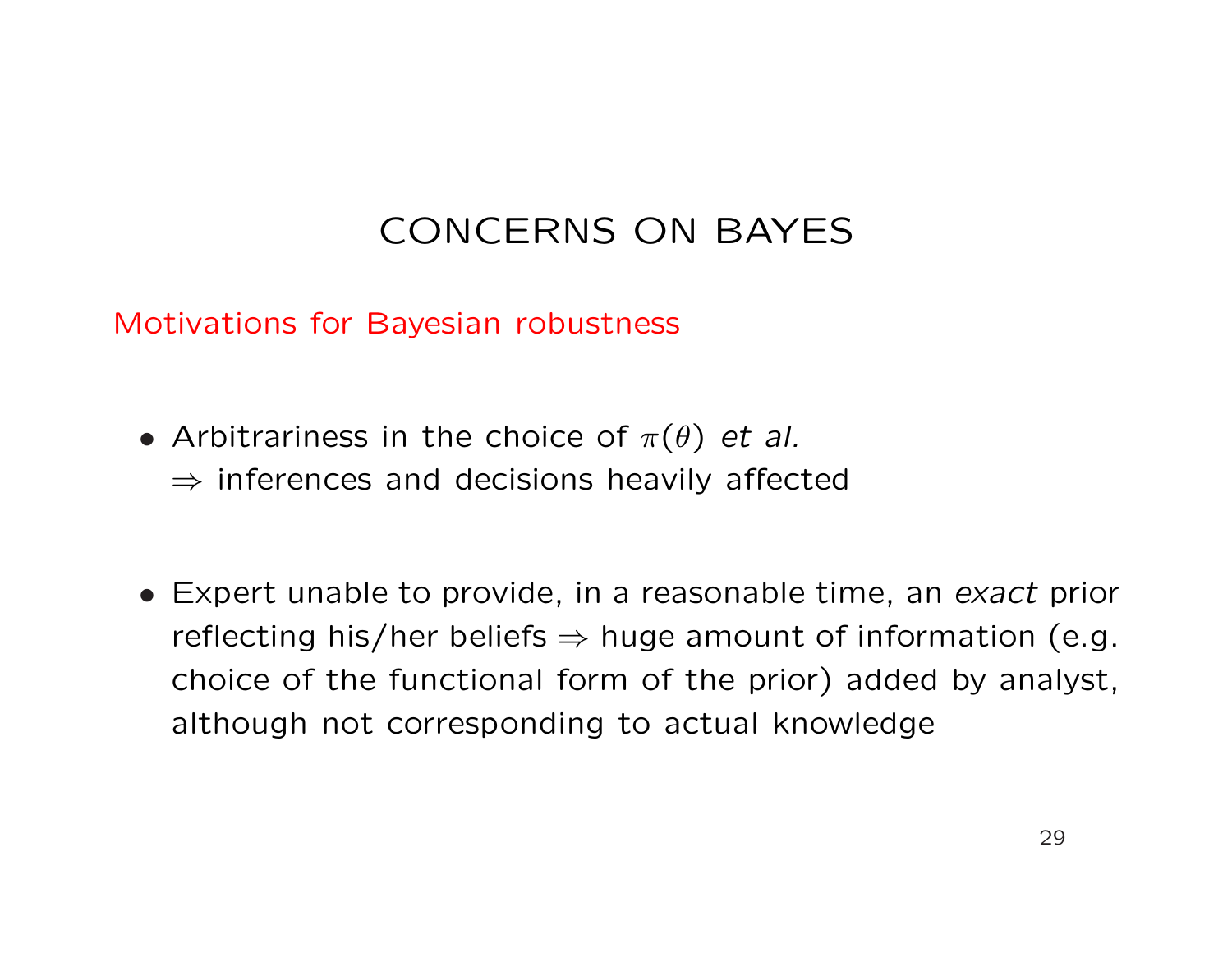# CONCERNS ON BAYES

Motivations for Bayesian robustness

- Arbitrariness in the choice of  $\pi(\theta)$  et al.  $\Rightarrow$  inferences and decisions heavily affected
- Expert unable to provide, in a reasonable time, an exact prior reflecting his/her beliefs  $\Rightarrow$  huge amount of information (e.g. choice of the functional form of the prior) added by analyst, although not corresponding to actual knowledge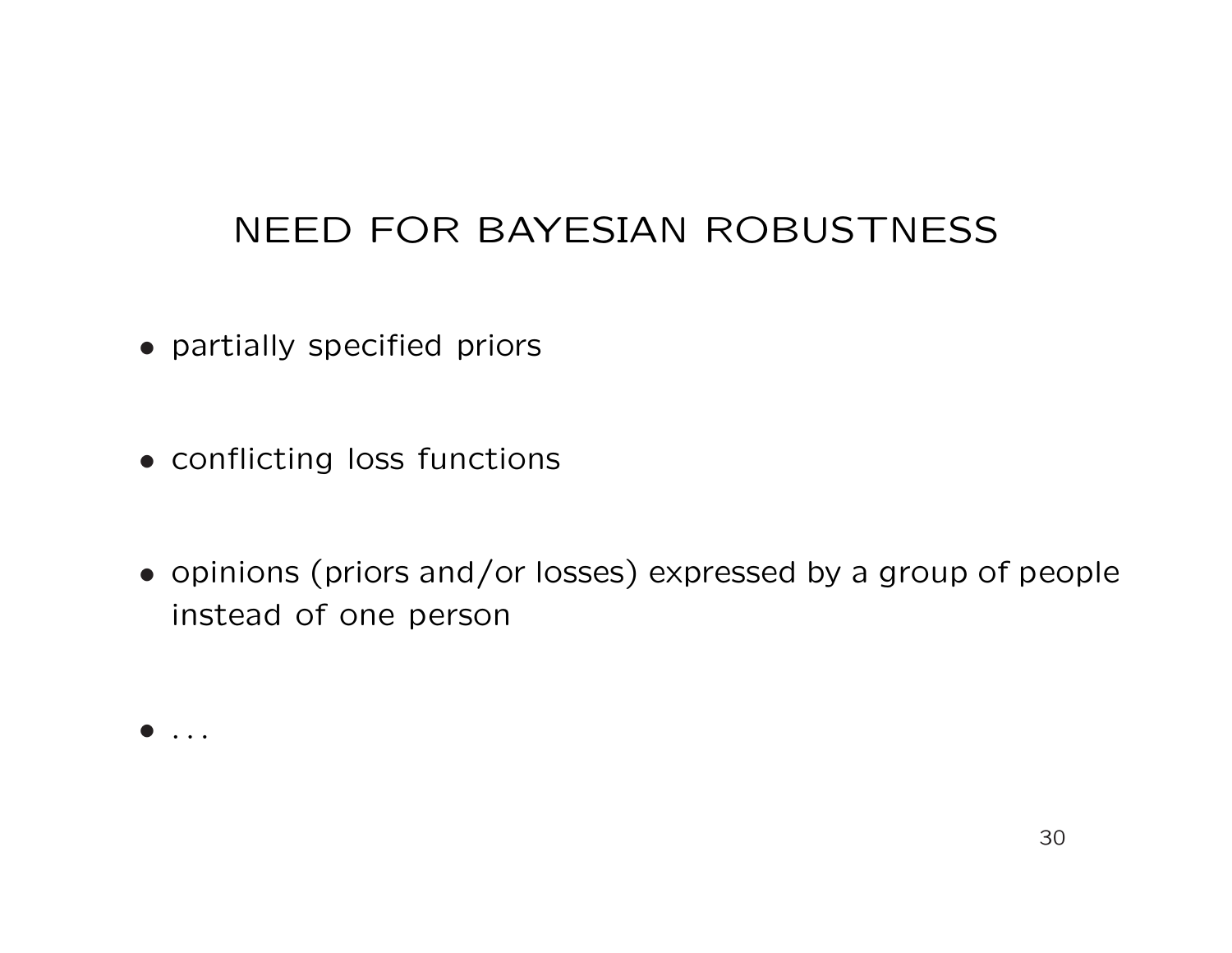## NEED FOR BAYESIAN ROBUSTNESS

- partially specified priors
- conflicting loss functions
- opinions (priors and/or losses) expressed by a group of people instead of one person

• . . .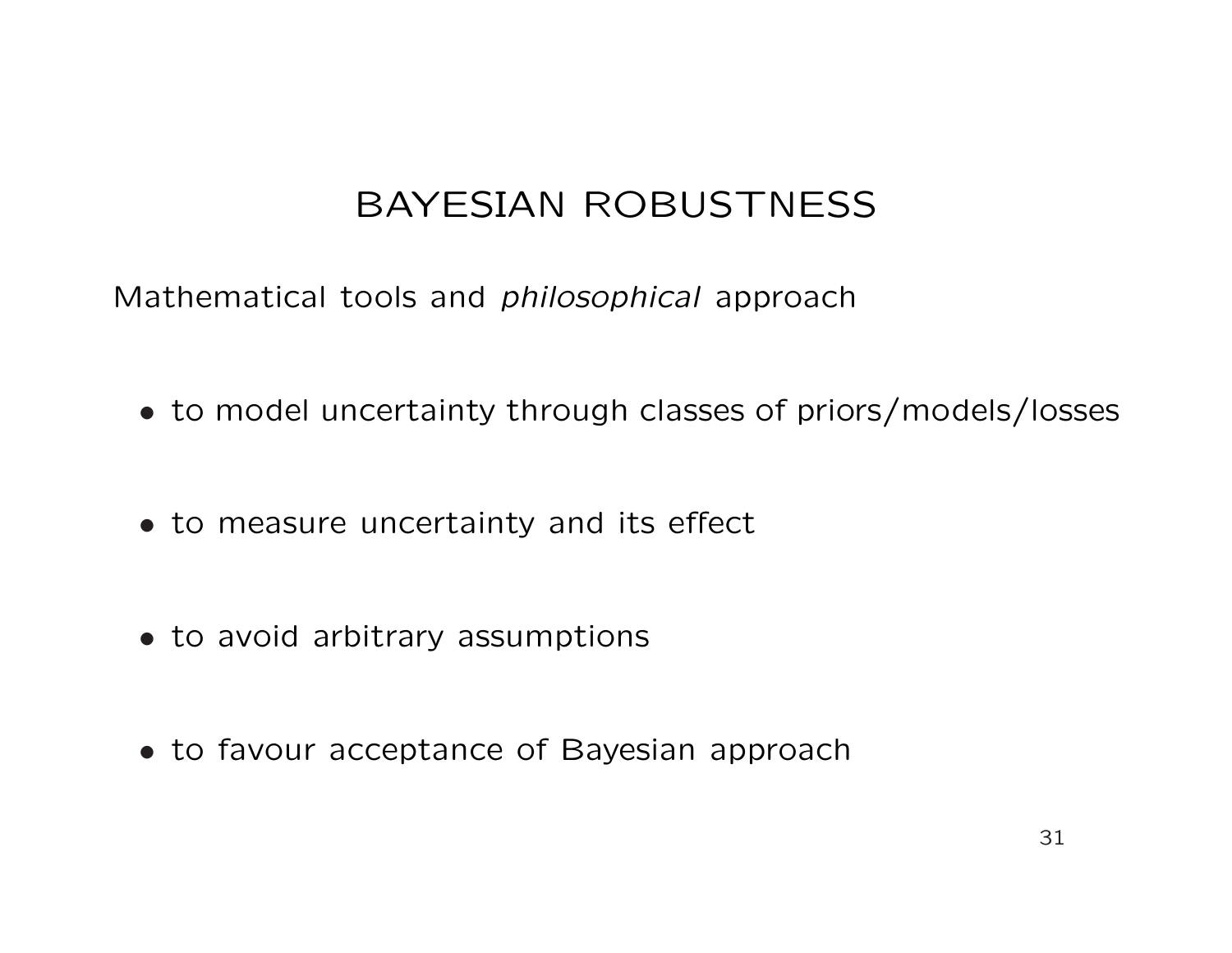## BAYESIAN ROBUSTNESS

Mathematical tools and philosophical approach

- to model uncertainty through classes of priors/models/losses
- to measure uncertainty and its effect
- to avoid arbitrary assumptions
- to favour acceptance of Bayesian approach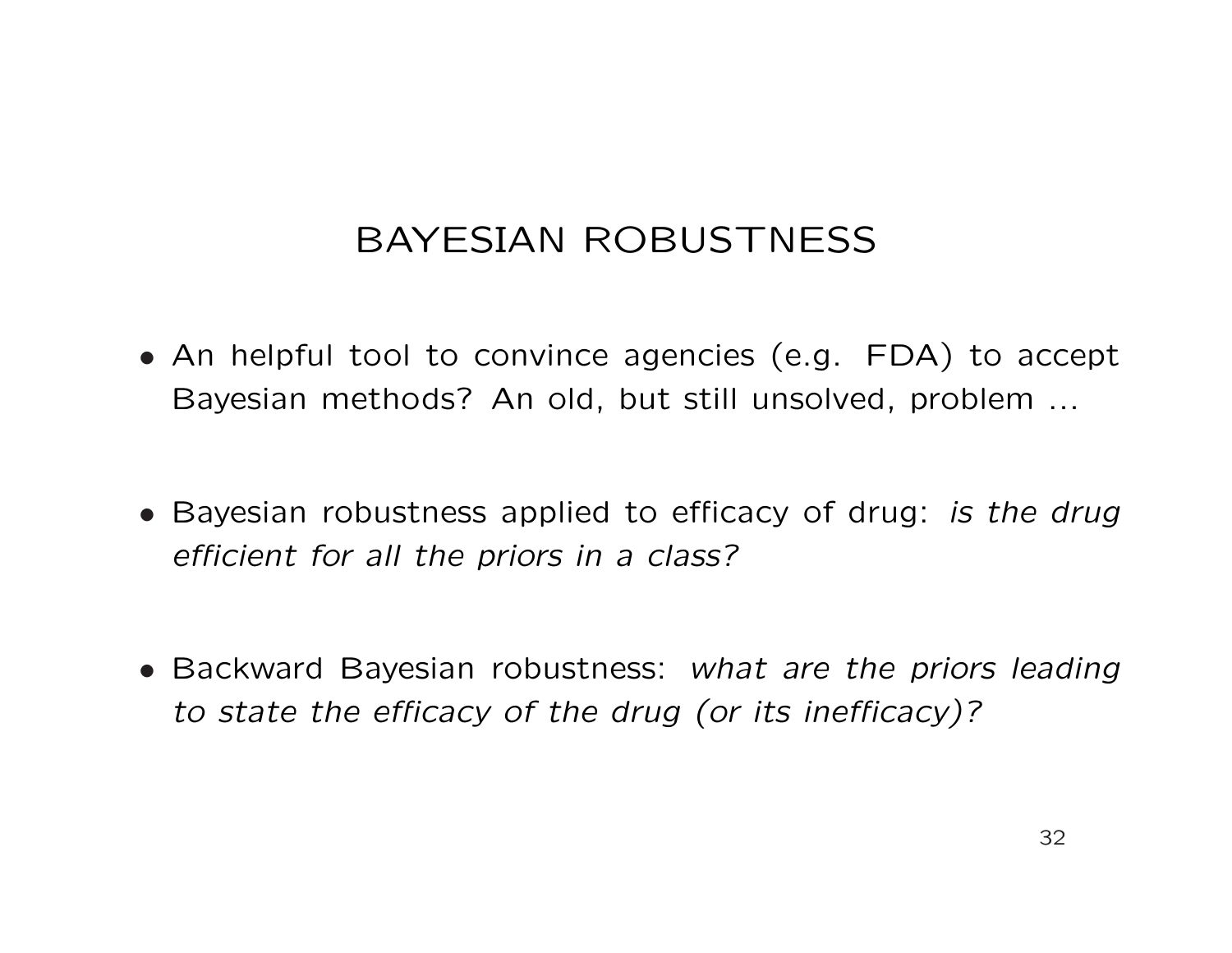## BAYESIAN ROBUSTNESS

- An helpful tool to convince agencies (e.g. FDA) to accept Bayesian methods? An old, but still unsolved, problem ...
- Bayesian robustness applied to efficacy of drug: is the drug efficient for all the priors in a class?
- Backward Bayesian robustness: what are the priors leading to state the efficacy of the drug (or its inefficacy)?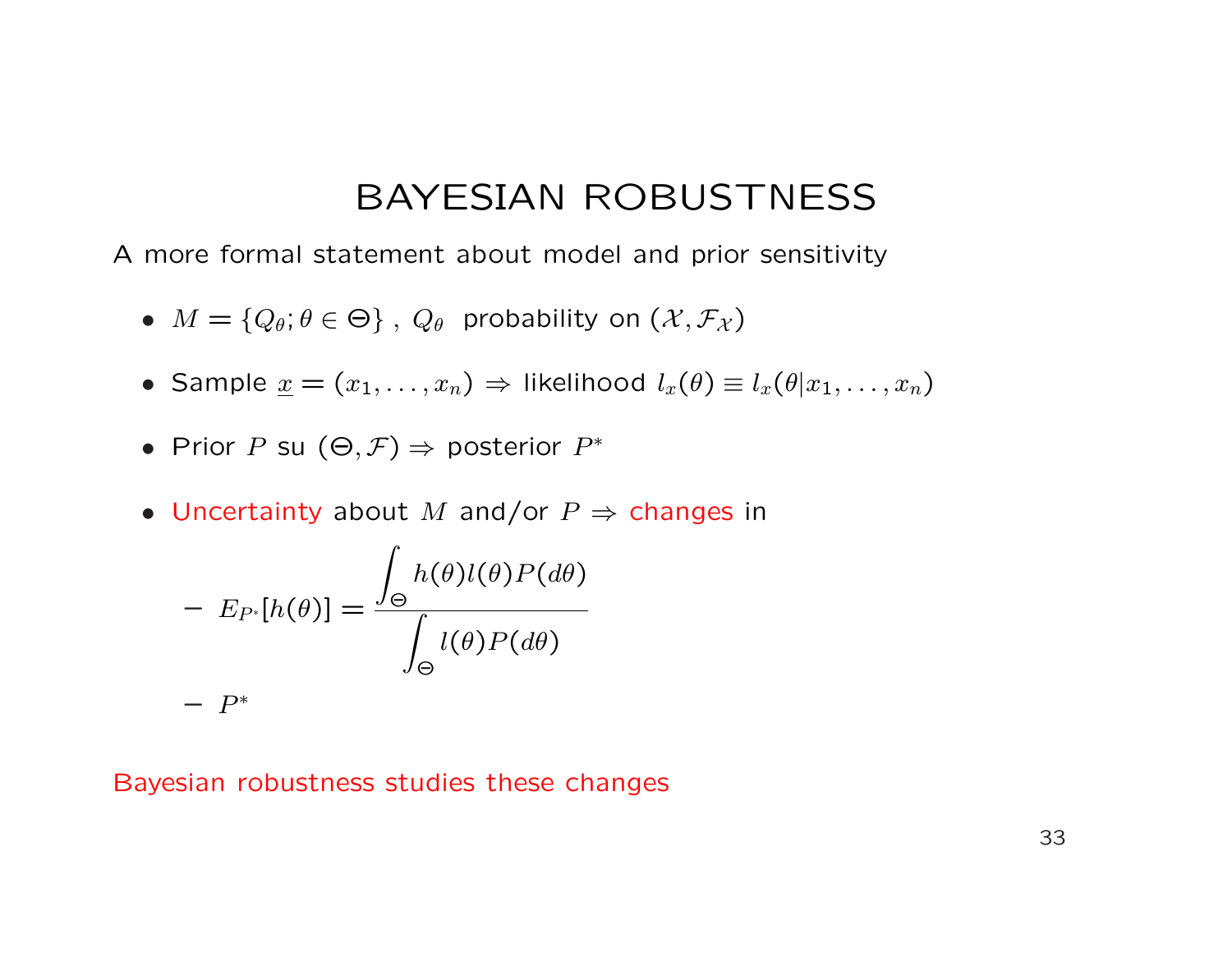### BAYESIAN ROBUSTNESS

A more formal statement about model and prior sensitivity

- $M = \{Q_\theta; \theta \in \Theta\}, Q_\theta$  probability on  $(\mathcal{X}, \mathcal{F}_\mathcal{X})$
- Sample  $\underline{x} = (x_1, \ldots, x_n) \Rightarrow$  likelihood  $l_x(\theta) \equiv l_x(\theta | x_1, \ldots, x_n)$
- Prior P su  $(\Theta, \mathcal{F}) \Rightarrow$  posterior  $P^*$
- Uncertainty about M and/or  $P \Rightarrow$  changes in

$$
- E_{P^*}[h(\theta)] = \frac{\int_{\Theta} h(\theta)l(\theta)P(d\theta)}{\int_{\Theta} l(\theta)P(d\theta)}
$$

$$
- P^*
$$

#### Bayesian robustness studies these changes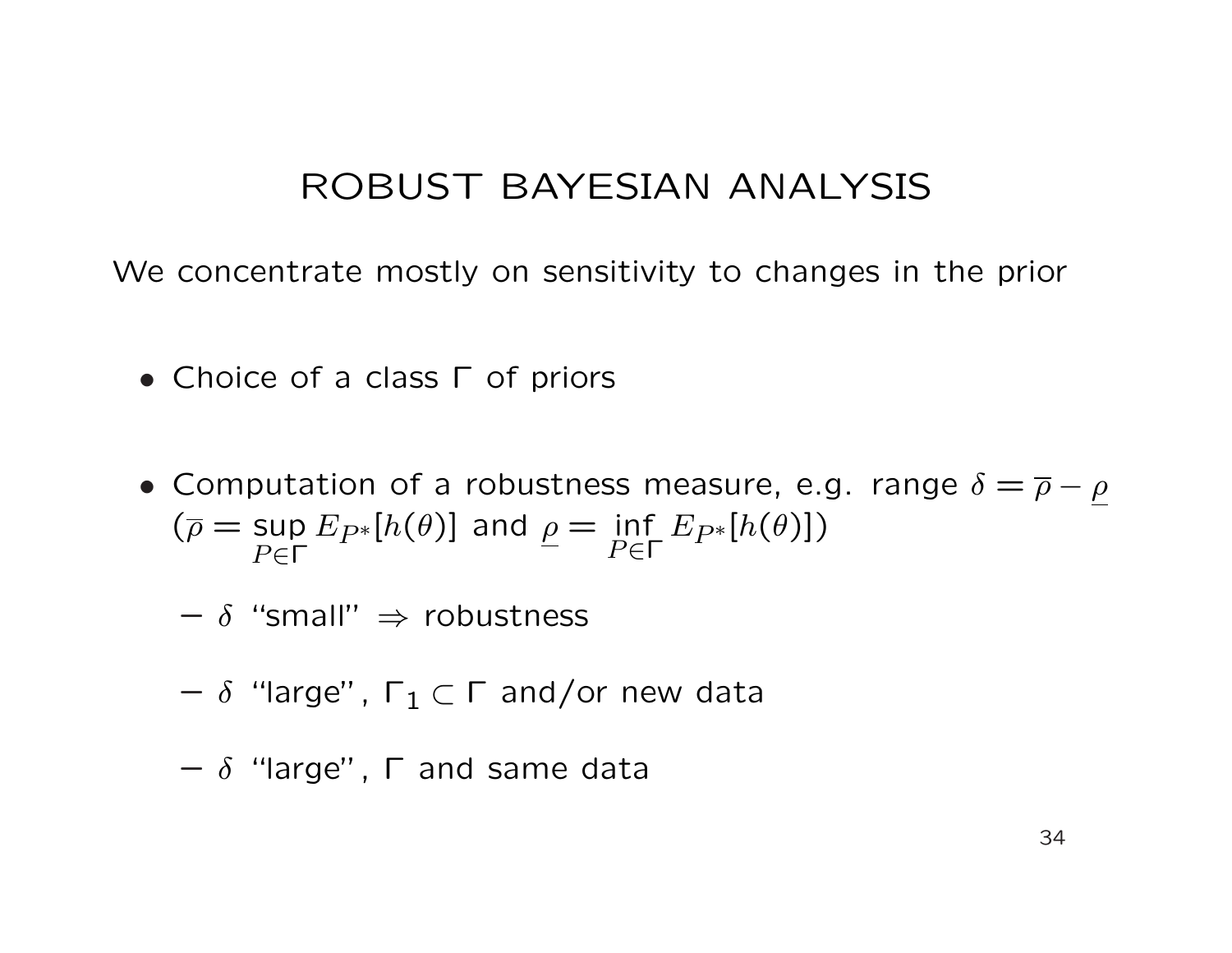### ROBUST BAYESIAN ANALYSIS

We concentrate mostly on sensitivity to changes in the prior

- Choice of a class Γ of priors
- Computation of a robustness measure, e.g. range  $\delta = \overline{\rho} \rho$  $(\overline{\rho} = \sup$  $P ∈ Γ$  $E_{P^*}[h(\theta)]$  and  $\rho = \inf_{D \subset \Gamma}$  $P ∈ Γ$  $E_{P^*}[h(\theta)])$ 
	- $\delta$  "small"  $\Rightarrow$  robustness
	- $\delta$  "large",  $\Gamma_1 \subset \Gamma$  and/or new data
	- $\delta$  "large",  $\Gamma$  and same data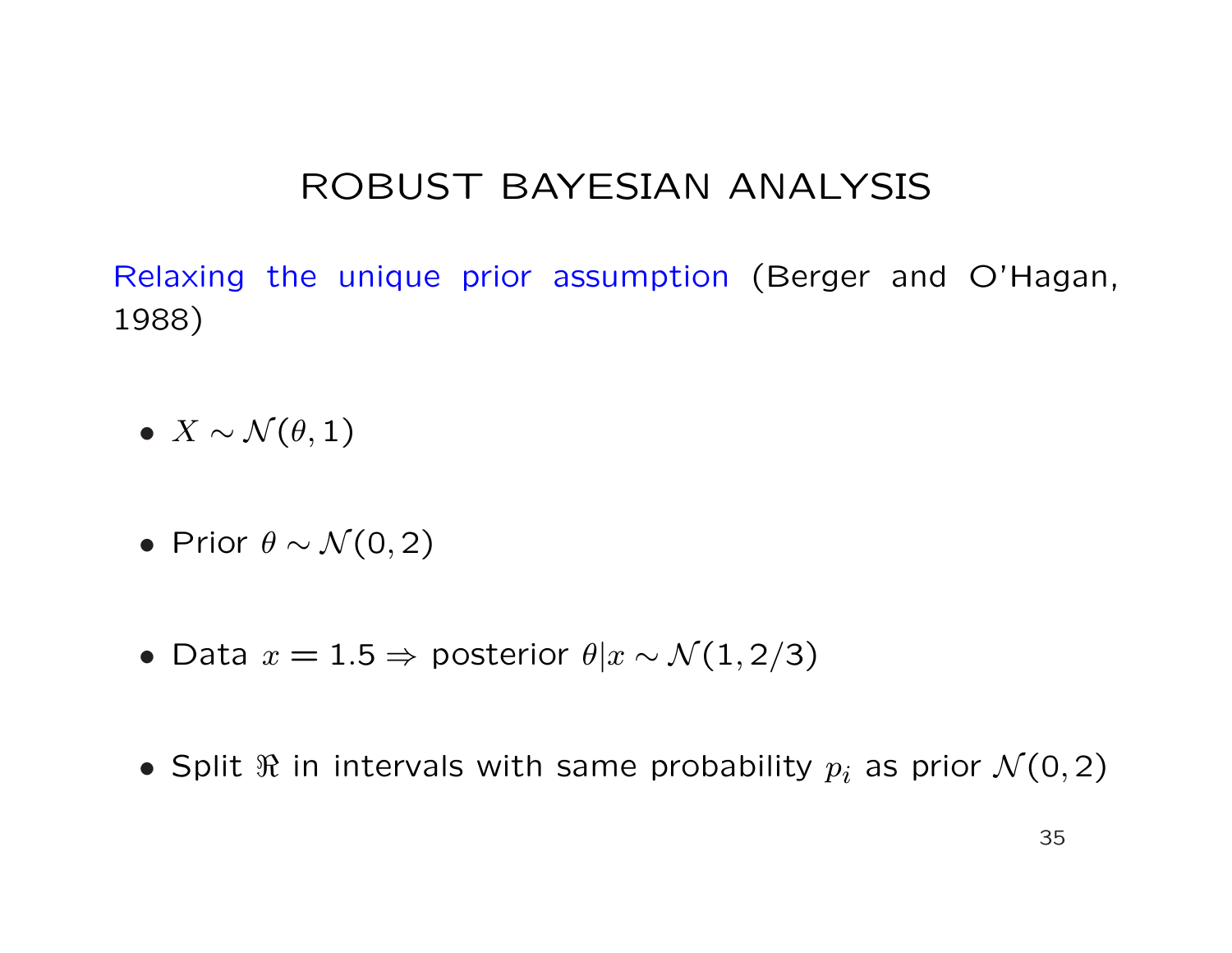### ROBUST BAYESIAN ANALYSIS

Relaxing the unique prior assumption (Berger and O'Hagan, 1988)

- $X \sim \mathcal{N}(\theta, 1)$
- Prior  $\theta \sim \mathcal{N}(0, 2)$
- Data  $x = 1.5 \Rightarrow$  posterior  $\theta | x \sim \mathcal{N}(1, 2/3)$
- Split  $\Re$  in intervals with same probability  $p_i$  as prior  $\mathcal{N}(0, 2)$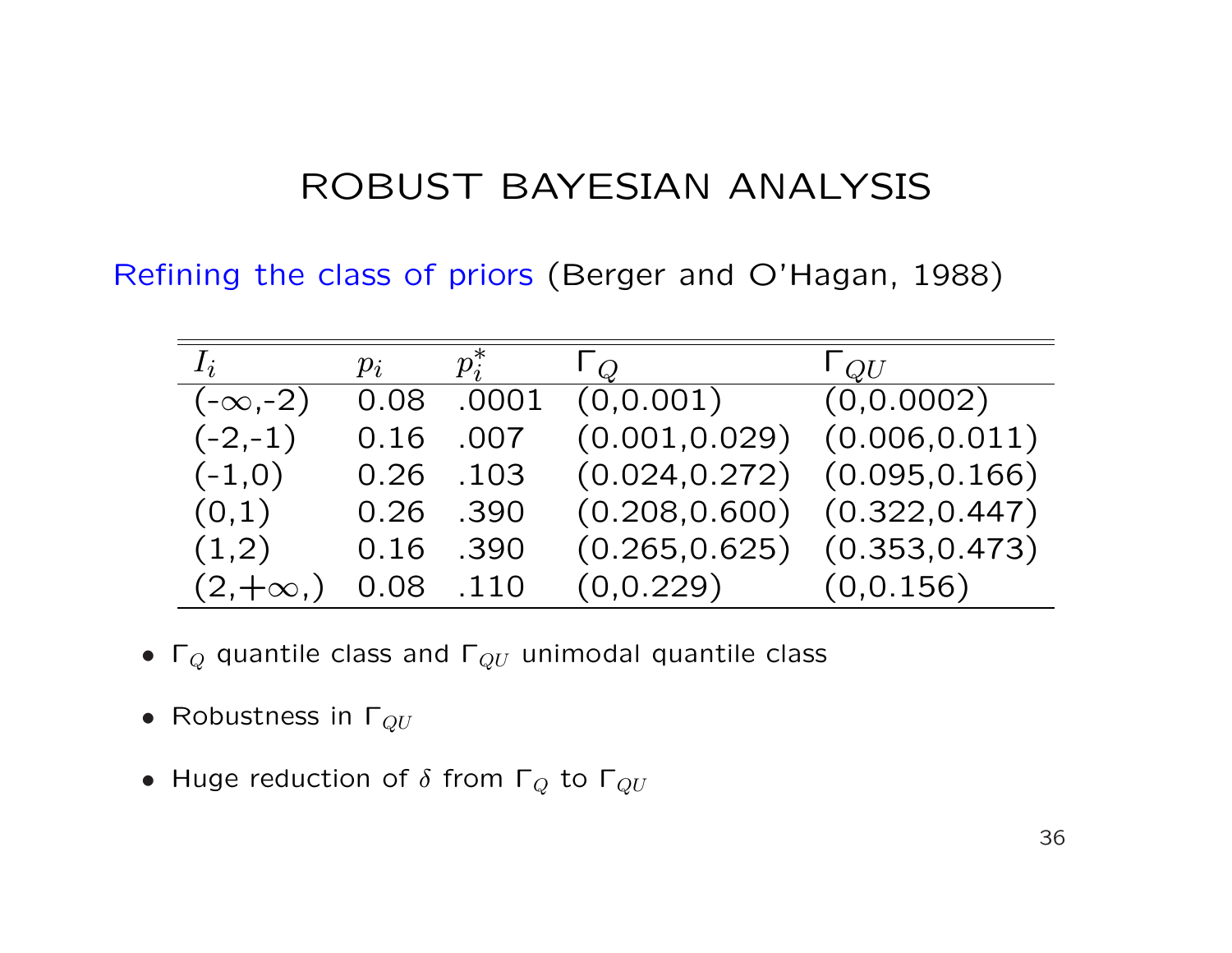### ROBUST BAYESIAN ANALYSIS

Refining the class of priors (Berger and O'Hagan, 1988)

| $I_i$          | $p_i$     | $p_i^*$   | $\mathsf{L}\mathcal{Q}$           | $\mathsf{L}_{QU}$                 |
|----------------|-----------|-----------|-----------------------------------|-----------------------------------|
| $(-\infty,-2)$ | 0.08      | .0001     | (0, 0.001)                        | (0, 0.0002)                       |
| $(-2,-1)$      | 0.16      | .007      | $(0.001, 0.029)$ $(0.006, 0.011)$ |                                   |
| $(-1,0)$       |           | 0.26 .103 | (0.024, 0.272)                    | (0.095, 0.166)                    |
| (0,1)          | 0.26 .390 |           | $(0.208, 0.600)$ $(0.322, 0.447)$ |                                   |
| (1,2)          | 0.16 .390 |           |                                   | $(0.265, 0.625)$ $(0.353, 0.473)$ |
| $(2, +\infty)$ | 0.08 .110 |           | $(0,0.229)$ $(0,0.156)$           |                                   |

- $\Gamma_Q$  quantile class and  $\Gamma_{QU}$  unimodal quantile class
- Robustness in  $\Gamma_{QU}$
- Huge reduction of  $\delta$  from  $\Gamma_Q$  to  $\Gamma_{QU}$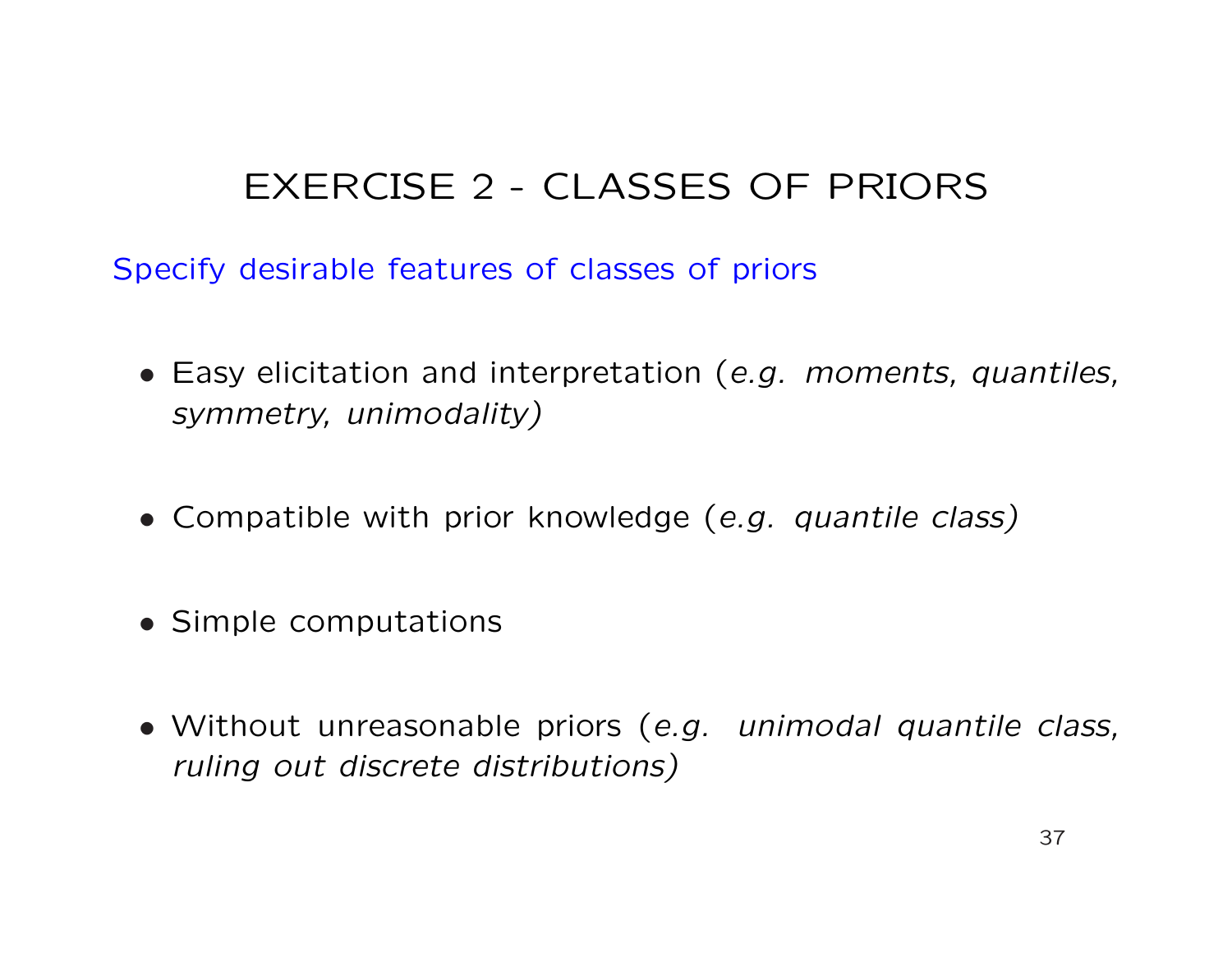# EXERCISE 2 - CLASSES OF PRIORS

Specify desirable features of classes of priors

- Easy elicitation and interpretation (e.g. moments, quantiles, symmetry, unimodality)
- Compatible with prior knowledge (e.g. quantile class)
- Simple computations
- Without unreasonable priors (e.g. unimodal quantile class, ruling out discrete distributions)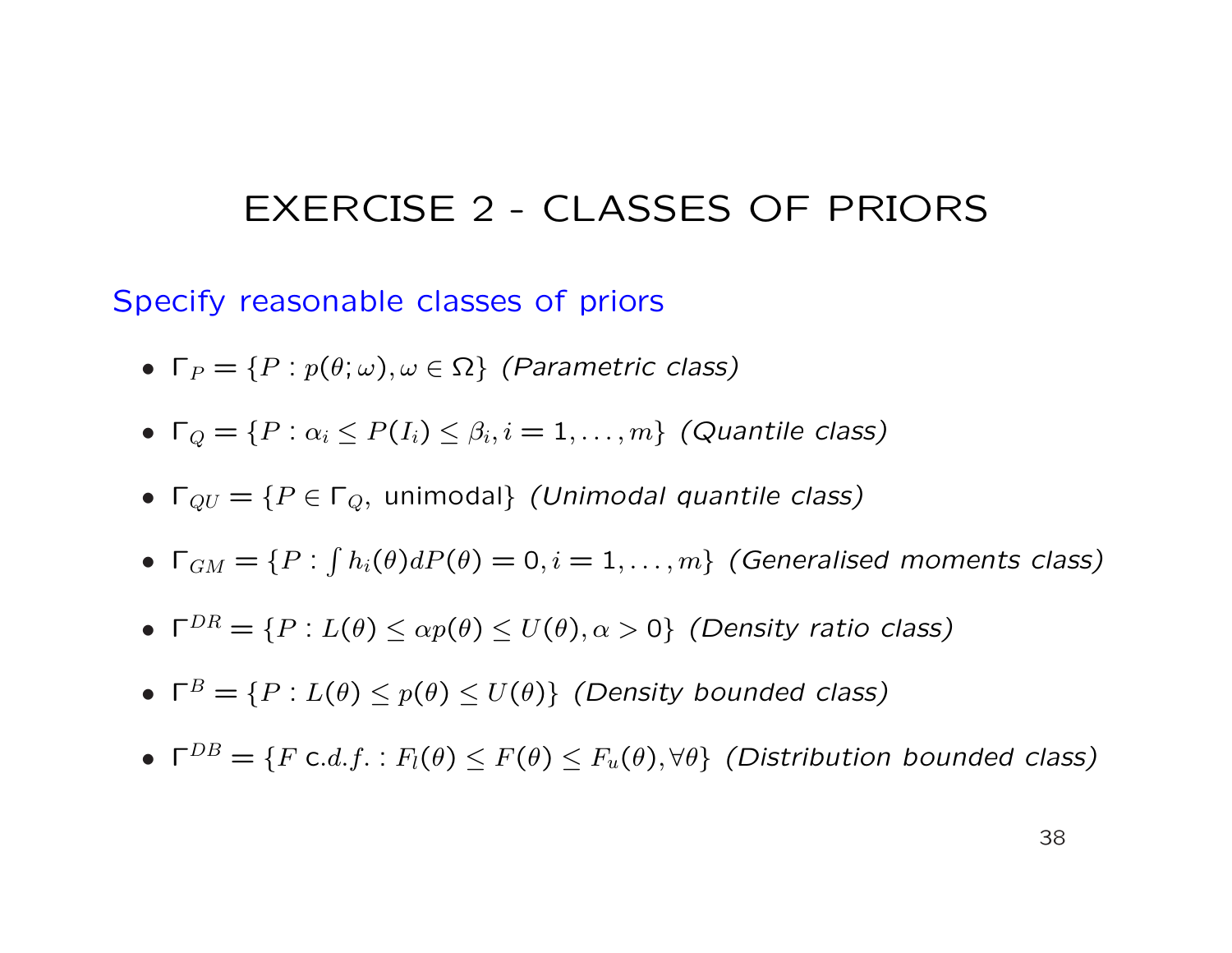### EXERCISE 2 - CLASSES OF PRIORS

Specify reasonable classes of priors

- $\Gamma_P = \{P : p(\theta, \omega), \omega \in \Omega\}$  (Parametric class)
- $\Gamma_Q = \{P : \alpha_i \leq P(I_i) \leq \beta_i, i = 1, \ldots, m\}$  (Quantile class)
- $\Gamma_{QU} = \{P \in \Gamma_Q$ , unimodal} (Unimodal quantile class)
- $\bullet\ \mathsf{\Gamma}_{GM}=\{P:$ R  $h_i(\theta)dP(\theta)=0,i=1,\ldots,m\}$  (Generalised moments class)
- $\Gamma^{DR} = \{P : L(\theta) \leq \alpha p(\theta) \leq U(\theta), \alpha > 0\}$  (Density ratio class)
- $\Gamma^B = \{P : L(\theta) \le p(\theta) \le U(\theta)\}\$  (Density bounded class)
- $\Gamma^{DB} = \{F \text{ c.d.f.} : F_l(\theta) \leq F(\theta) \leq F_u(\theta), \forall \theta\}$  (Distribution bounded class)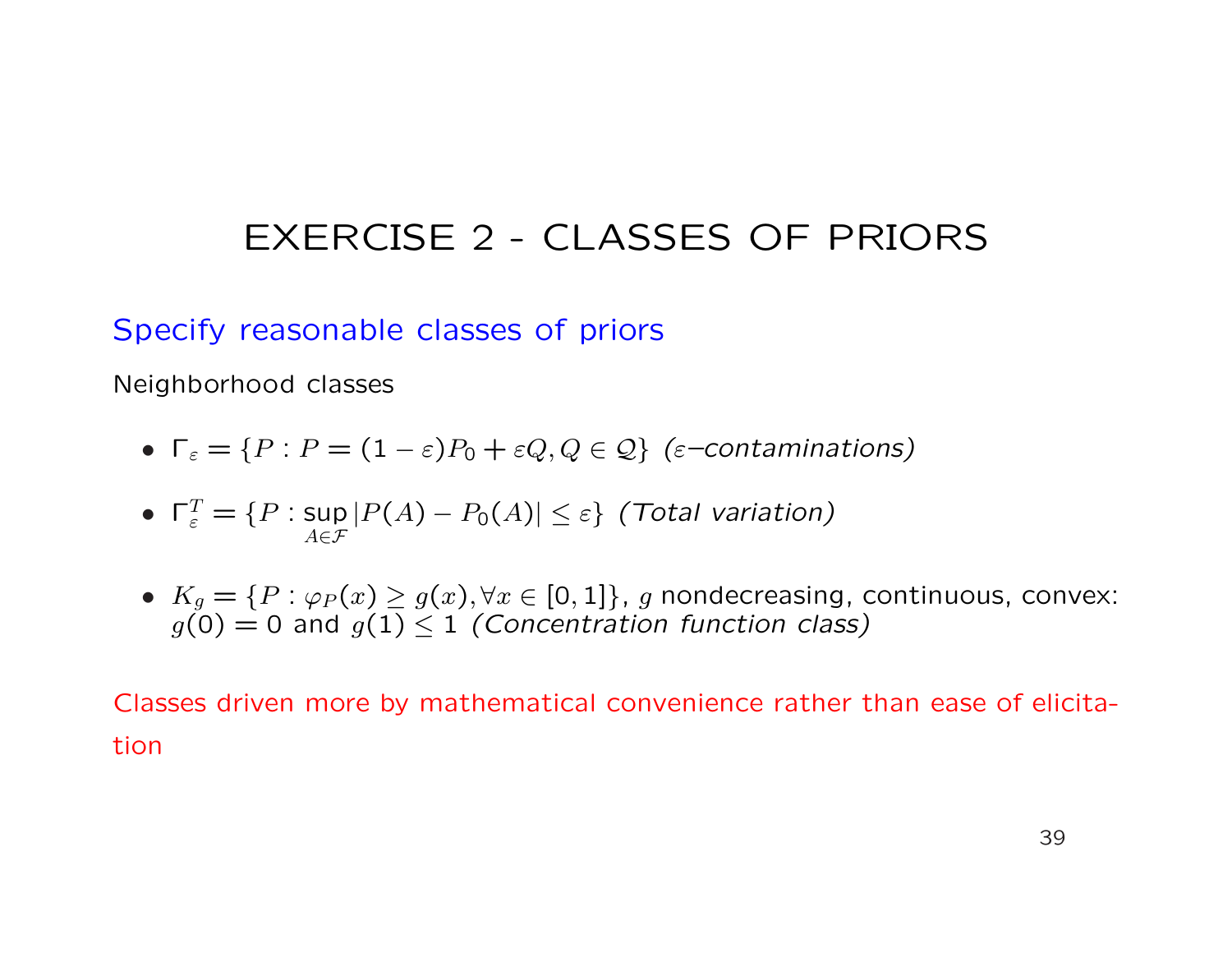# EXERCISE 2 - CLASSES OF PRIORS

#### Specify reasonable classes of priors

Neighborhood classes

- $\Gamma_{\varepsilon} = \{P : P = (1 \varepsilon)P_0 + \varepsilon Q, Q \in \mathcal{Q}\}\;(\varepsilon\text{-}continuous)$
- $\Gamma_{\varepsilon}^T = \{P : \text{sup}$  $A \in \mathcal{F}$  $|P(A) - P_0(A)| \leq \varepsilon\}$  (Total variation)
- $K_g = \{P : \varphi_P(x) \ge g(x), \forall x \in [0,1]\}, g$  nondecreasing, continuous, convex:  $g(0) = 0$  and  $g(1) \le 1$  (Concentration function class)

Classes driven more by mathematical convenience rather than ease of elicitation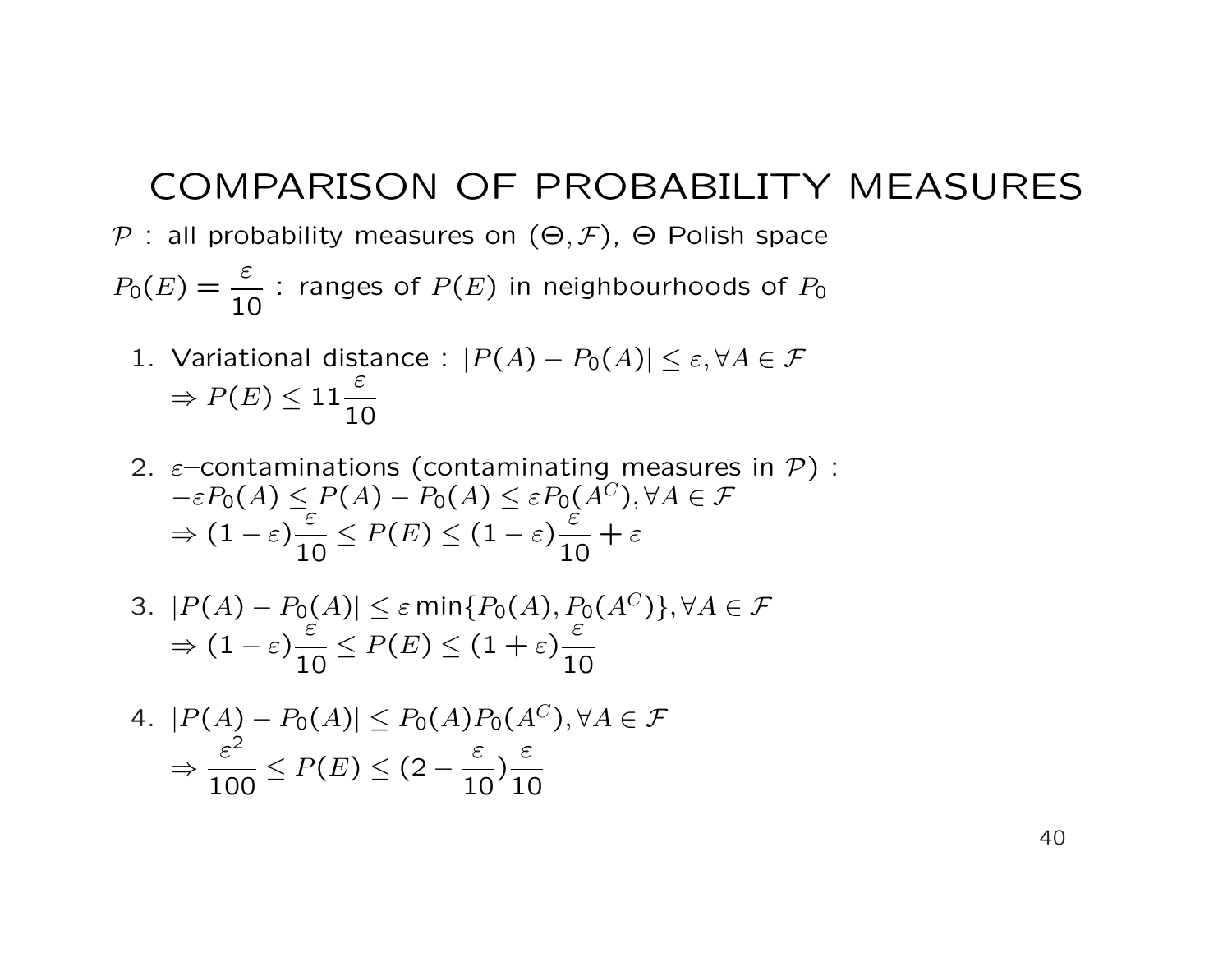#### COMPARISON OF PROBABILITY MEASURES

P : all probability measures on  $(\Theta, \mathcal{F})$ ,  $\Theta$  Polish space

 $P_0(E) = \frac{\varepsilon}{16}$ 10 : ranges of  $P(E)$  in neighbourhoods of  $P_0$ 

- 1. Variational distance :  $|P(A) P_0(A)| \leq \varepsilon$ ,  $\forall A \in \mathcal{F}$  $\Rightarrow$   $P(E) \leq 11$ ε 10
- 2.  $\varepsilon$ -contaminations (contaminating measures in  $\mathcal{P}$ ) :  $-\varepsilon P_0(A) \leq P(A) - P_0(A) \leq \varepsilon P_0(A^C), \forall A \in \mathcal{F}$  $\Rightarrow (1-\varepsilon)$ .<br>ε 10  $\leq P(E) \leq (1-\varepsilon)$ ε 10  $+ \varepsilon$
- 3.  $|P(A) P_0(A)| \leq \varepsilon \min\{P_0(A), P_0(A^C)\}, \forall A \in \mathcal{F}$  $\Rightarrow (1-\varepsilon)$ ε 10  $\leq P(E) \leq (1+\varepsilon)$ ε 10

4. 
$$
|P(A) - P_0(A)| \le P_0(A)P_0(A^C), \forall A \in \mathcal{F}
$$
  
\n $\Rightarrow \frac{\varepsilon^2}{100} \le P(E) \le (2 - \frac{\varepsilon}{10})\frac{\varepsilon}{10}$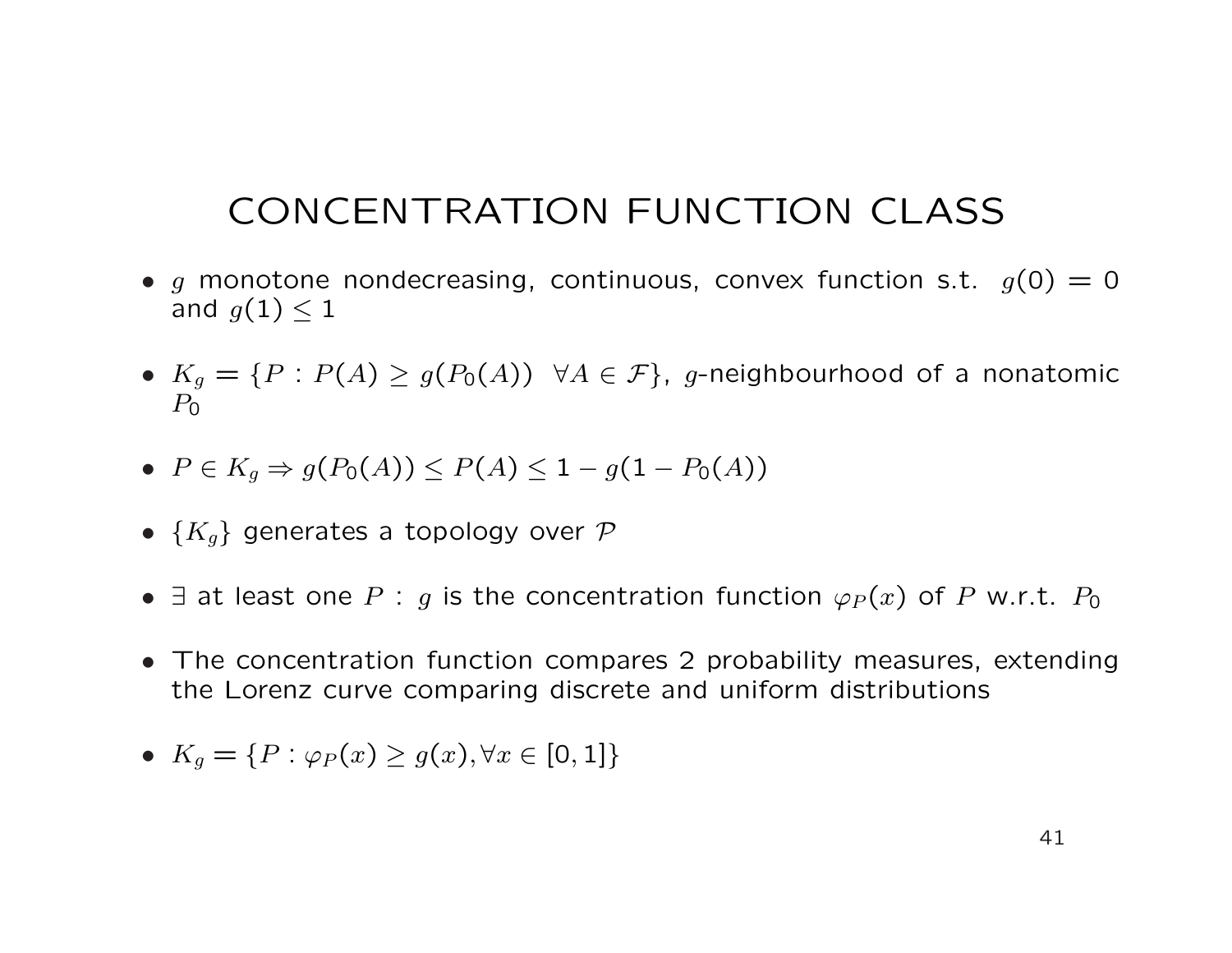# CONCENTRATION FUNCTION CLASS

- g monotone nondecreasing, continuous, convex function s.t.  $g(0) = 0$ and  $g(1) < 1$
- $K_g = \{P : P(A) \ge g(P_0(A)) \ \forall A \in \mathcal{F}\}\$ , g-neighbourhood of a nonatomic  $P_0$
- $P \in K_q \Rightarrow q(P_0(A)) \leq P(A) \leq 1 q(1 P_0(A))$
- $\{K_g\}$  generates a topology over  $\mathcal P$
- $\exists$  at least one P : g is the concentration function  $\varphi_P(x)$  of P w.r.t.  $P_0$
- The concentration function compares 2 probability measures, extending the Lorenz curve comparing discrete and uniform distributions
- $K_q = \{P : \varphi_P(x) > q(x), \forall x \in [0,1]\}$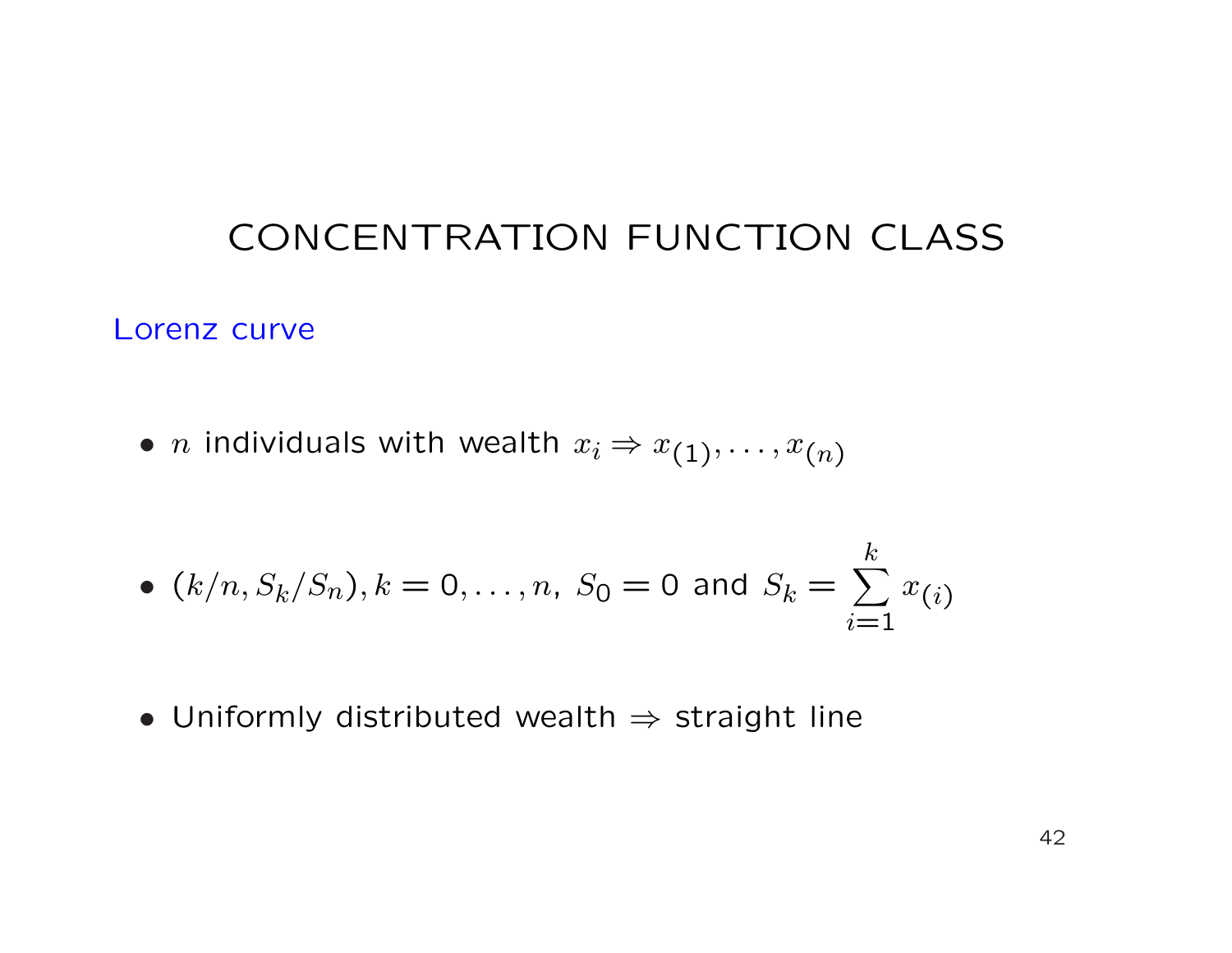# CONCENTRATION FUNCTION CLASS

Lorenz curve

• *n* individuals with wealth  $x_i \Rightarrow x_{(1)}, \ldots, x_{(n)}$ 

• 
$$
(k/n, S_k/S_n), k = 0, ..., n, S_0 = 0
$$
 and  $S_k = \sum_{i=1}^k x_{(i)}$ 

• Uniformly distributed wealth  $\Rightarrow$  straight line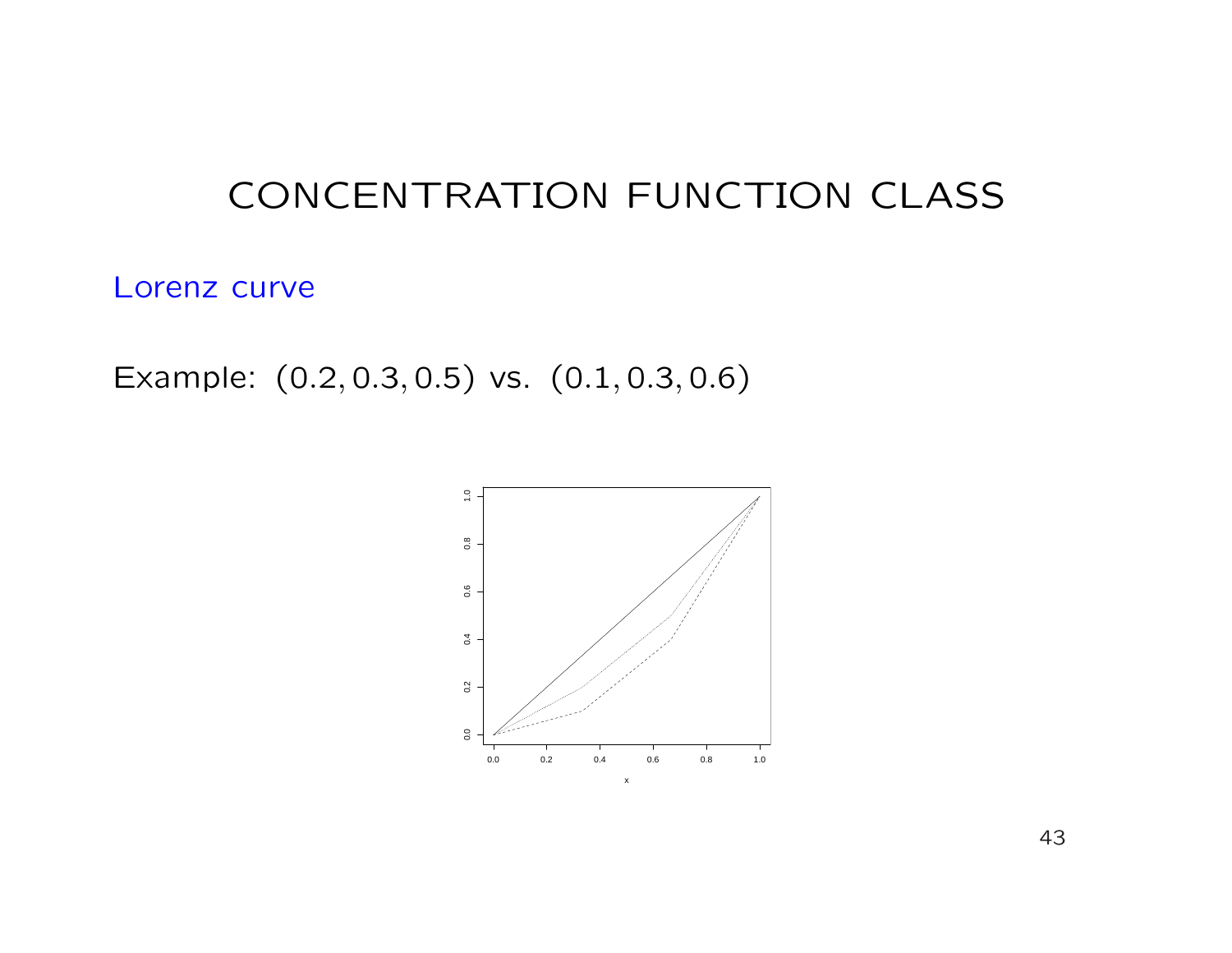# CONCENTRATION FUNCTION CLASS

Lorenz curve

Example: (0.2, 0.3, 0.5) vs. (0.1, 0.3, 0.6)

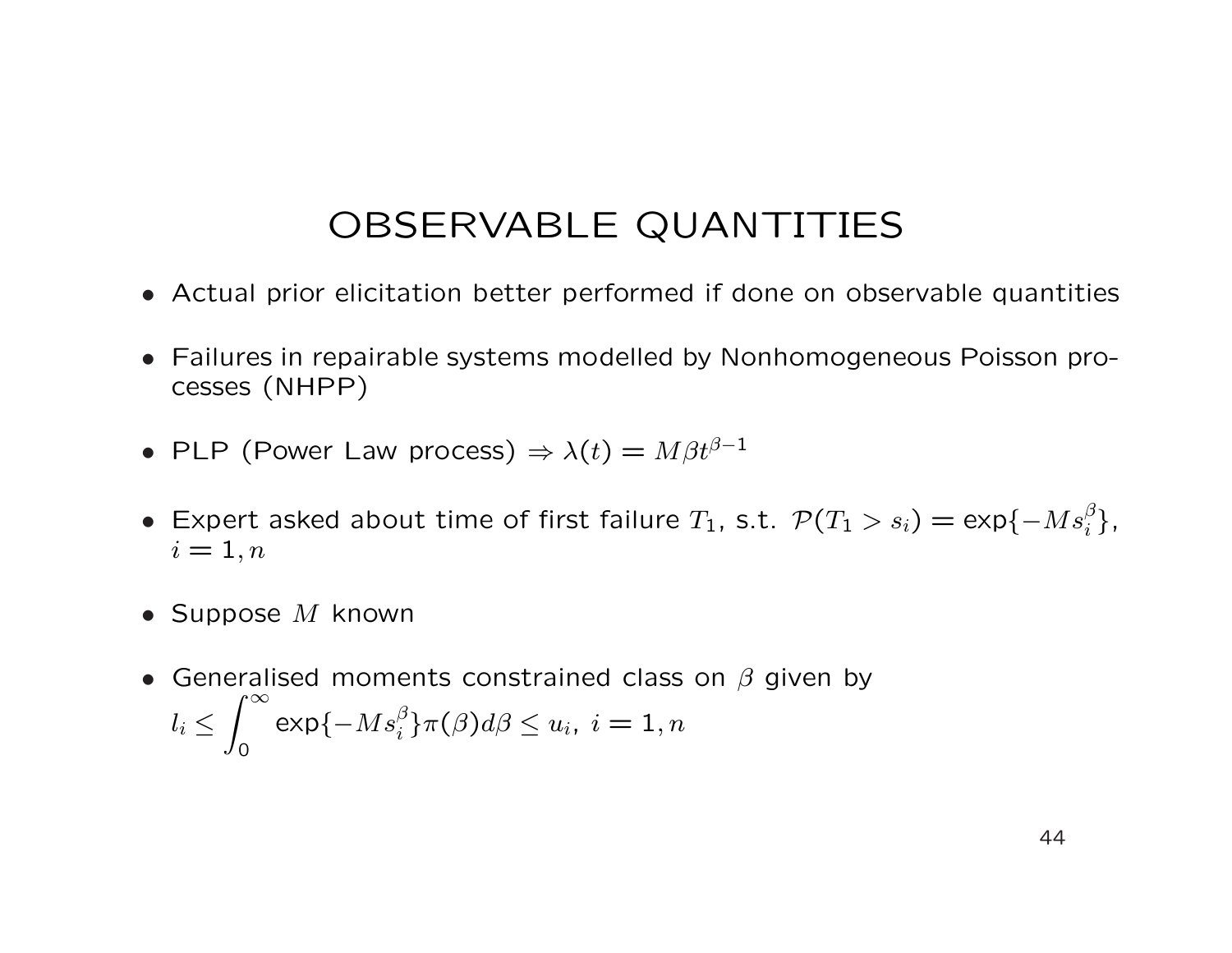## OBSERVABLE QUANTITIES

- Actual prior elicitation better performed if done on observable quantities
- Failures in repairable systems modelled by Nonhomogeneous Poisson processes (NHPP)
- PLP (Power Law process)  $\Rightarrow \lambda(t) = M\beta t^{\beta-1}$
- Expert asked about time of first failure  $T_1$ , s.t.  $\mathcal{P}(T_1 > s_i) = \exp\{-Ms_i^{\beta}\},$  $i=1,n$
- Suppose  $M$  known
- Generalised moments constrained class on  $\beta$  given by  $l_i \leq$ 0  $\exp\{-Ms_i^\beta\}\pi(\beta)d\beta\leq u_i,\ i=1,n$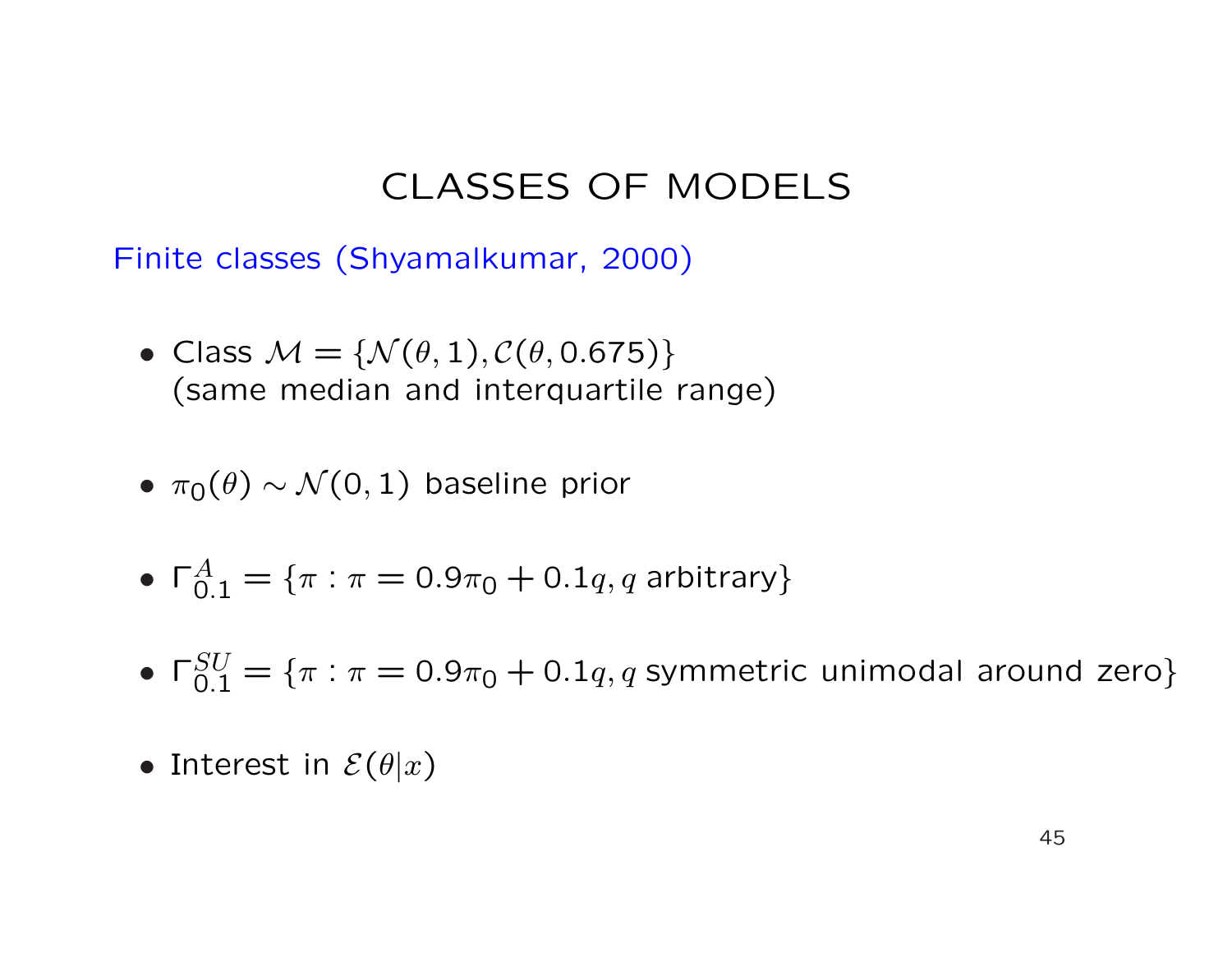Finite classes (Shyamalkumar, 2000)

- Class  $M = \{N(\theta, 1), C(\theta, 0.675)\}\$ (same median and interquartile range)
- $\pi_0(\theta) \sim \mathcal{N}(0, 1)$  baseline prior
- $\Gamma^A_{0.1} = \{\pi: \pi = 0.9\pi_0 + 0.1q, q \text{ arbitrary}\}$
- $\Gamma_{0.1}^{SU} = \{\pi: \pi = 0.9\pi_0 + 0.1q, q$  symmetric unimodal around zero}
- Interest in  $\mathcal{E}(\theta|x)$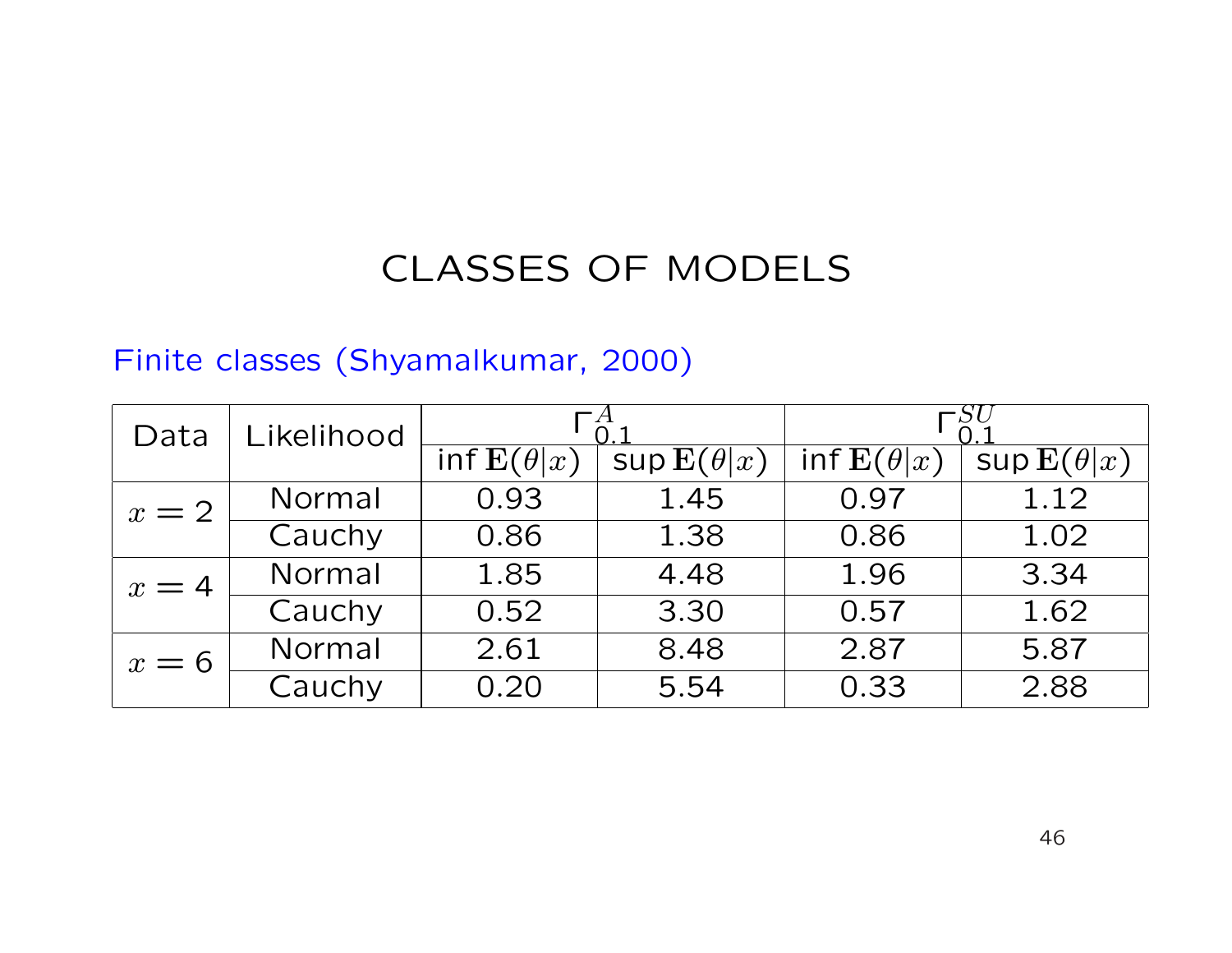#### Finite classes (Shyamalkumar, 2000)

| Data  | Likelihood |                   |                             |                   |                    |
|-------|------------|-------------------|-----------------------------|-------------------|--------------------|
|       |            | inf $E(\theta x)$ | $\sup \mathbf{E}(\theta x)$ | inf $E(\theta x)$ | $\sup E(\theta x)$ |
| $x=2$ | Normal     | 0.93              | 1.45                        | 0.97              | 1.12               |
|       | Cauchy     | 0.86              | 1.38                        | 0.86              | 1.02               |
| $x=4$ | Normal     | 1.85              | 4.48                        | 1.96              | 3.34               |
|       | Cauchy     | 0.52              | 3.30                        | 0.57              | 1.62               |
| $x=6$ | Normal     | 2.61              | 8.48                        | 2.87              | 5.87               |
|       | Cauchy     | 0.20              | 5.54                        | 0.33              | 2.88               |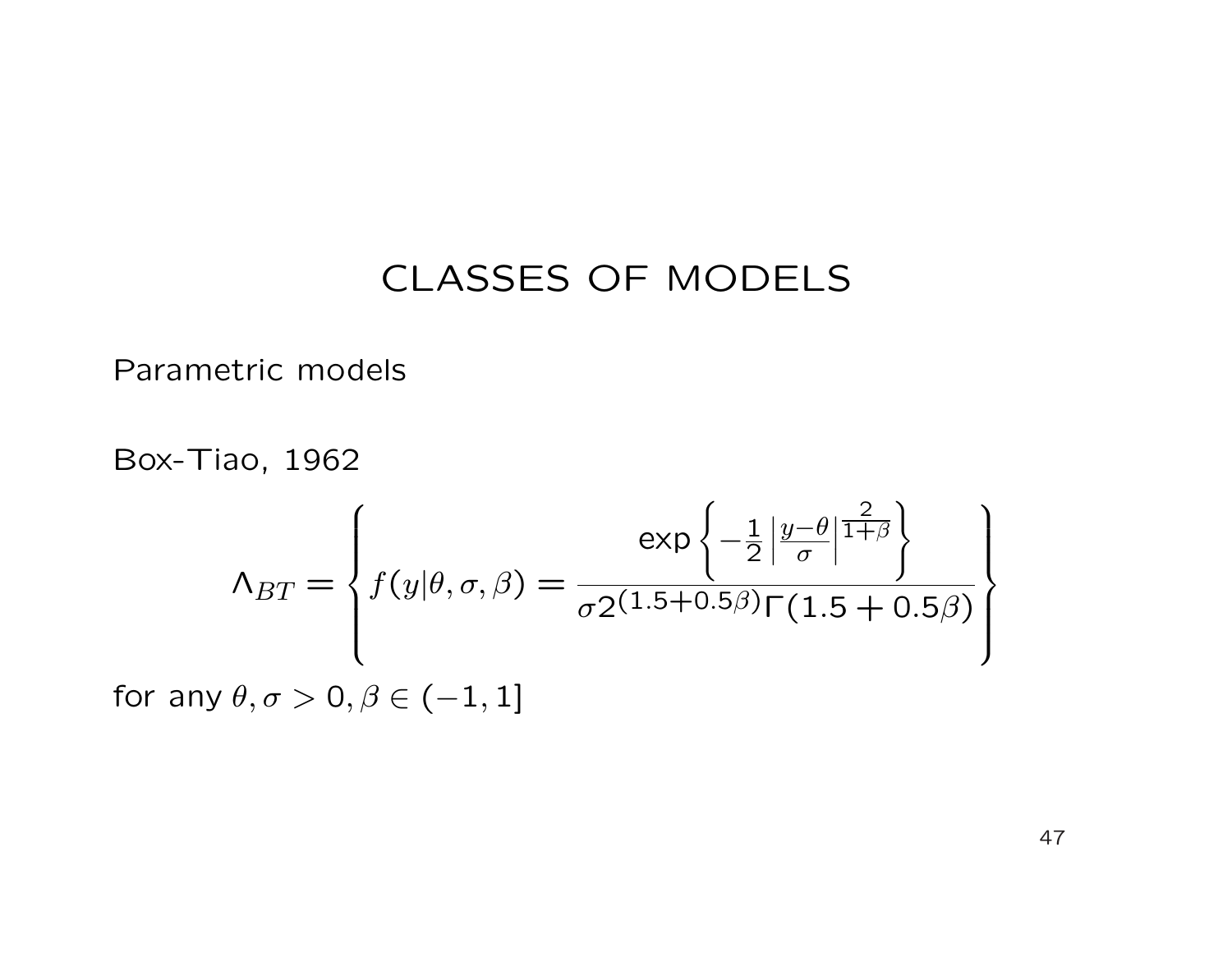Parametric models

Box-Tiao, 1962

$$
\Lambda_{BT} = \left\{ f(y|\theta, \sigma, \beta) = \frac{\exp\left\{-\frac{1}{2} \left| \frac{y-\theta}{\sigma} \right| \frac{2}{1+\beta} \right\}}{\sigma 2^{(1.5+0.5\beta)} \Gamma(1.5+0.5\beta)} \right\}
$$

for any  $\theta, \sigma > 0, \beta \in (-1, 1]$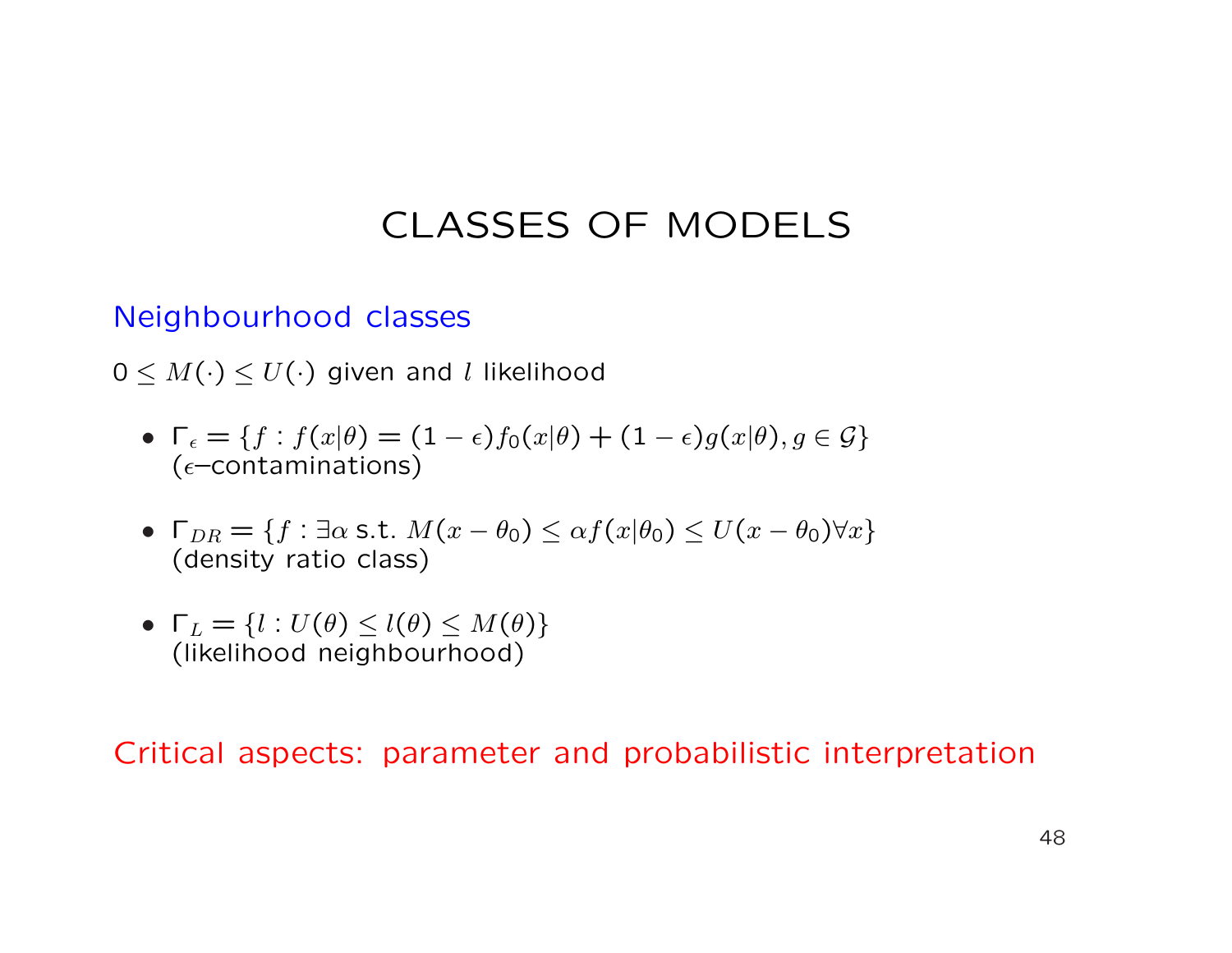#### Neighbourhood classes

 $0 \leq M(\cdot) \leq U(\cdot)$  given and l likelihood

- $\Gamma_{\epsilon} = \{f : f(x|\theta) = (1 \epsilon)f_0(x|\theta) + (1 \epsilon)g(x|\theta), g \in \mathcal{G}\}\$ ( $\epsilon$ –contaminations)
- $\Gamma_{DR} = \{f : \exists \alpha \text{ s.t. } M(x \theta_0) \leq \alpha f(x|\theta_0) \leq U(x \theta_0) \forall x\}$ (density ratio class)
- $\Gamma_L = \{l : U(\theta) \leq l(\theta) \leq M(\theta)\}\$ (likelihood neighbourhood)

#### Critical aspects: parameter and probabilistic interpretation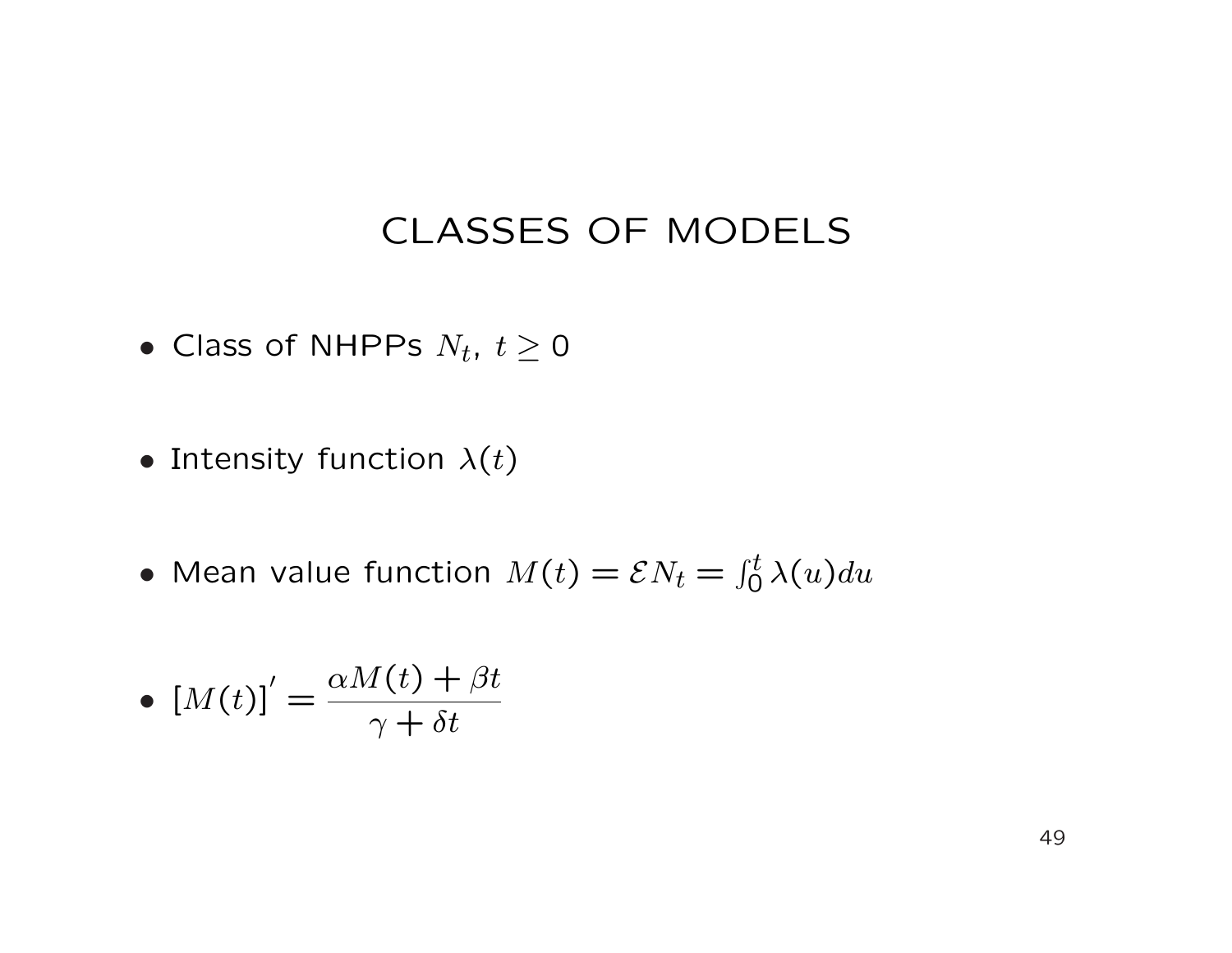- Class of NHPPs  $N_t$ ,  $t \geq 0$
- Intensity function  $\lambda(t)$
- Mean value function  $M(t) = \mathcal{E} N_t =$  $\int_0^t \lambda(u) du$

• 
$$
\left[M(t)\right]' = \frac{\alpha M(t) + \beta t}{\gamma + \delta t}
$$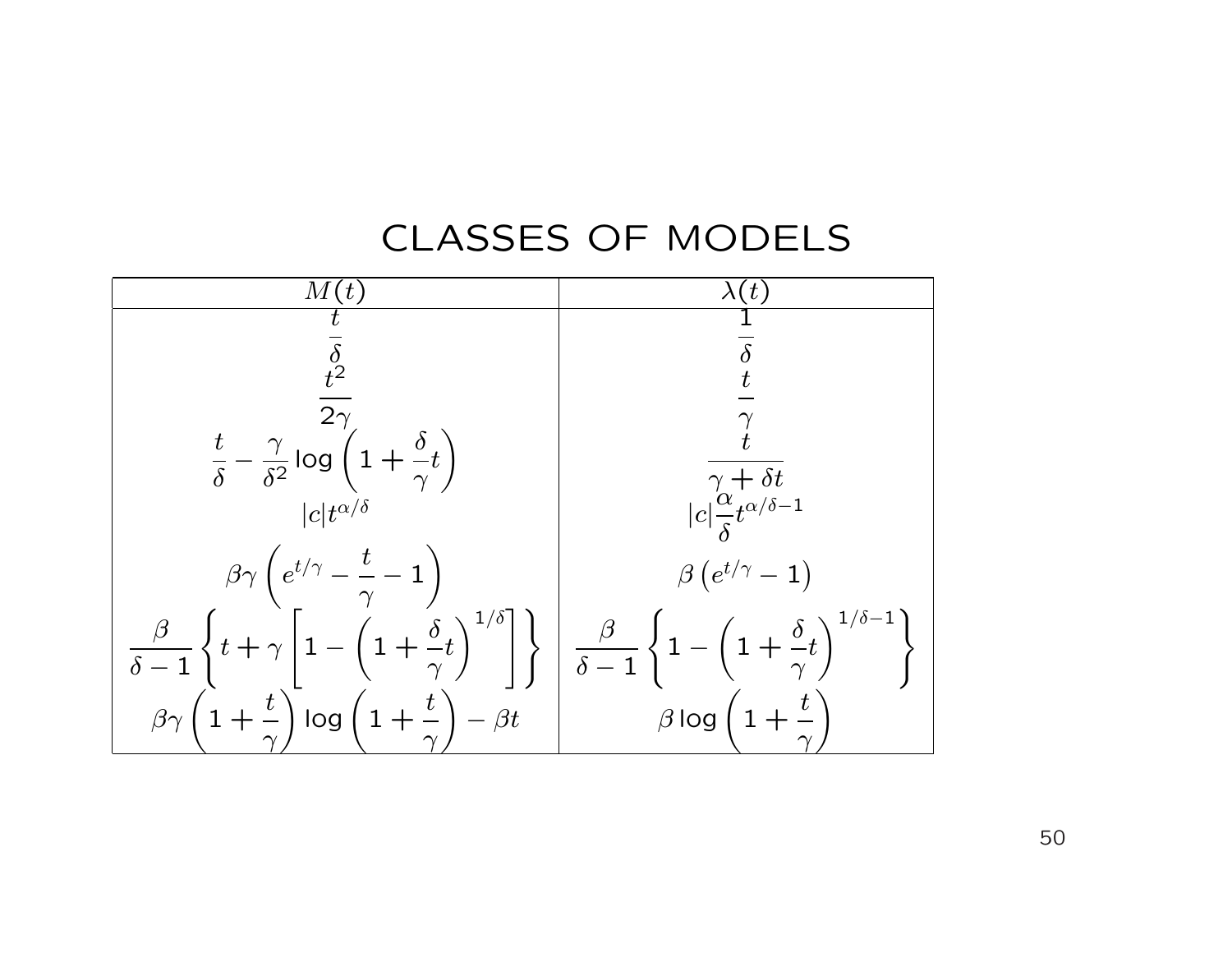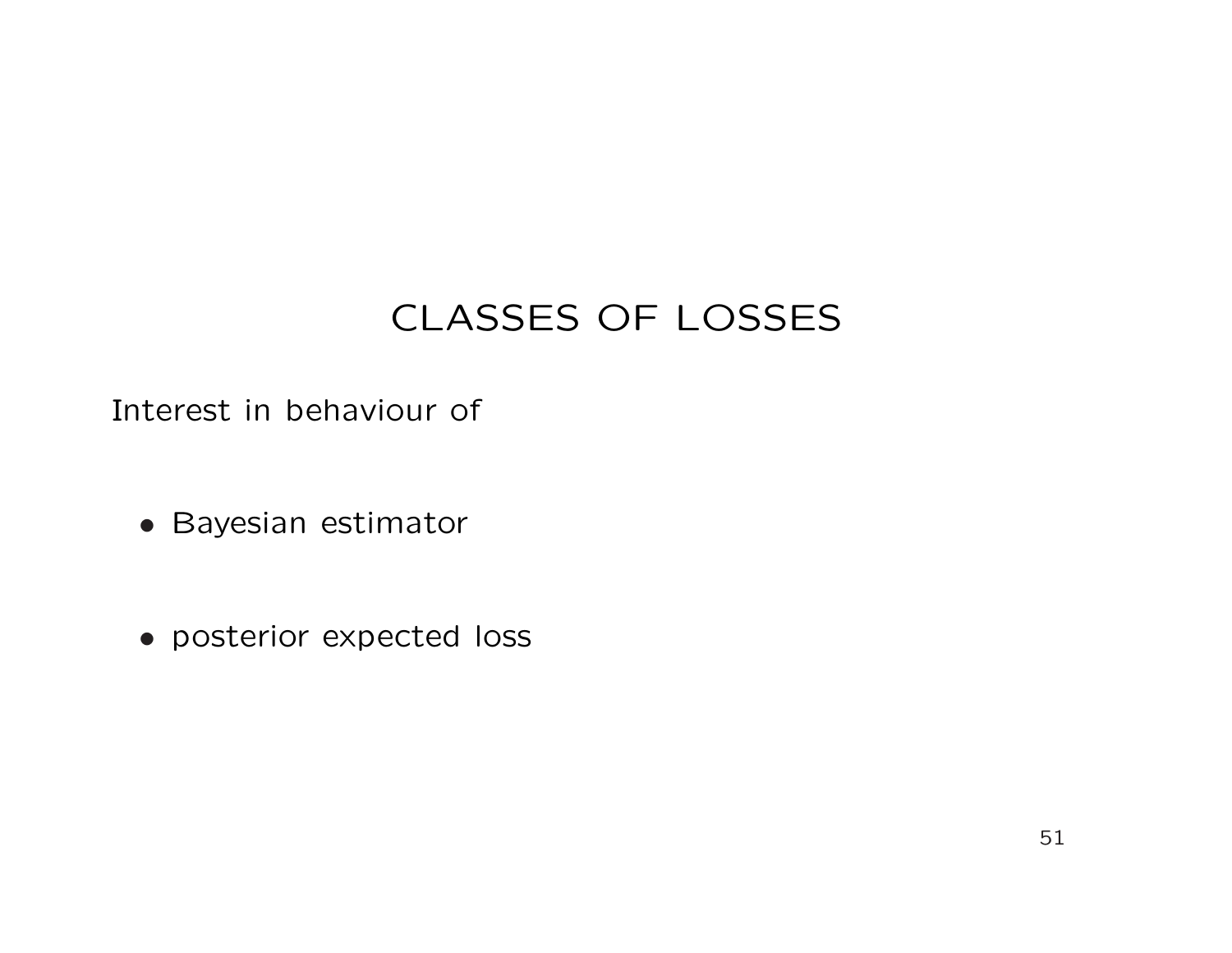Interest in behaviour of

- Bayesian estimator
- posterior expected loss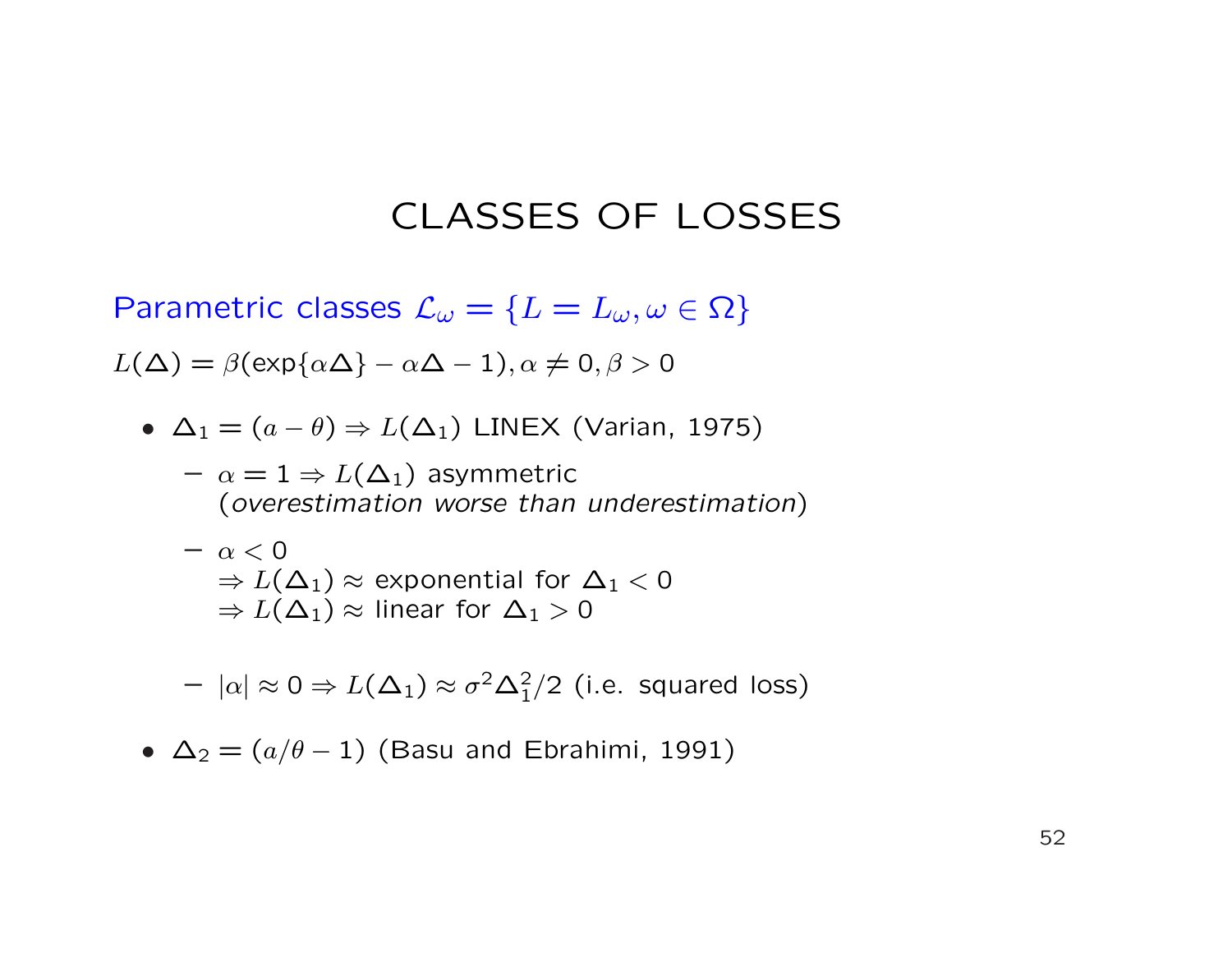Parametric classes  $\mathcal{L}_{\omega} = \{L = L_{\omega}, \omega \in \Omega\}$ 

 $L(\Delta) = \beta(\exp{\{\alpha \Delta\}} - \alpha \Delta - 1), \alpha \neq 0, \beta > 0$ 

•  $\Delta_1 = (a - \theta) \Rightarrow L(\Delta_1)$  LINEX (Varian, 1975)

 $- \alpha = 1 \Rightarrow L(\Delta_1)$  asymmetric (overestimation worse than underestimation)

- $-\alpha < 0$  $\Rightarrow$   $L(\Delta_1) \approx$  exponential for  $\Delta_1$  < 0  $\Rightarrow$   $L(\Delta_1) \approx$  linear for  $\Delta_1 > 0$
- $|\alpha| \approx 0 \Rightarrow L(\Delta_1) \approx \sigma^2 \Delta_1^2/2$  (i.e. squared loss)
- $\Delta_2 = (a/\theta 1)$  (Basu and Ebrahimi, 1991)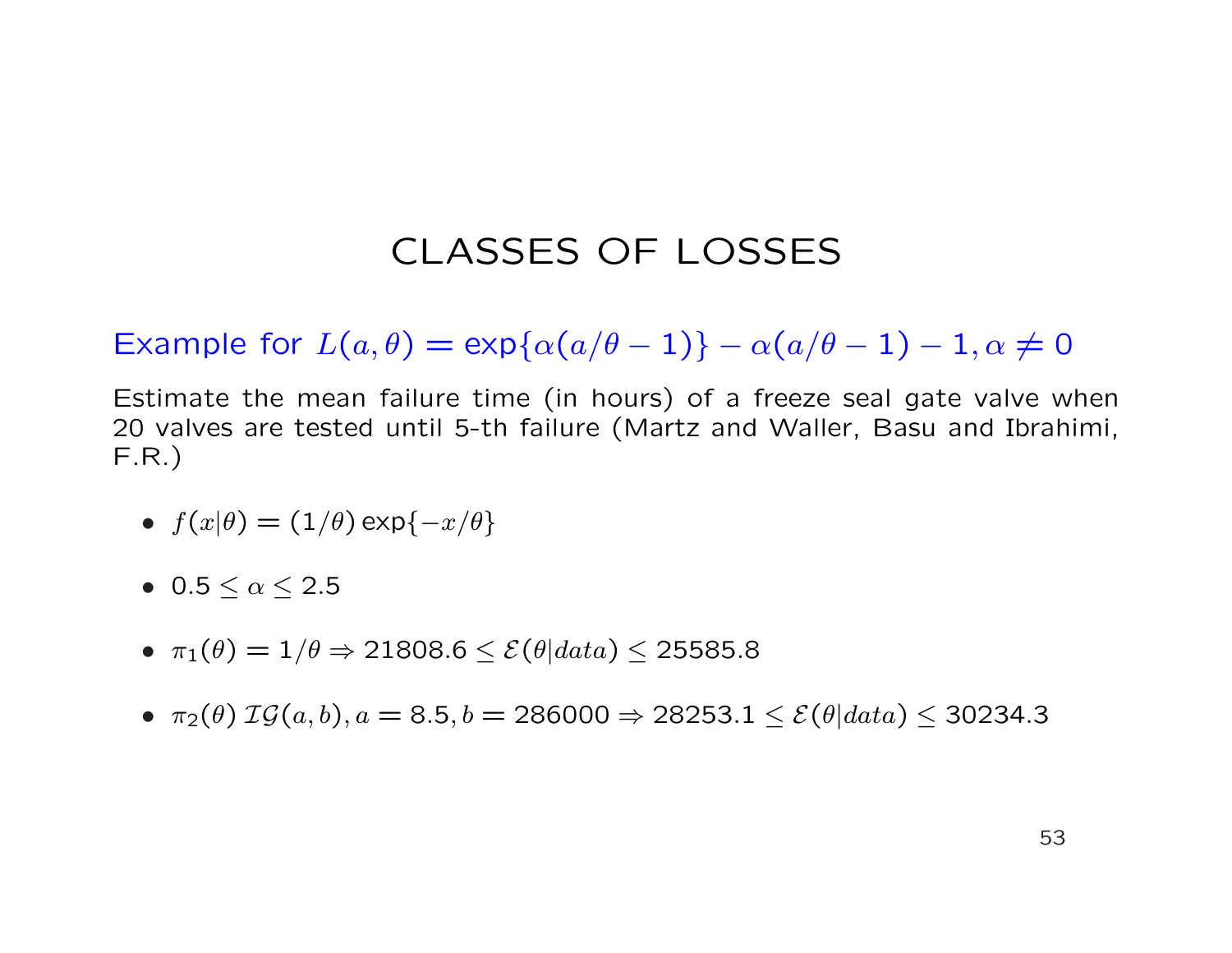Example for  $L(a, \theta) = \exp{\{\alpha(a/\theta - 1)\} - \alpha(a/\theta - 1)} - 1, \alpha \neq 0$ 

Estimate the mean failure time (in hours) of a freeze seal gate valve when 20 valves are tested until 5-th failure (Martz and Waller, Basu and Ibrahimi, F.R.)

- $f(x|\theta) = (1/\theta) \exp\{-x/\theta\}$
- 0.5  $< \alpha < 2.5$
- $\pi_1(\theta) = 1/\theta \Rightarrow 21808.6 \leq \mathcal{E}(\theta|data) \leq 25585.8$
- $\pi_2(\theta) \ \mathcal{IG}(a, b), a = 8.5, b = 286000 \Rightarrow 28253.1 \leq \mathcal{E}(\theta|data) \leq 30234.3$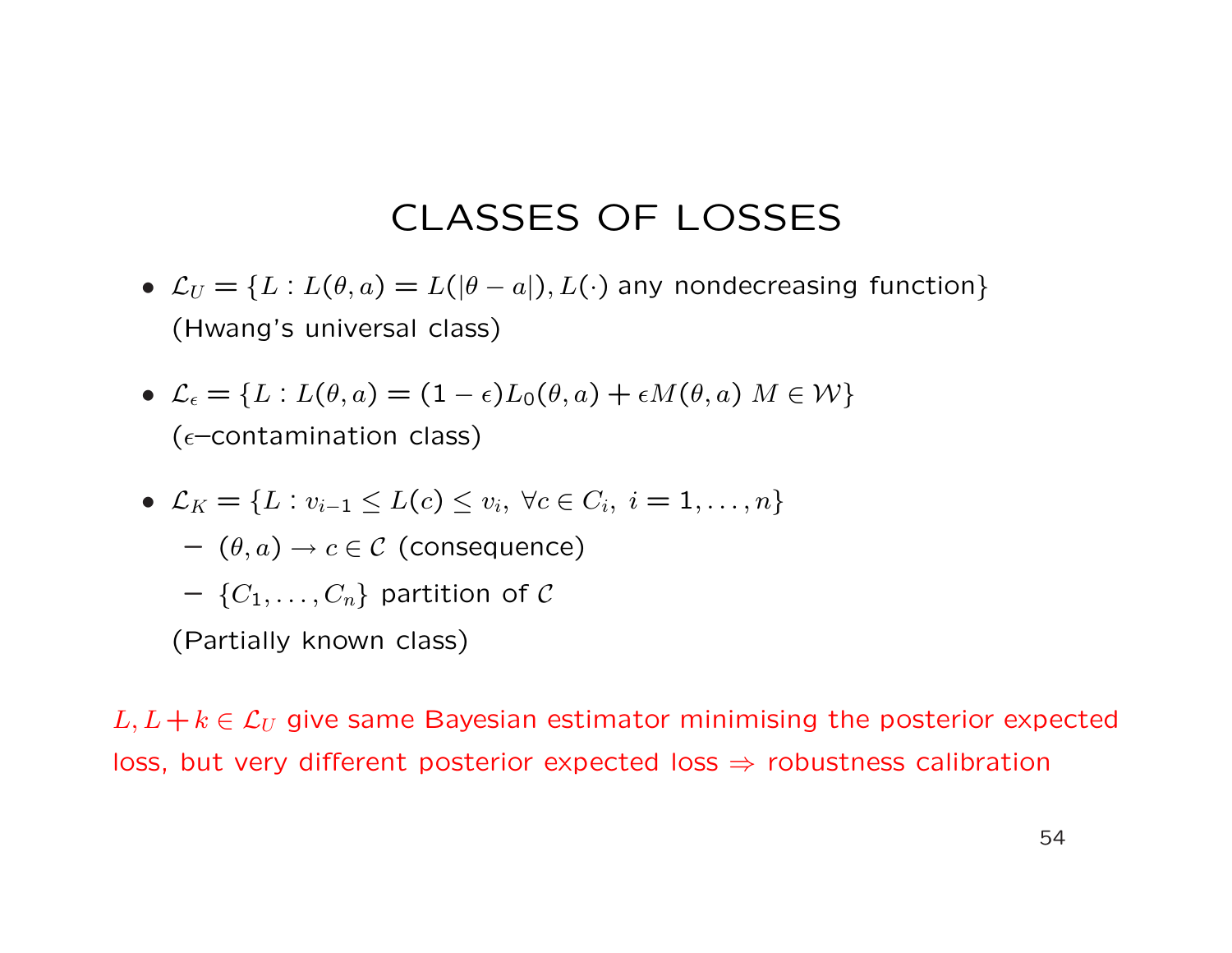- $\mathcal{L}_U = \{L : L(\theta, a) = L(|\theta a|), L(\cdot) \}$  any nondecreasing function (Hwang's universal class)
- $\mathcal{L}_{\epsilon} = \{L : L(\theta, a) = (1 \epsilon)L_0(\theta, a) + \epsilon M(\theta, a) \mid M \in \mathcal{W}\}\$ ( $\epsilon$ –contamination class)
- $\mathcal{L}_K = \{L : v_{i-1} \le L(c) \le v_i, \ \forall c \in C_i, \ i = 1, \dots, n\}$ 
	- $(\theta, a) \rightarrow c \in \mathcal{C}$  (consequence)
	- $-$  { $C_1, \ldots, C_n$ } partition of C
	- (Partially known class)

 $L, L+k \in \mathcal{L}_U$  give same Bayesian estimator minimising the posterior expected loss, but very different posterior expected loss  $\Rightarrow$  robustness calibration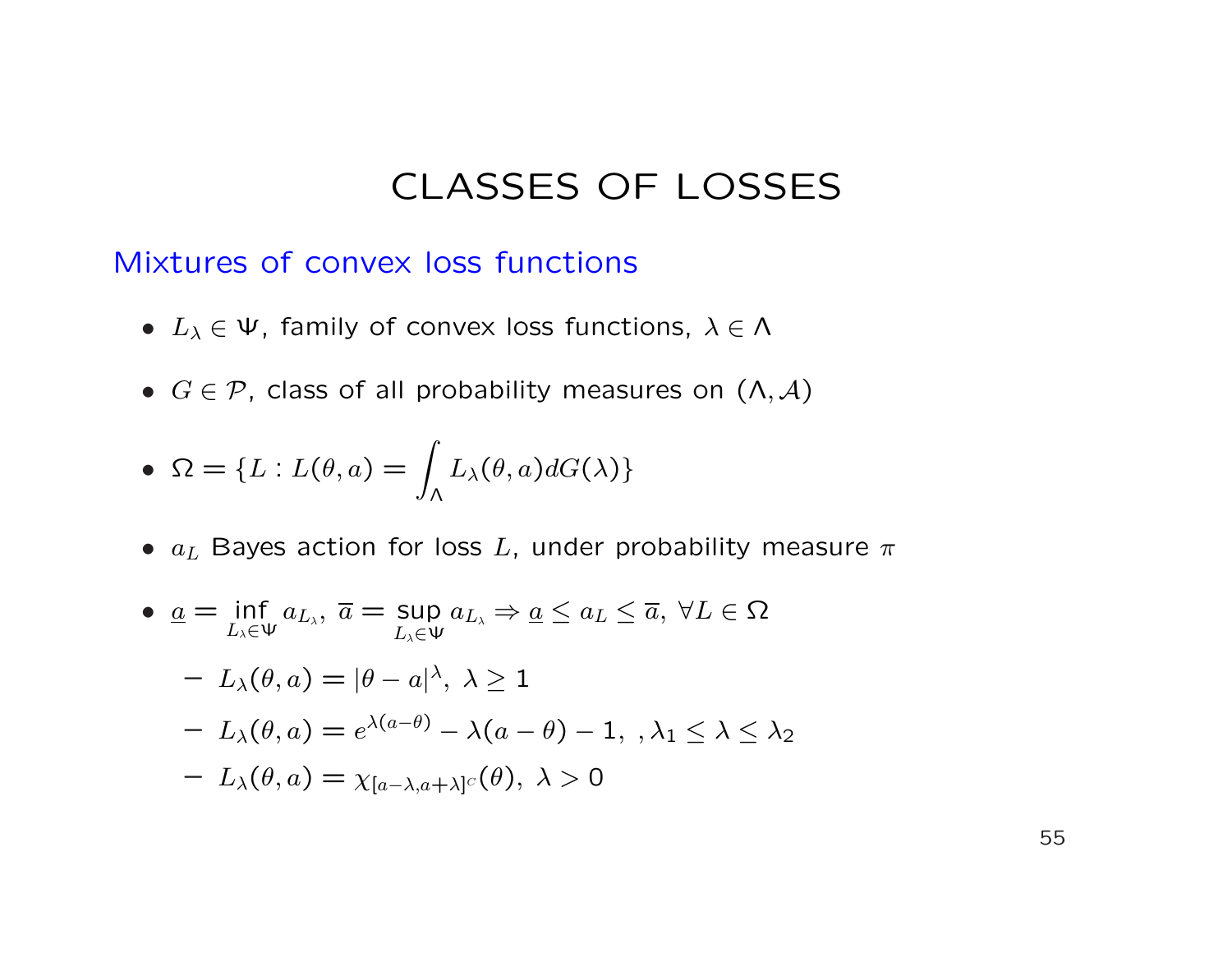Mixtures of convex loss functions

- $L_{\lambda} \in \Psi$ , family of convex loss functions,  $\lambda \in \Lambda$
- $G \in \mathcal{P}$ , class of all probability measures on  $(\Lambda, \mathcal{A})$

• 
$$
\Omega = \{ L : L(\theta, a) = \int_{\Lambda} L_{\lambda}(\theta, a) dG(\lambda) \}
$$

•  $a_L$  Bayes action for loss L, under probability measure  $\pi$ 

• 
$$
\underline{a} = \inf_{L_{\lambda} \in \Psi} a_{L_{\lambda}}, \ \overline{a} = \sup_{L_{\lambda} \in \Psi} a_{L_{\lambda}} \Rightarrow \underline{a} \le a_{L} \le \overline{a}, \ \forall L \in \Omega
$$
  
\n $- L_{\lambda}(\theta, a) = |\theta - a|^{\lambda}, \ \lambda \ge 1$   
\n $- L_{\lambda}(\theta, a) = e^{\lambda(a-\theta)} - \lambda(a-\theta) - 1, \ \lambda_1 \le \lambda \le \lambda_2$   
\n $- L_{\lambda}(\theta, a) = \chi_{[a-\lambda, a+\lambda]^C}(\theta), \ \lambda > 0$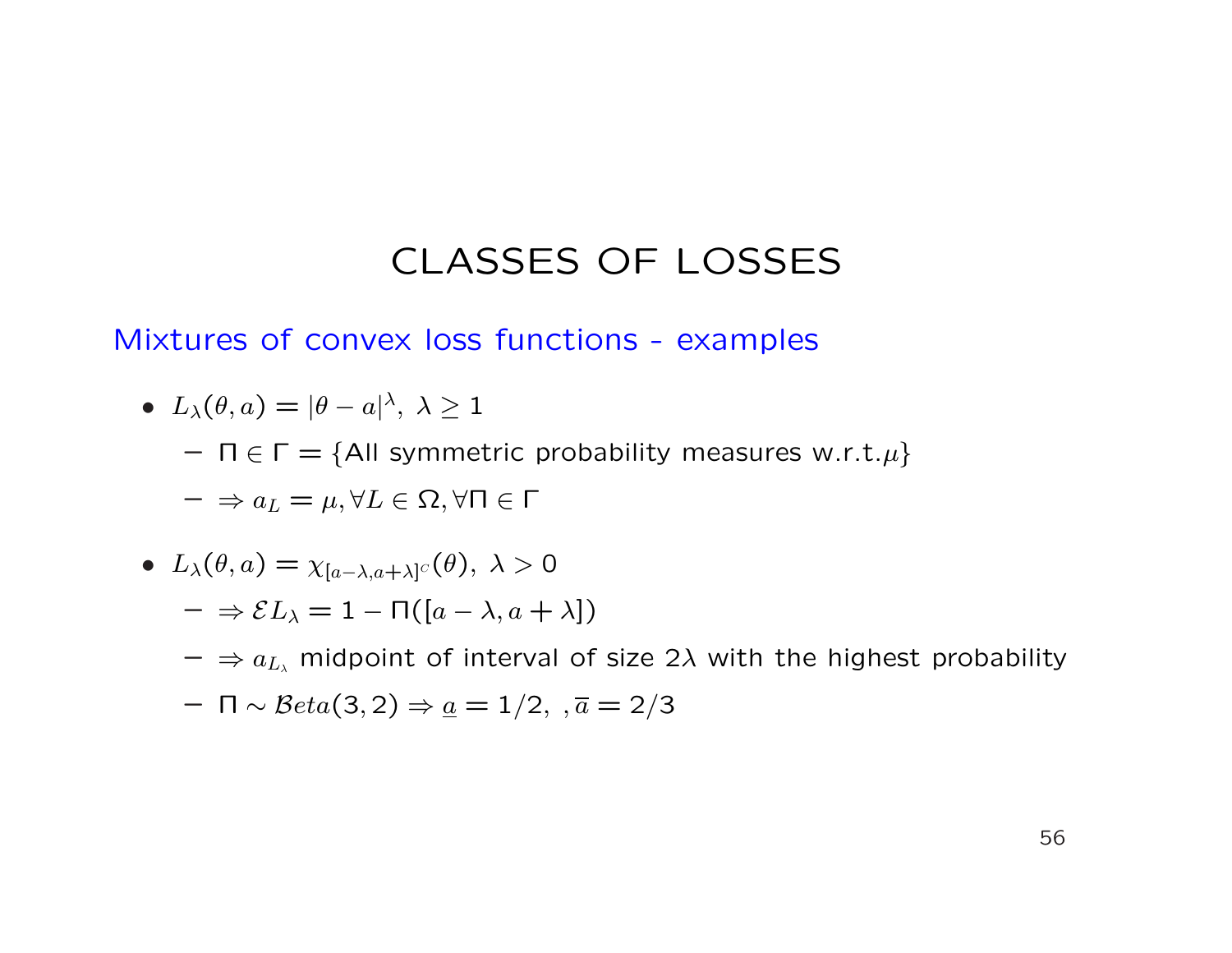#### Mixtures of convex loss functions - examples

• 
$$
L_{\lambda}(\theta, a) = |\theta - a|^{\lambda}, \lambda \ge 1
$$

 $- \Pi \in \Gamma = \{$ All symmetric probability measures w.r.t. $\mu$ }

$$
-\Rightarrow a_L=\mu, \forall L\in\Omega, \forall \Pi\in\Gamma
$$

• 
$$
L_{\lambda}(\theta, a) = \chi_{[a-\lambda, a+\lambda]^C}(\theta), \lambda > 0
$$

$$
- \Rightarrow \mathcal{E}L_{\lambda} = 1 - \Pi([a - \lambda, a + \lambda])
$$

 $-\Rightarrow a_{L_\lambda}$  midpoint of interval of size 2 $\lambda$  with the highest probability

$$
- \ \Pi \sim \mathcal{B}eta(3,2) \Rightarrow \underline{a} = 1/2, \ \overline{a} = 2/3
$$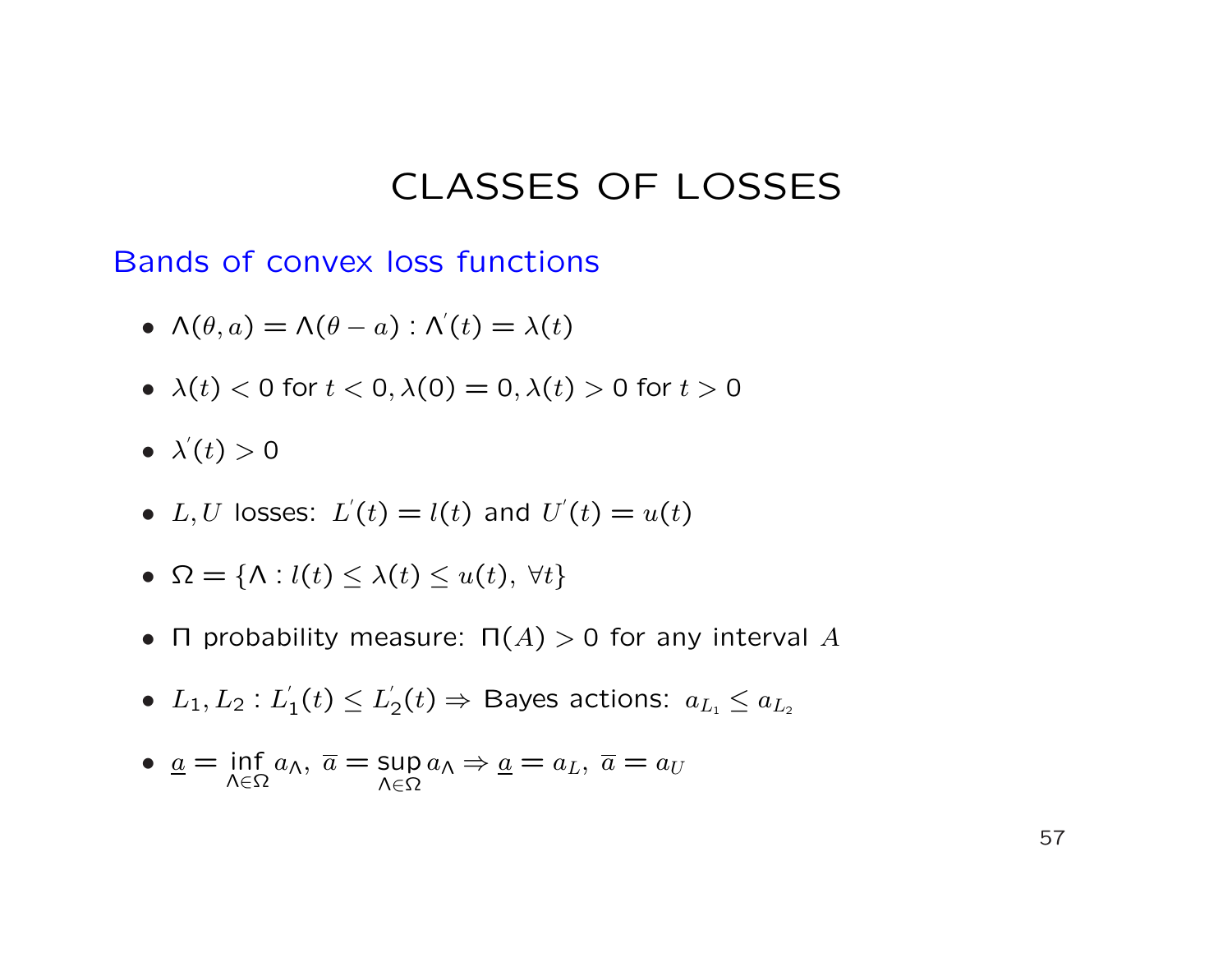Bands of convex loss functions

- $\Lambda(\theta, a) = \Lambda(\theta a)$ :  $\Lambda'(t) = \lambda(t)$
- $\lambda(t) < 0$  for  $t < 0$ ,  $\lambda(0) = 0$ ,  $\lambda(t) > 0$  for  $t > 0$
- $\lambda'(t) > 0$
- L, U losses:  $L'(t) = l(t)$  and  $U'(t) = u(t)$
- $\Omega = \{ \Lambda : l(t) \leq \lambda(t) \leq u(t), \forall t \}$
- Π probability measure:  $\Pi(A) > 0$  for any interval A
- $\bullet$   $L_1, L_2 : L_1'$  $\zeta_{1}^{'}(t)\leq L_{2}^{'}$  $\chi_{2}^{\prime}(t)\Rightarrow$  Bayes actions:  $a_{L_{1}}\leq a_{L_{2}}$
- $\bullet$   $\underline{a}$  = inf Λ∈Ω  $a_{\mathsf{\Lambda}},\ \overline{a}=\mathsf{sup}$ Λ∈Ω  $a_{\Lambda} \Rightarrow \underline{a} = a_L, \ \overline{a} = a_U$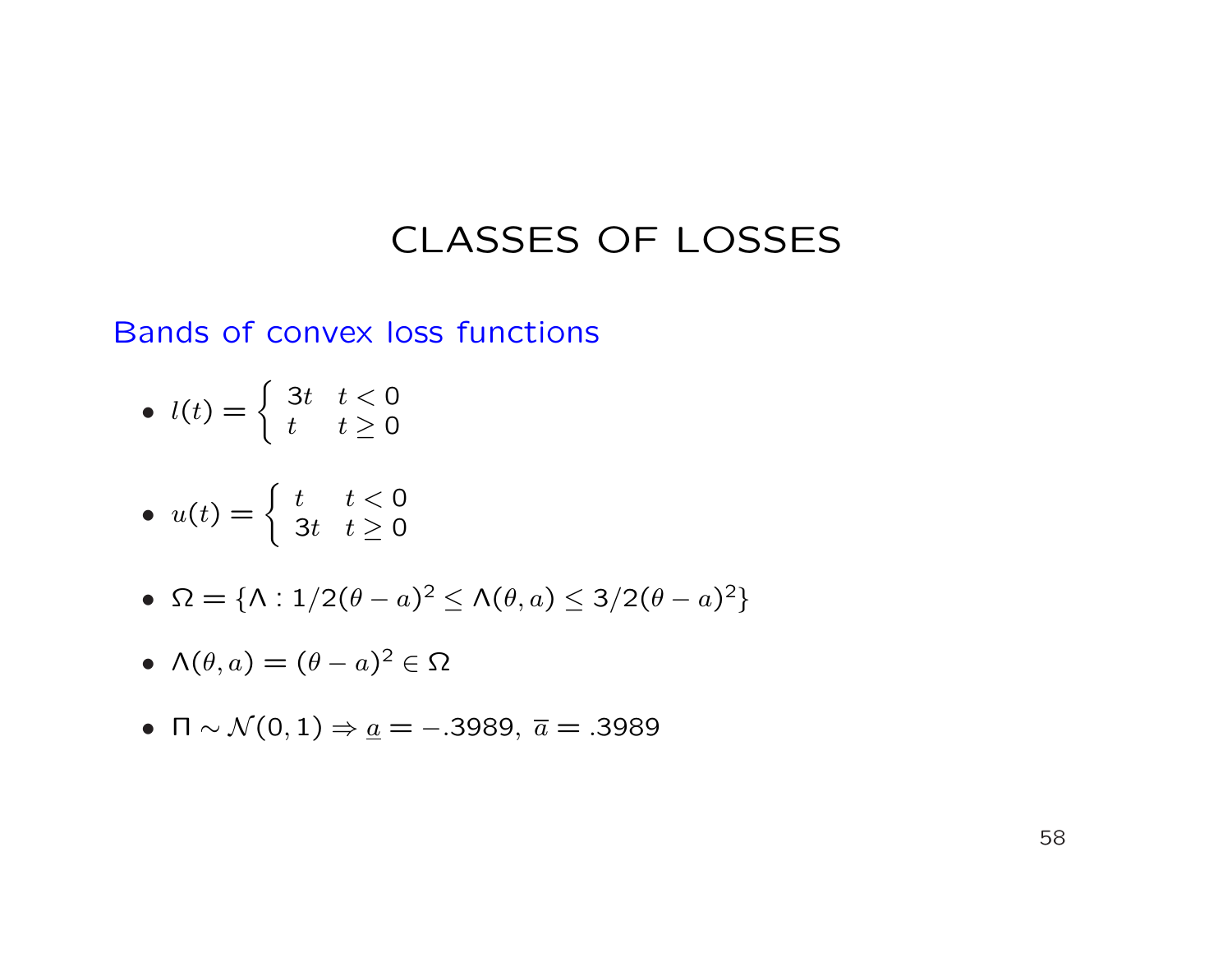#### Bands of convex loss functions

• 
$$
l(t) = \begin{cases} 3t & t < 0 \\ t & t \ge 0 \end{cases}
$$

• 
$$
u(t) = \begin{cases} t & t < 0 \\ 3t & t \ge 0 \end{cases}
$$

• 
$$
\Omega = {\Lambda : 1/2(\theta - a)^2 \le \Lambda(\theta, a) \le 3/2(\theta - a)^2}
$$

• 
$$
\Lambda(\theta, a) = (\theta - a)^2 \in \Omega
$$

•  $\Pi \sim \mathcal{N}(0, 1) \Rightarrow \underline{a} = -.3989, \ \overline{a} = .3989$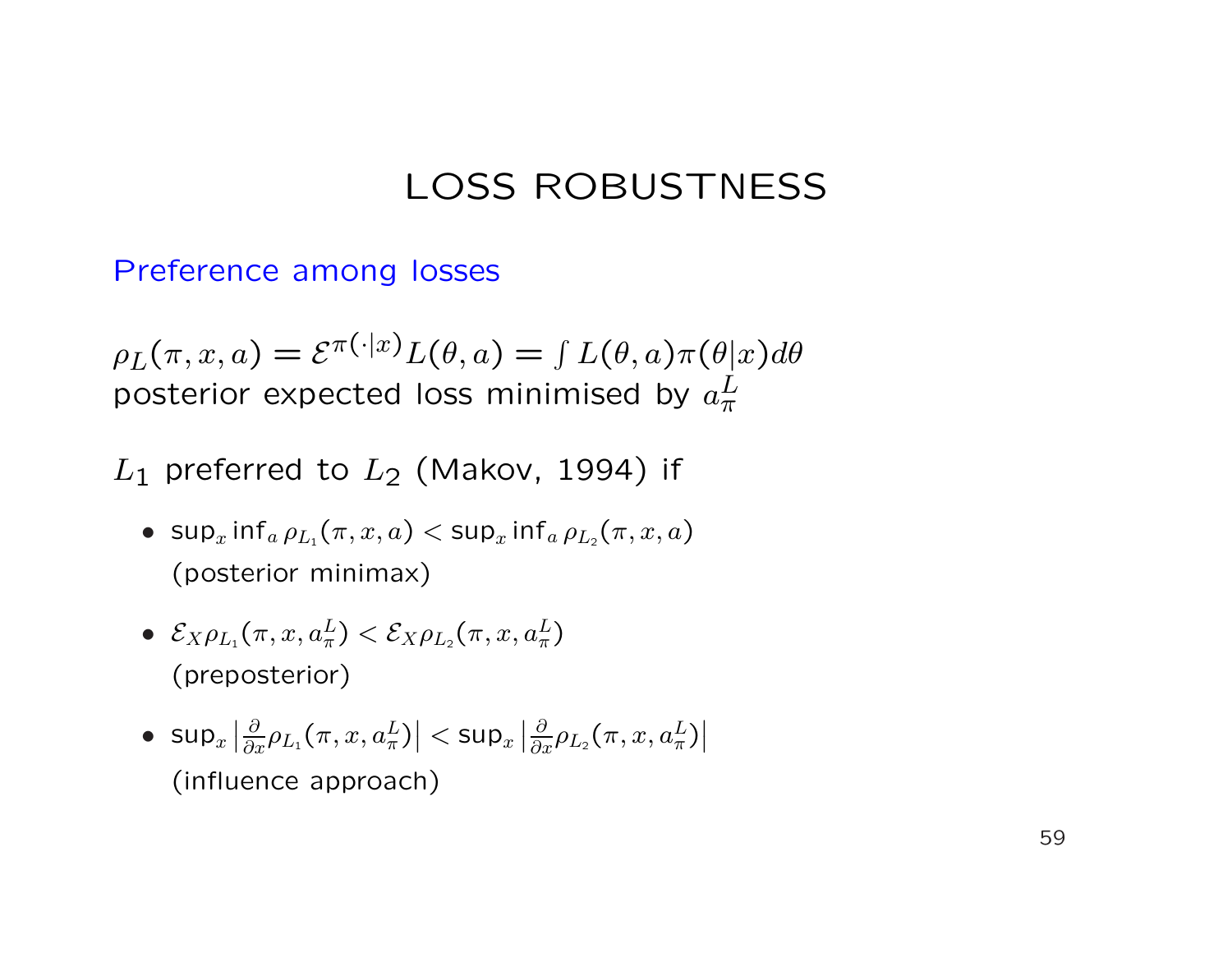# LOSS ROBUSTNESS

#### Preference among losses

 $\rho_L(\pi, x, a) = \mathcal{E}^{\pi(\cdot|x)} L(\theta, a) = \int L(\theta, a) \pi(\theta|x) d\theta$ posterior expected loss minimised by  $a_\pi^L$  $\frac{1}{\pi}$ 

#### $L_1$  preferred to  $L_2$  (Makov, 1994) if

- sup<sub>x</sub> inf<sub>a</sub>  $\rho_{L_1}(\pi, x, a) <$  sup<sub>x</sub> inf<sub>a</sub>  $\rho_{L_2}(\pi, x, a)$ (posterior minimax)
- $\bullet \ \ \mathcal{E}_X \rho_{L_1}(\pi, x, a^L_{\pi}) < \mathcal{E}_X \rho_{L_2}(\pi, x, a^L_{\pi})$ (preposterior)
- $\bullet$  sup $_x$  $\overline{1}$  $\big| \frac{\partial}{\partial x} \rho_{L_1}(\pi, x, a^L_\pi)$  $\overline{a}$  $|$  < sup $_x$  $\overline{1}$  $\big| \frac{\partial}{\partial x} \rho_{L_2}(\pi, x, a^L_\pi)$  $\overline{1}$  $\overline{\phantom{a}}$ (influence approach)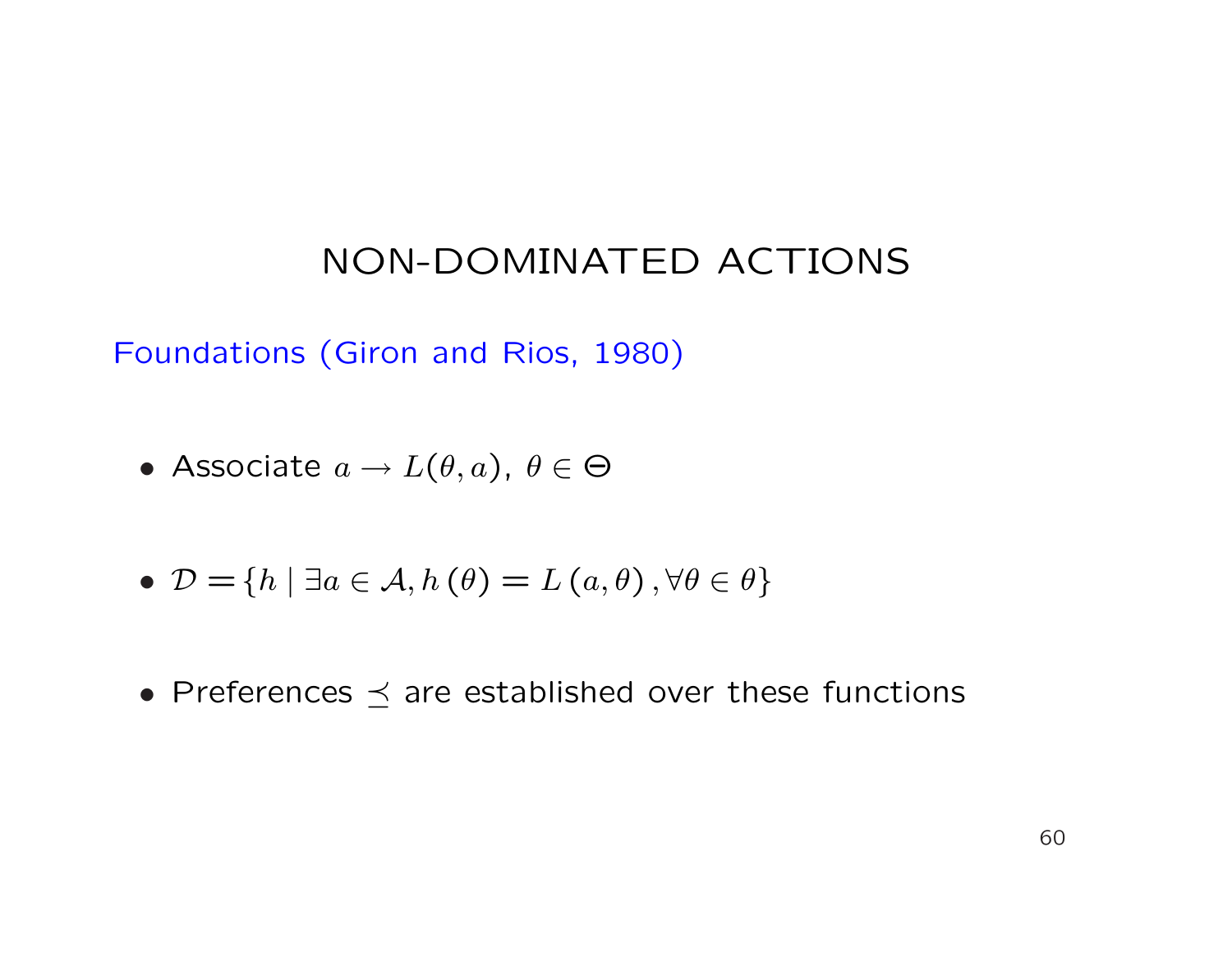Foundations (Giron and Rios, 1980)

- Associate  $a \to L(\theta, a)$ ,  $\theta \in \Theta$
- $\mathcal{D} = \{h \mid \exists a \in \mathcal{A}, h(\theta) = L(a, \theta), \forall \theta \in \theta\}$
- Preferences  $\preceq$  are established over these functions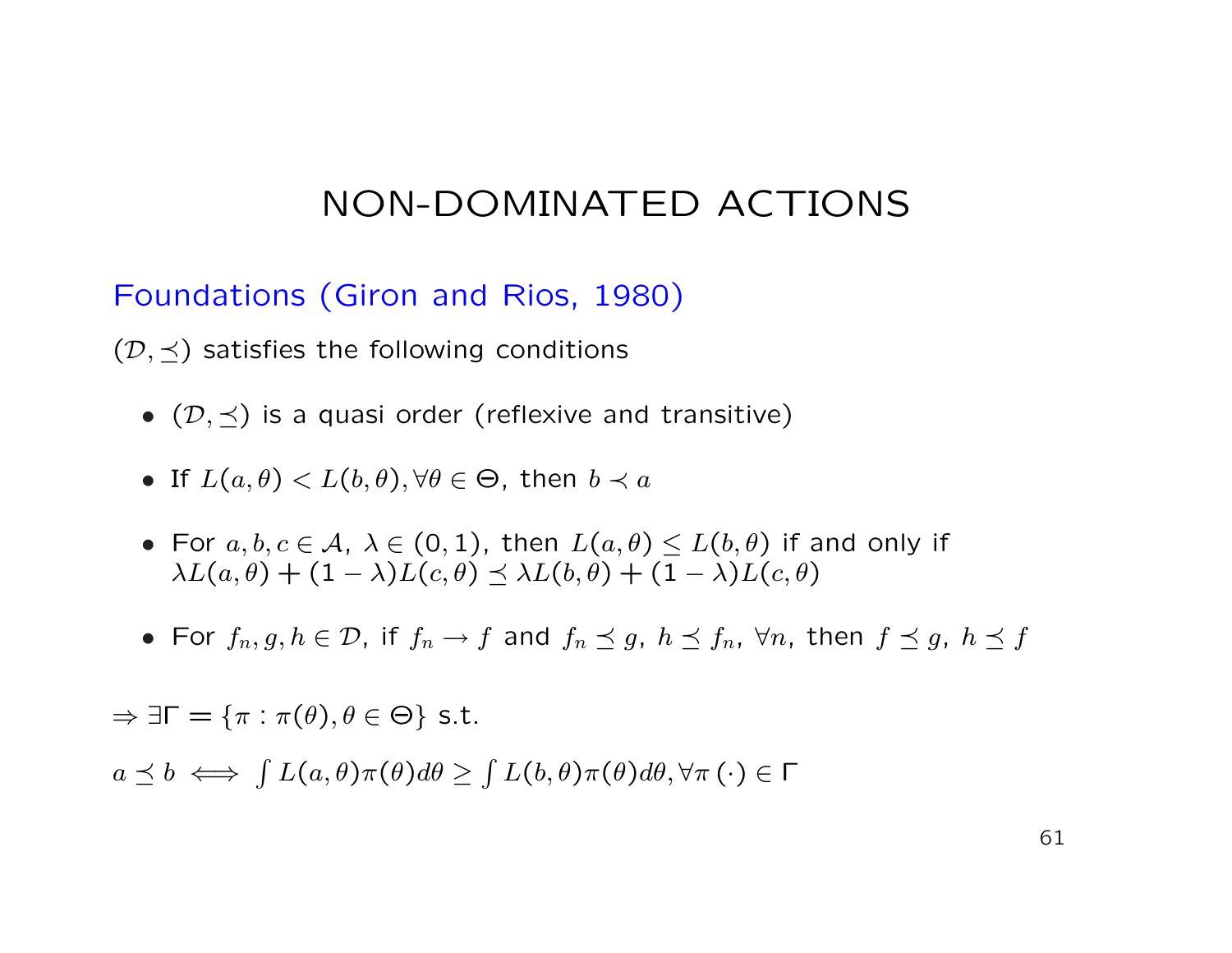Foundations (Giron and Rios, 1980)

 $(\mathcal{D}, \prec)$  satisfies the following conditions

- $(\mathcal{D}, \preceq)$  is a quasi order (reflexive and transitive)
- If  $L(a, \theta) < L(b, \theta), \forall \theta \in \Theta$ , then  $b \prec a$
- For  $a, b, c \in A$ ,  $\lambda \in (0, 1)$ , then  $L(a, \theta) \leq L(b, \theta)$  if and only if  $\lambda L(a, \theta) + (1 - \lambda) L(c, \theta) \preceq \lambda L(b, \theta) + (1 - \lambda) L(c, \theta)$
- For  $f_n, g, h \in \mathcal{D}$ , if  $f_n \to f$  and  $f_n \preceq g$ ,  $h \preceq f_n$ ,  $\forall n$ , then  $f \preceq g$ ,  $h \preceq f$

 $\Rightarrow \exists \Gamma = {\pi : \pi(\theta), \theta \in \Theta}$  s.t.

 $a \preceq b \iff \int L(a, \theta) \pi(\theta) d\theta \ge$ R  $L(b,\theta)\pi(\theta)d\theta,\forall\pi\left(\cdot\right)\in\mathsf{\Gamma}$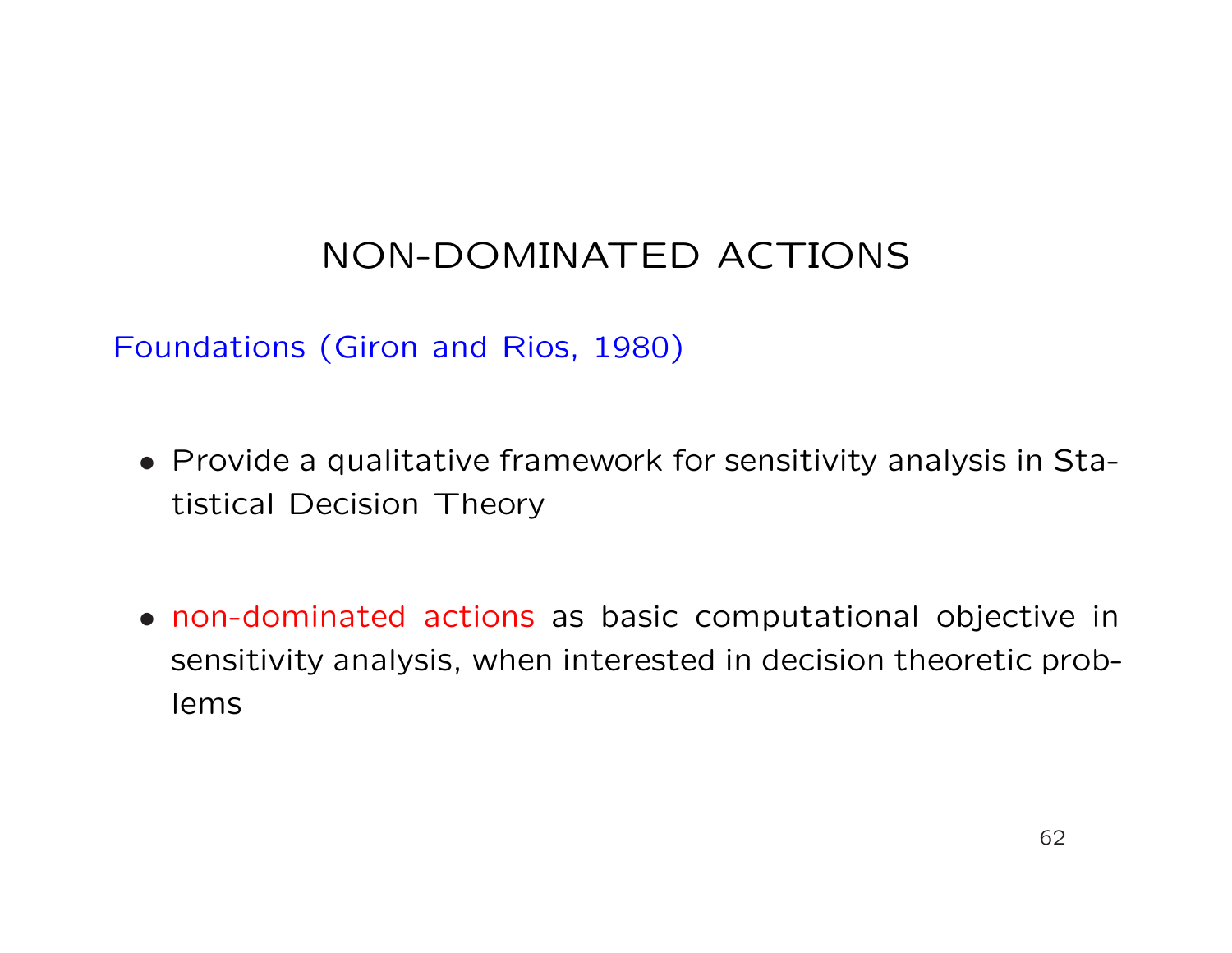#### Foundations (Giron and Rios, 1980)

- Provide a qualitative framework for sensitivity analysis in Statistical Decision Theory
- non-dominated actions as basic computational objective in sensitivity analysis, when interested in decision theoretic problems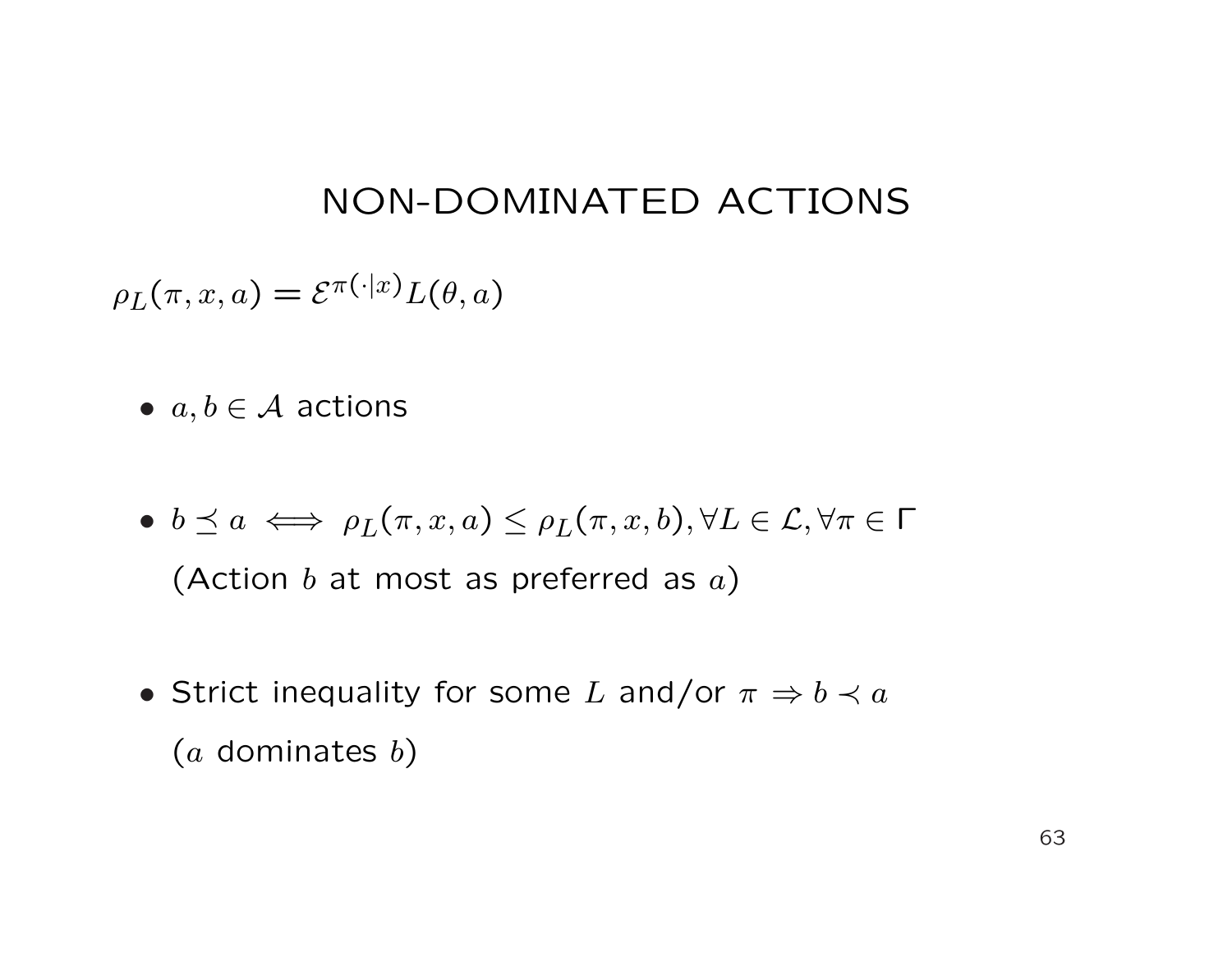$\rho_L(\pi, x, a) = \mathcal{E}^{\pi(\cdot|x)} L(\theta, a)$ 

- $a, b \in \mathcal{A}$  actions
- $b \preceq a \iff \rho_L(\pi, x, a) \leq \rho_L(\pi, x, b), \forall L \in \mathcal{L}, \forall \pi \in \Gamma$ (Action  $b$  at most as preferred as  $a$ )
- Strict inequality for some L and/or  $\pi \Rightarrow b \prec a$  $(a$  dominates  $b)$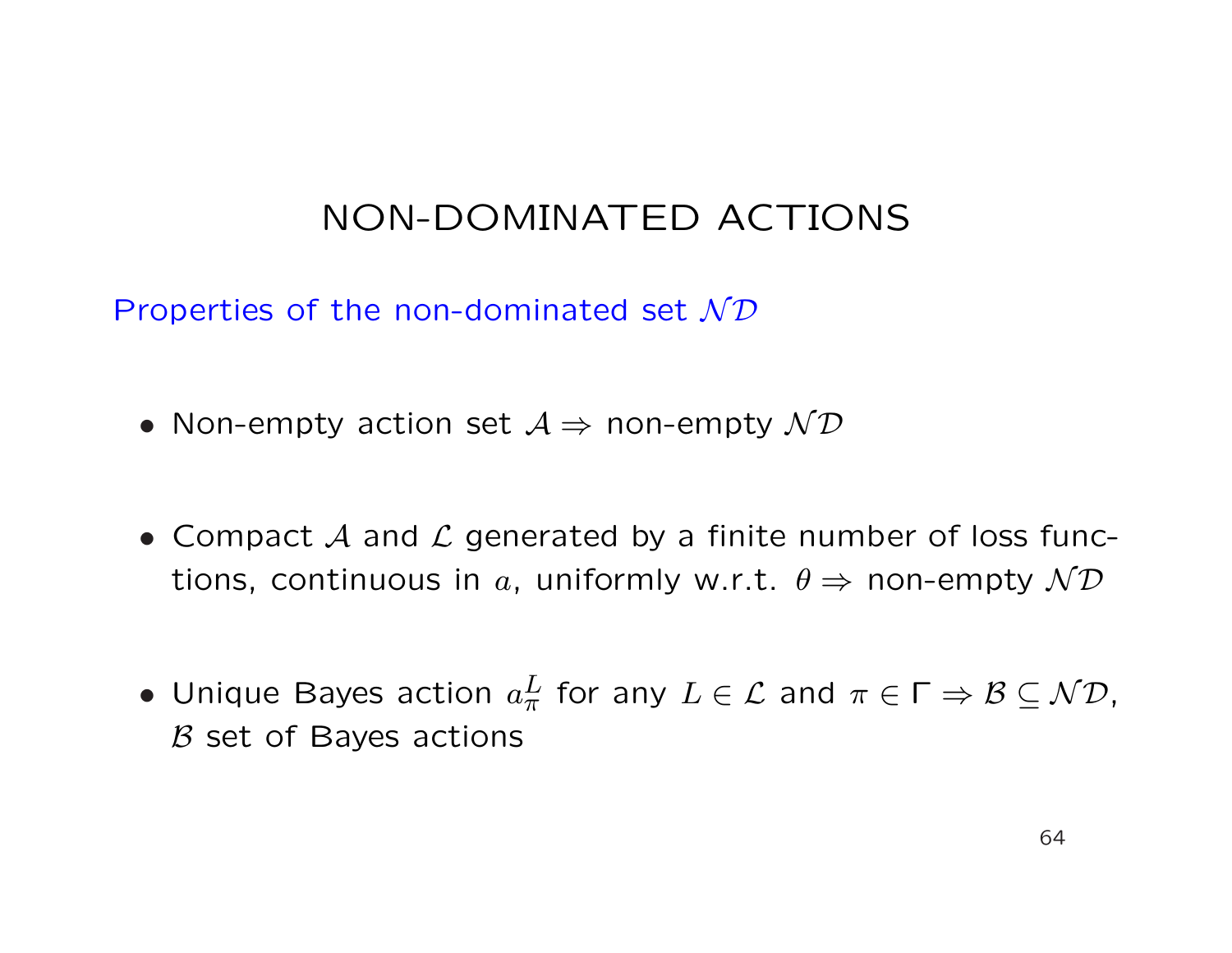Properties of the non-dominated set  $N\mathcal{D}$ 

- Non-empty action set  $A \Rightarrow$  non-empty  $\mathcal{ND}$
- Compact  $A$  and  $C$  generated by a finite number of loss functions, continuous in a, uniformly w.r.t.  $\theta \Rightarrow$  non-empty  $\mathcal{ND}$
- Unique Bayes action  $a_\pi^L$  for any  $L\in \mathcal{L}$  and  $\pi\in \Gamma \Rightarrow \mathcal{B}\subseteq \mathcal{ND},$  $B$  set of Bayes actions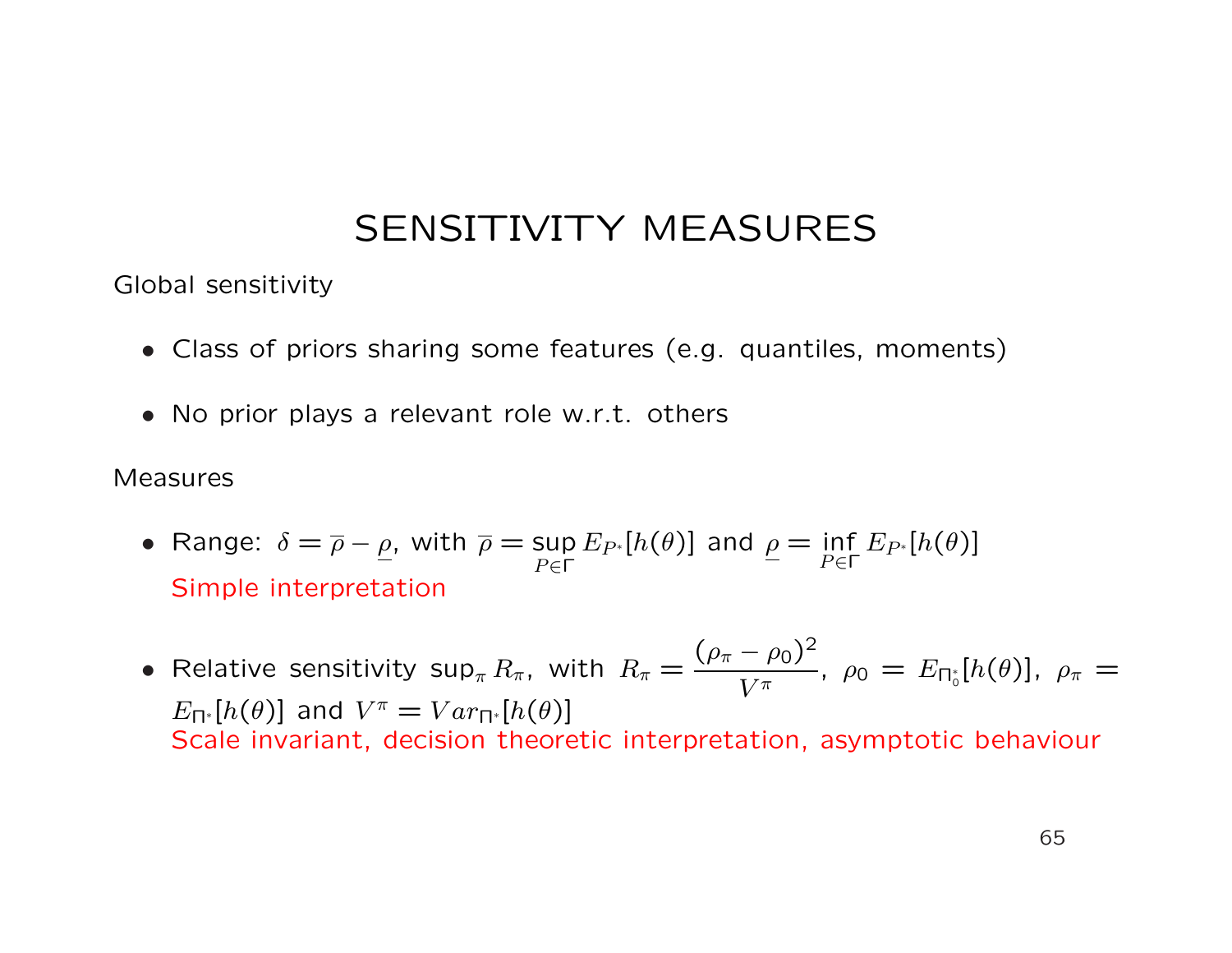Global sensitivity

- Class of priors sharing some features (e.g. quantiles, moments)
- No prior plays a relevant role w.r.t. others

#### Measures

- Range:  $\delta = \overline{\rho} \rho$ , with  $\overline{\rho} =$  sup  $P ∈ Γ$  $E_{P^*}[h(\theta)]$  and  $\rho = \inf$  $P ∈ Γ$  $E_{P^*}[h(\theta)]$ Simple interpretation
- Relative sensitivity sup $_{\pi} R_{\pi}$ , with  $R_{\pi} =$  $(\rho_{\pi} - \rho_0)^2$  $V^{\pi}$ ,  $\rho_0 = E_{\Pi_0^*}[h(\theta)], \rho_{\pi} =$  $E_{\Pi^*}[h(\theta)]$  and  $V^{\pi} = Var_{\Pi^*}[h(\theta)]$ Scale invariant, decision theoretic interpretation, asymptotic behaviour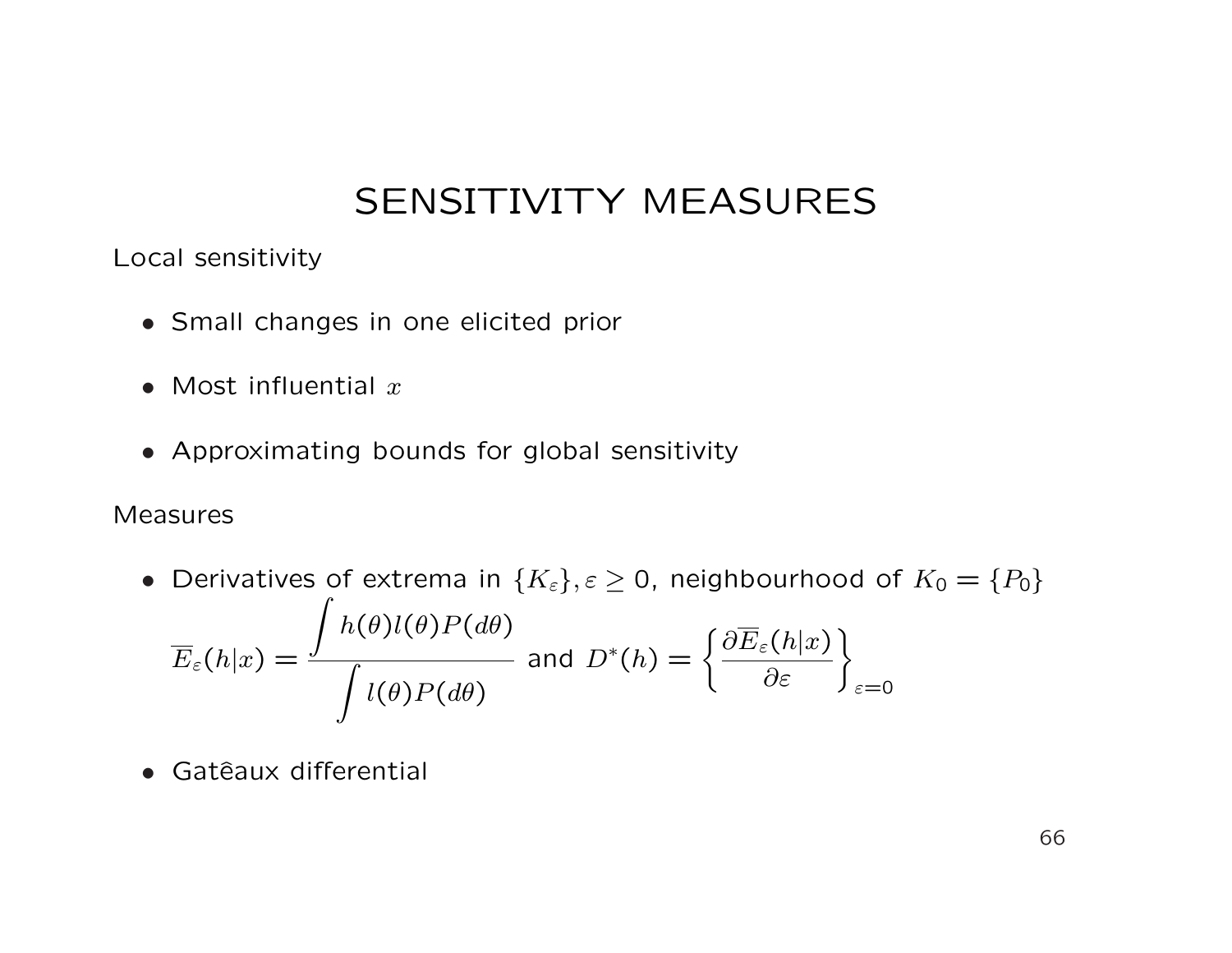Local sensitivity

- Small changes in one elicited prior
- Most influential  $x$
- Approximating bounds for global sensitivity

#### Measures

- Derivatives of extrema in  $\{K_{\varepsilon}\}, \varepsilon \geq 0$ , neighbourhood of  $K_0 = \{P_0\}$  $\overline{E}_\varepsilon(h|x) =$  $h(\theta)l(\theta)P(d\theta)$ Z  $l(\theta)P(d\theta)$ and  $D^*(h) = \begin{cases}$  $\partial \overline{E}_\varepsilon(h|x)$  $\left. \frac{\partial \varepsilon (h|x)}{\partial \varepsilon }\right\} _{\varepsilon =0}$
- Gatêaux differential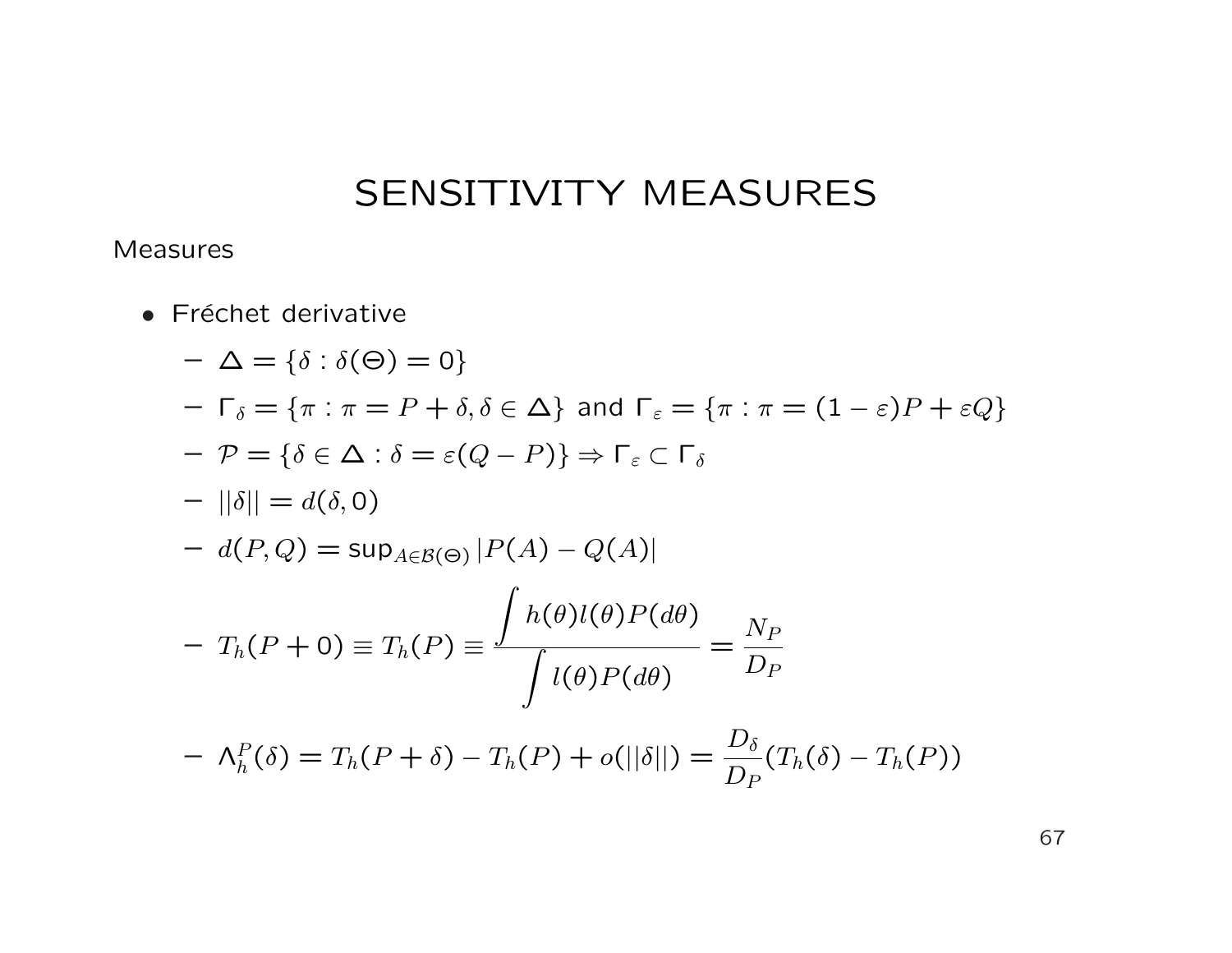#### Measures

• Fréchet derivative

$$
-\Delta = \{\delta : \delta(\Theta) = 0\}
$$
  
\n
$$
-\Gamma_{\delta} = \{\pi : \pi = P + \delta, \delta \in \Delta\} \text{ and } \Gamma_{\varepsilon} = \{\pi : \pi = (1 - \varepsilon)P + \varepsilon Q\}
$$
  
\n
$$
-\mathcal{P} = \{\delta \in \Delta : \delta = \varepsilon(Q - P)\} \Rightarrow \Gamma_{\varepsilon} \subset \Gamma_{\delta}
$$
  
\n
$$
-||\delta|| = d(\delta, 0)
$$
  
\n
$$
-d(P, Q) = \sup_{A \in \mathcal{B}(\Theta)} |P(A) - Q(A)|
$$
  
\n
$$
-T_h(P + 0) \equiv T_h(P) \equiv \frac{\int h(\theta)l(\theta)P(d\theta)}{\int l(\theta)P(d\theta)} = \frac{N_P}{D_P}
$$
  
\n
$$
-\Lambda_h^P(\delta) = T_h(P + \delta) - T_h(P) + o(||\delta||) = \frac{D_{\delta}}{D_P}(T_h(\delta) - T_h(P))
$$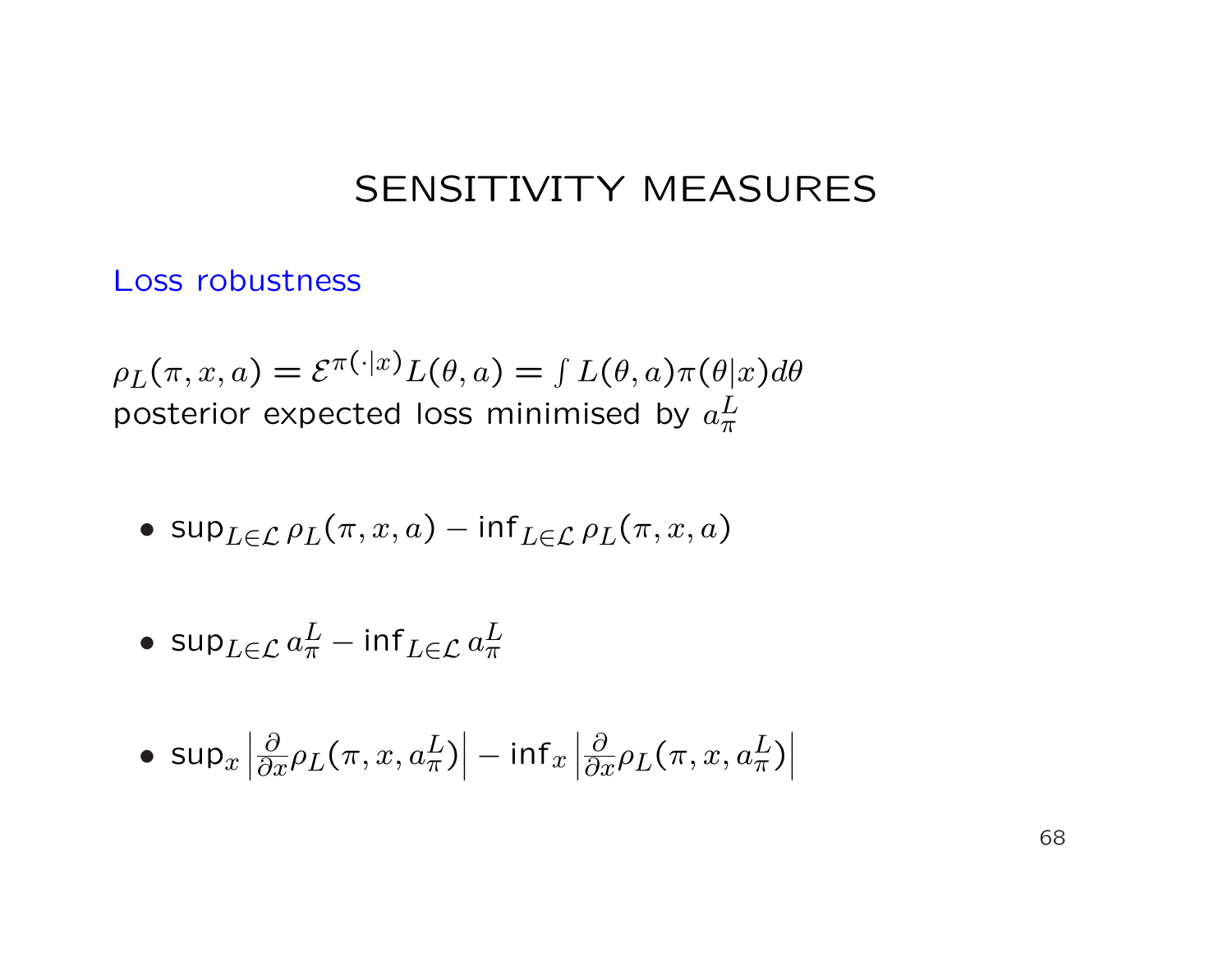Loss robustness

 $\rho_L(\pi, x, a) = \mathcal{E}^{\pi(\cdot|x)} L(\theta, a) = \int L(\theta, a) \pi(\theta|x) d\theta$ posterior expected loss minimised by  $a_\pi^L$  $\frac{1}{\pi}$ 

•  $\sup_{L\in\mathcal{L}}\rho_L(\pi, x, a) - \inf_{L\in\mathcal{L}}\rho_L(\pi, x, a)$ 

$$
\bullet\ \sup\nolimits_{L\in\mathcal{L}} a^L_\pi - \inf\nolimits_{L\in\mathcal{L}} a^L_\pi
$$

$$
\bullet\ \text{sup}_x\left|\tfrac{\partial}{\partial x}\rho_L(\pi,x,a^L_\pi)\right| - \text{inf}_x\left|\tfrac{\partial}{\partial x}\rho_L(\pi,x,a^L_\pi)\right|
$$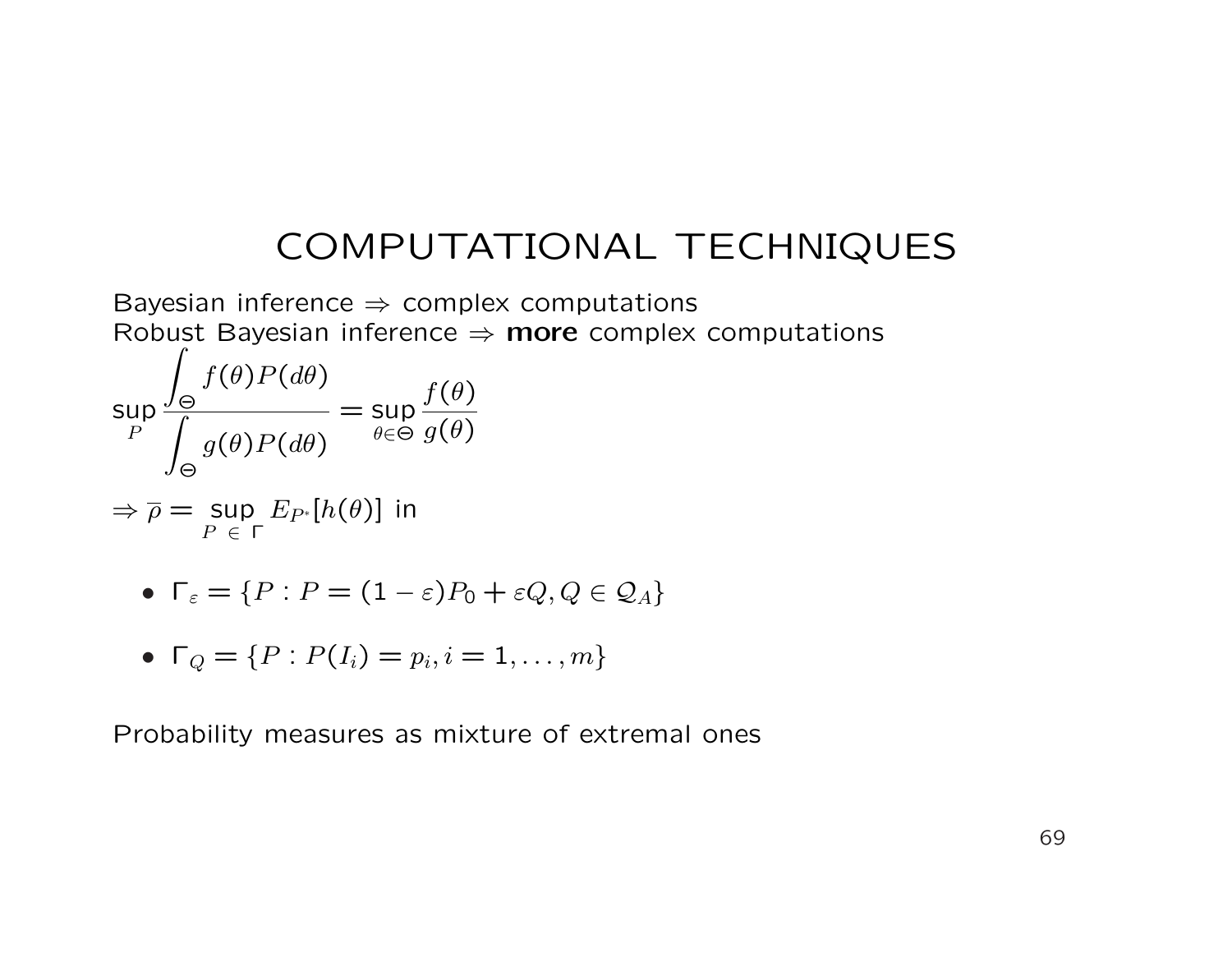# COMPUTATIONAL TECHNIQUES

Bayesian inference  $\Rightarrow$  complex computations Robust Bayesian inference  $\Rightarrow$  more complex computations

$$
\sup_{P} \frac{\int_{\Theta} f(\theta)P(d\theta)}{\int_{\Theta} g(\theta)P(d\theta)} = \sup_{\theta \in \Theta} \frac{f(\theta)}{g(\theta)}
$$

$$
\Rightarrow \overline{\rho} = \sup_{P \in \Gamma} E_{P^*}[h(\theta)] \text{ in}
$$

• 
$$
\Gamma_{\varepsilon} = \{ P : P = (1 - \varepsilon)P_0 + \varepsilon Q, Q \in \mathcal{Q}_A \}
$$

• 
$$
\Gamma_Q = \{P : P(I_i) = p_i, i = 1, ..., m\}
$$

Probability measures as mixture of extremal ones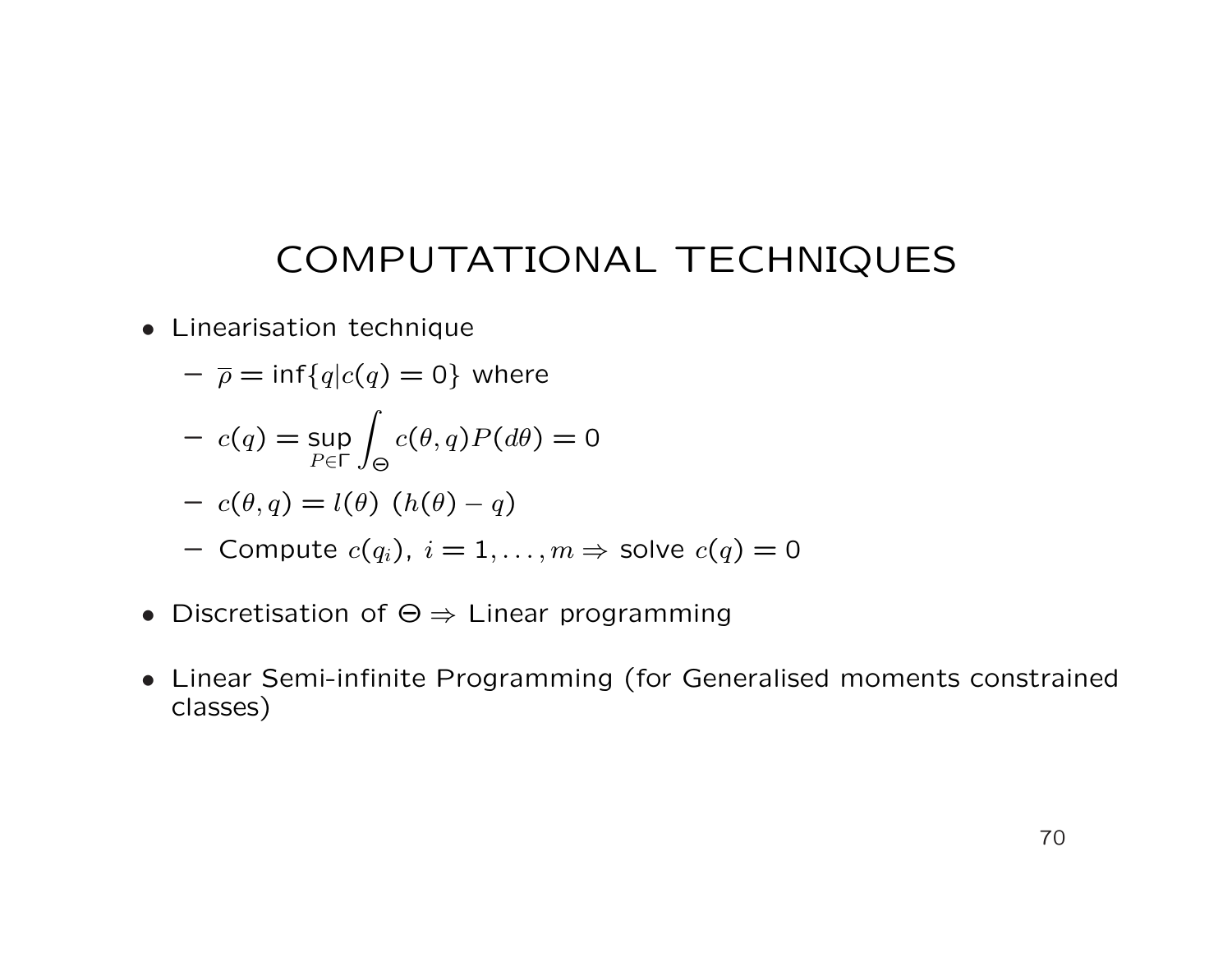# COMPUTATIONAL TECHNIQUES

• Linearisation technique

$$
- \overline{\rho} = \inf\{q|c(q) = 0\} \text{ where}
$$

$$
- c(q) = \sup_{P \in \Gamma} \int_{\Theta} c(\theta, q) P(d\theta) = 0
$$

$$
- c(\theta, q) = l(\theta) (h(\theta) - q)
$$

- Compute  $c(q_i)$ ,  $i = 1, ..., m \Rightarrow$  solve  $c(q) = 0$
- Discretisation of  $\Theta \Rightarrow$  Linear programming
- Linear Semi-infinite Programming (for Generalised moments constrained classes)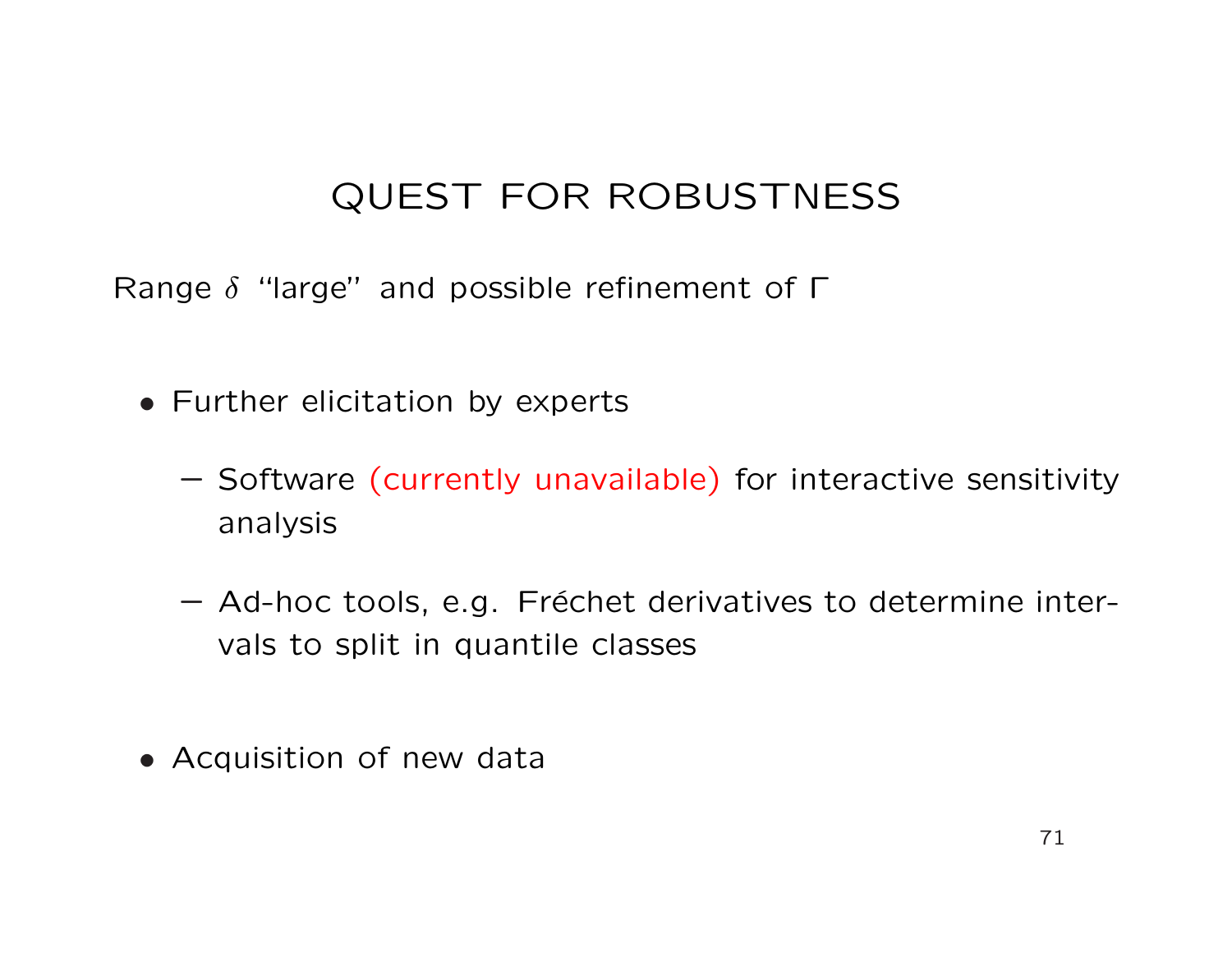# QUEST FOR ROBUSTNESS

Range  $\delta$  "large" and possible refinement of  $\Gamma$ 

- Further elicitation by experts
	- Software (currently unavailable) for interactive sensitivity analysis
	- Ad-hoc tools, e.g. Fréchet derivatives to determine intervals to split in quantile classes
- Acquisition of new data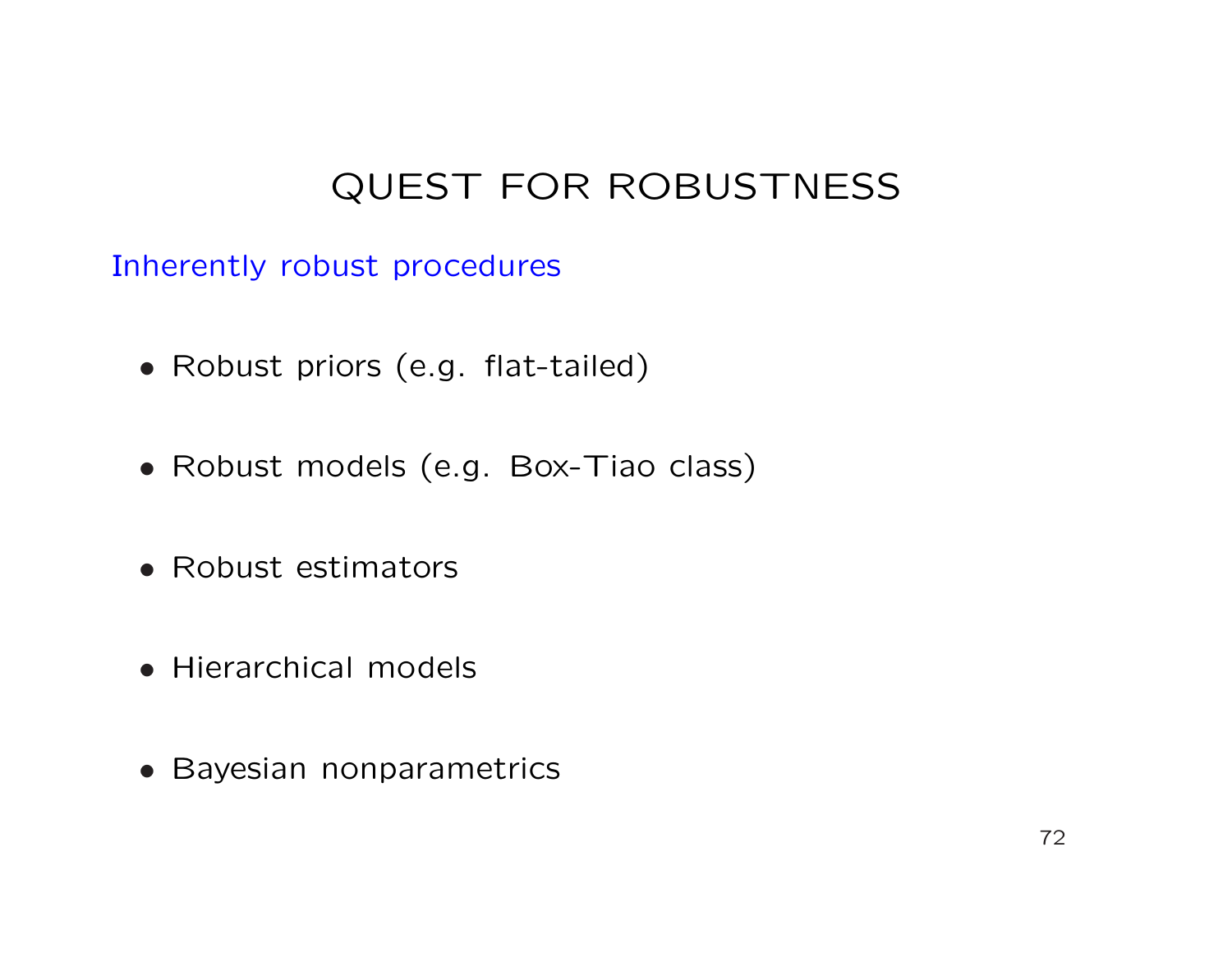# QUEST FOR ROBUSTNESS

Inherently robust procedures

- Robust priors (e.g. flat-tailed)
- Robust models (e.g. Box-Tiao class)
- Robust estimators
- Hierarchical models
- Bayesian nonparametrics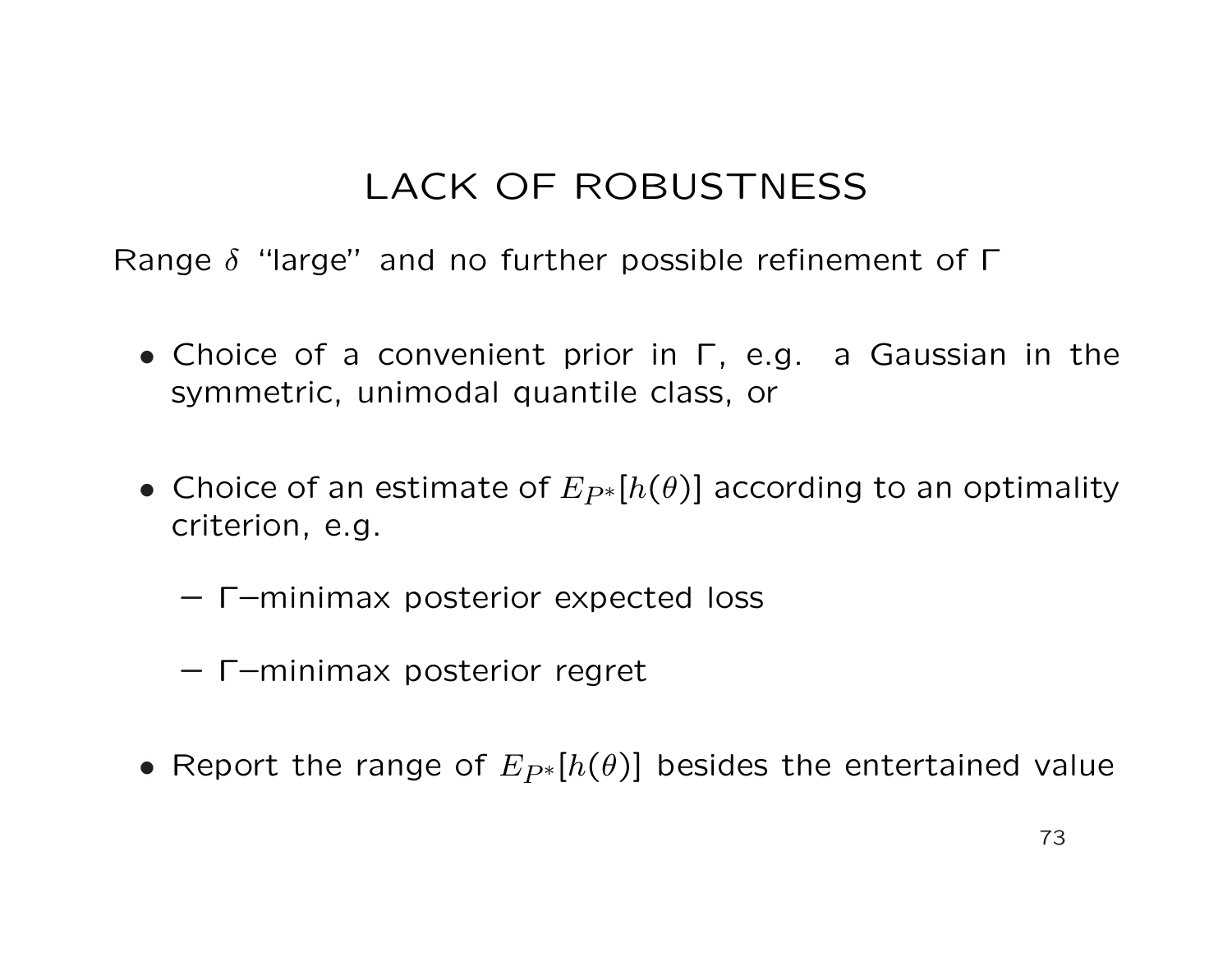# LACK OF ROBUSTNESS

Range  $\delta$  "large" and no further possible refinement of  $\Gamma$ 

- Choice of a convenient prior in Γ, e.g. a Gaussian in the symmetric, unimodal quantile class, or
- Choice of an estimate of  $E_{P^*}[h(\theta)]$  according to an optimality criterion, e.g.
	- Γ–minimax posterior expected loss
	- Γ–minimax posterior regret
- Report the range of  $E_{P*}[h(\theta)]$  besides the entertained value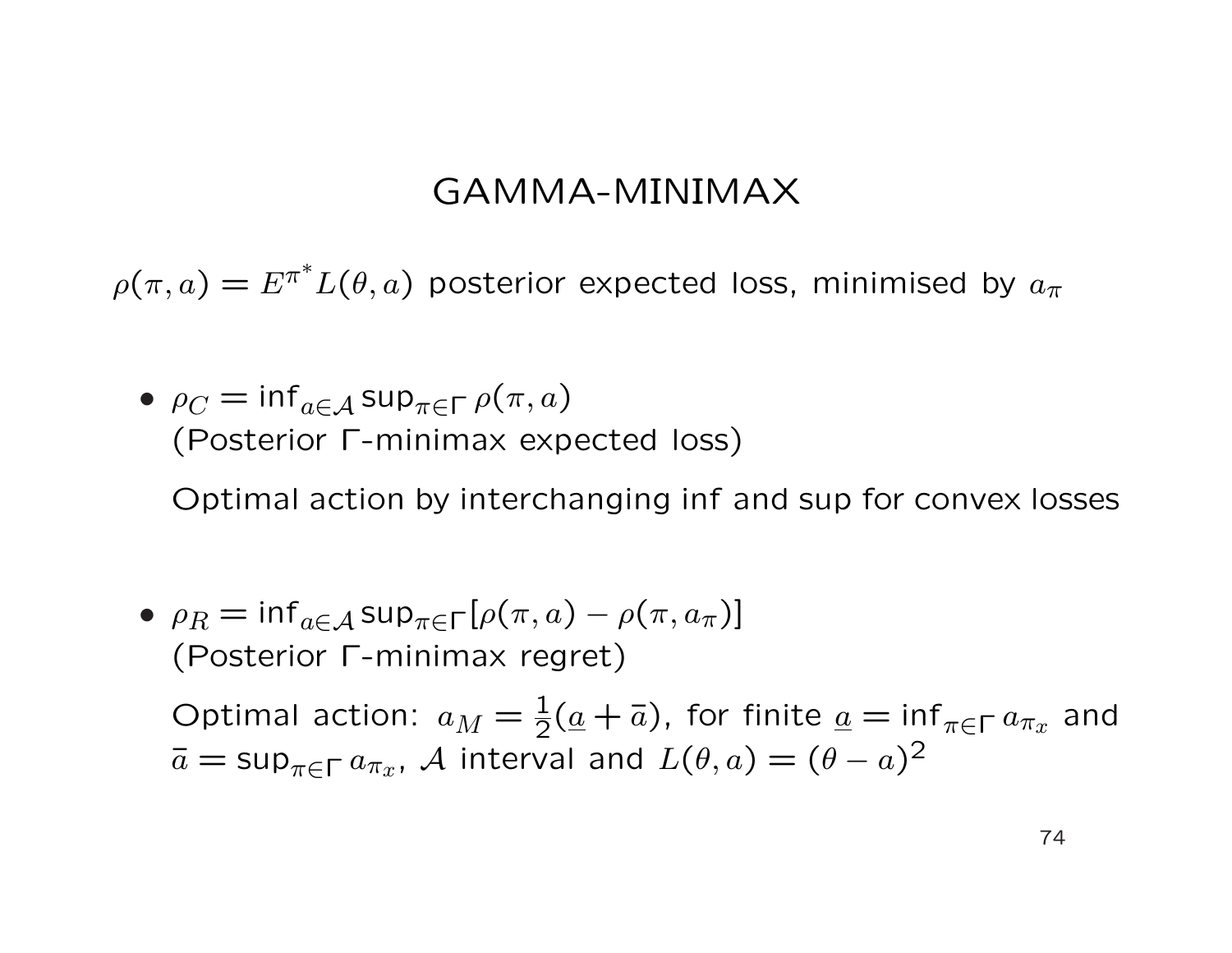#### GAMMA-MINIMAX

 $\rho(\pi,a) = E^{\pi^*} L(\theta,a)$  posterior expected loss, minimised by  $a_\pi$ 

•  $\rho_C = \inf_{a \in A} \sup_{\pi \in \Gamma} \rho(\pi, a)$ (Posterior Γ-minimax expected loss)

Optimal action by interchanging inf and sup for convex losses

•  $\rho_R = \inf_{a \in A} \sup_{\pi \in \Gamma} [\rho(\pi, a) - \rho(\pi, a_\pi)]$ (Posterior Γ-minimax regret)

Optimal action:  $a_M = \frac{1}{2}(\underline{a} + \overline{a})$ , for finite  $\underline{a} = \inf_{\pi \in \Gamma} a_{\pi_x}$  and  $\bar{a} = \sup_{\pi \in \Gamma} a_{\pi_x}$ , A interval and  $L(\theta, a) = (\theta - a)^2$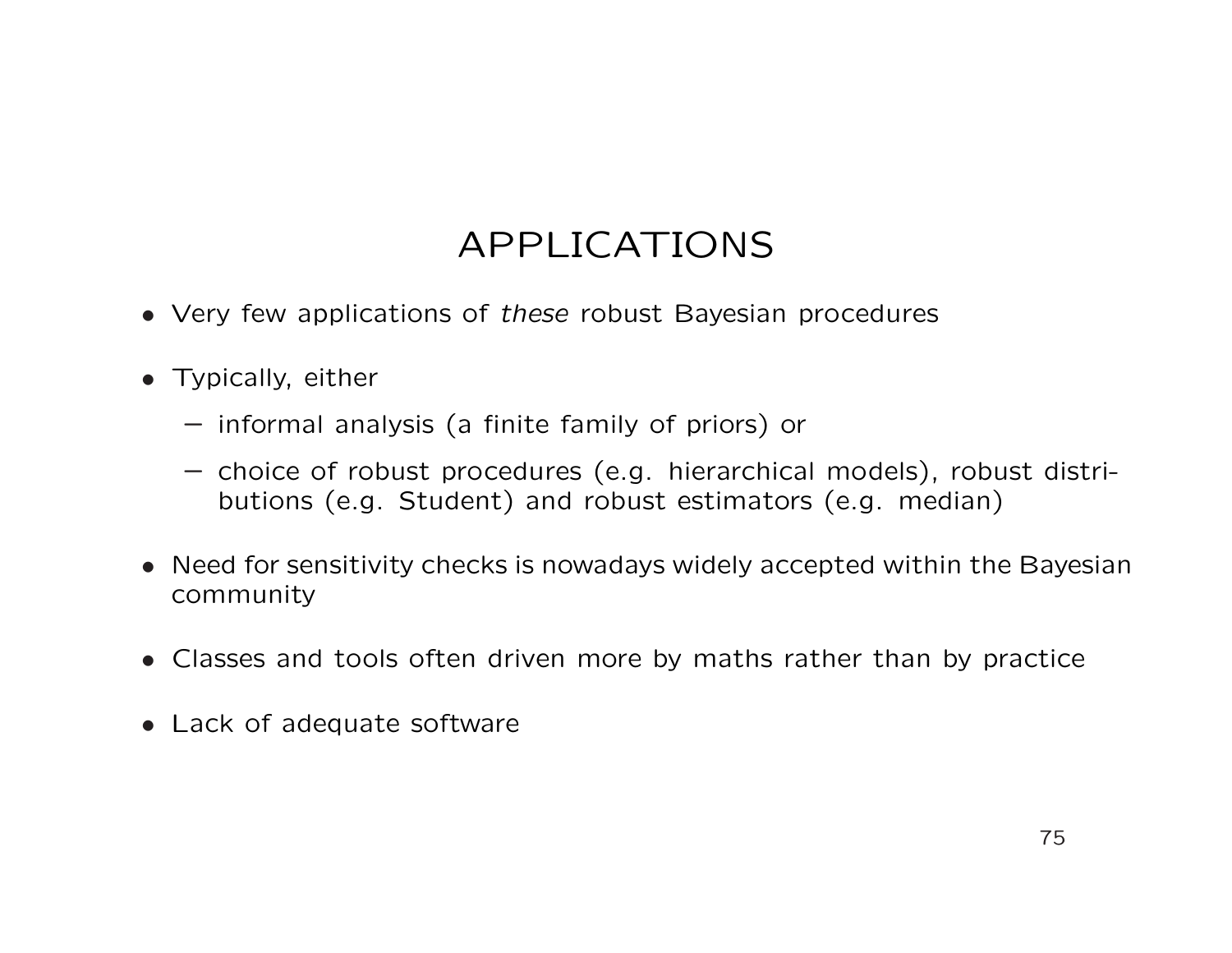- Very few applications of these robust Bayesian procedures
- Typically, either
	- informal analysis (a finite family of priors) or
	- choice of robust procedures (e.g. hierarchical models), robust distributions (e.g. Student) and robust estimators (e.g. median)
- Need for sensitivity checks is nowadays widely accepted within the Bayesian community
- Classes and tools often driven more by maths rather than by practice
- Lack of adequate software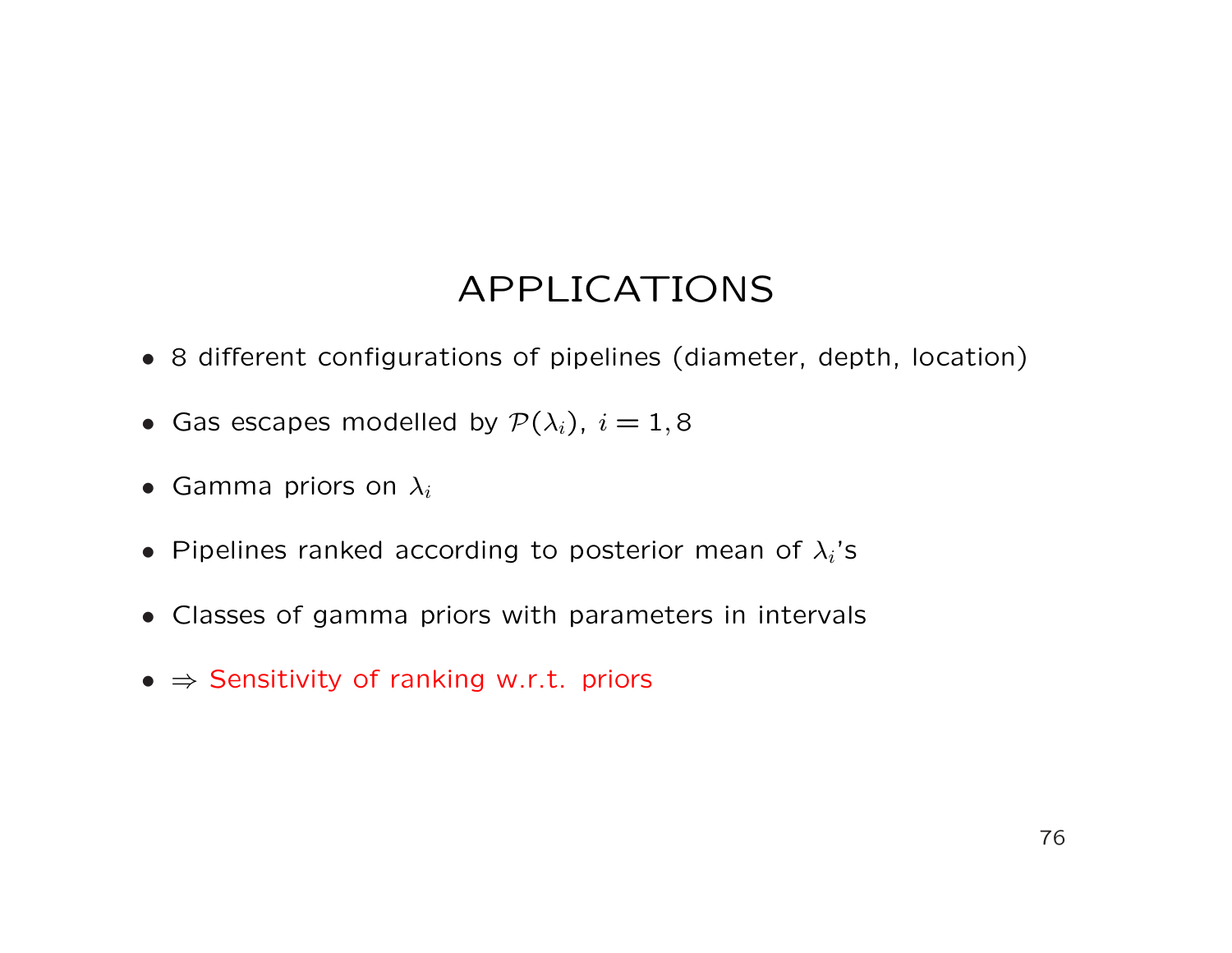- 8 different configurations of pipelines (diameter, depth, location)
- Gas escapes modelled by  $\mathcal{P}(\lambda_i)$ ,  $i = 1, 8$
- Gamma priors on  $\lambda_i$
- Pipelines ranked according to posterior mean of  $\lambda_i$ 's
- Classes of gamma priors with parameters in intervals
- $\Rightarrow$  Sensitivity of ranking w.r.t. priors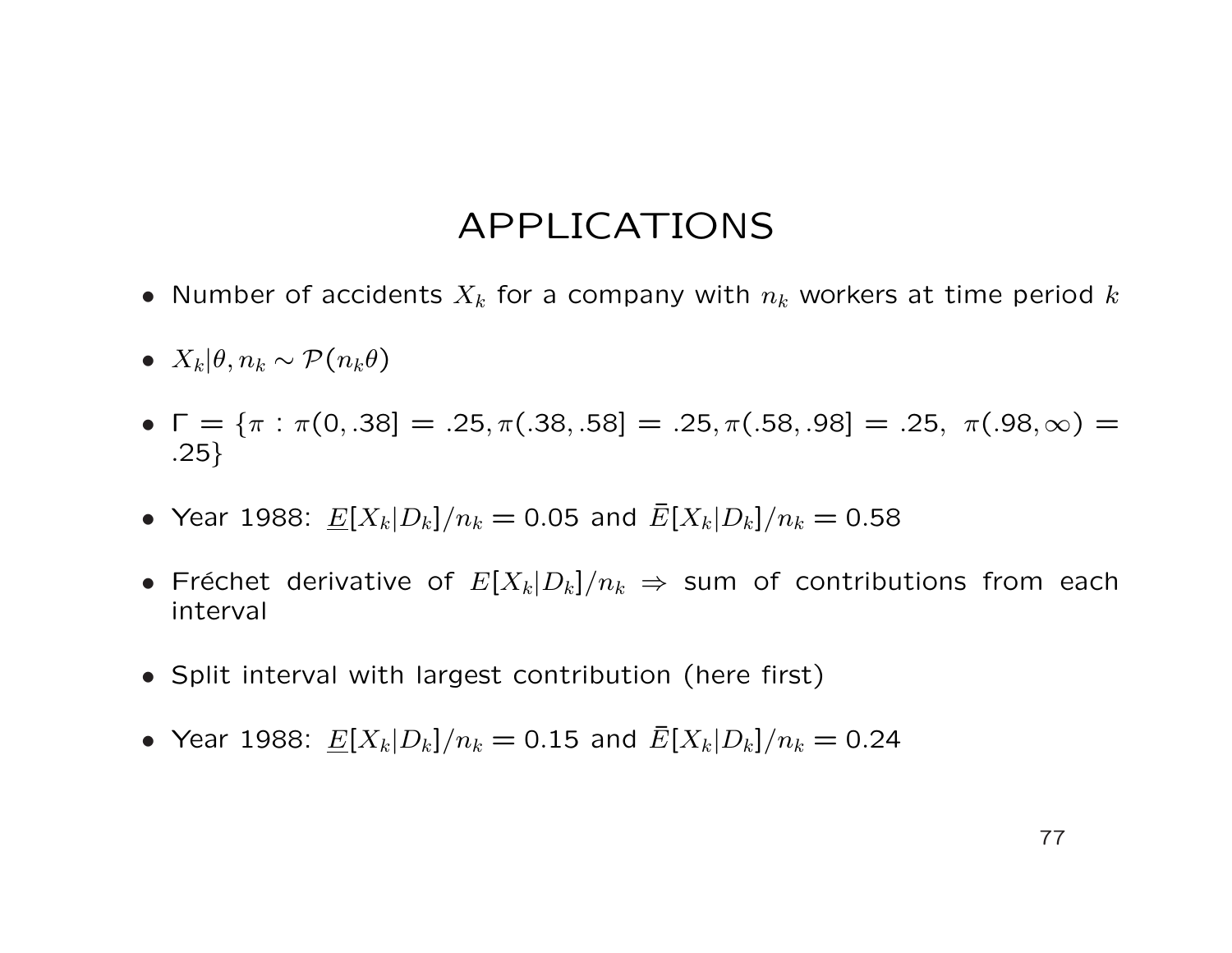- Number of accidents  $X_k$  for a company with  $n_k$  workers at time period k
- $X_k | \theta, n_k \sim \mathcal{P}(n_k \theta)$
- $\Gamma = {\pi : \pi(0, .38] = .25, \pi(.38, .58]} = .25, \pi(.58, .98]} = .25, \pi(.98, \infty) =$ .25}
- Year 1988:  $\underline{E}[X_k|D_k]/n_k = 0.05$  and  $\overline{E}[X_k|D_k]/n_k = 0.58$
- Fréchet derivative of  $E[X_k|D_k]/n_k \Rightarrow$  sum of contributions from each interval
- Split interval with largest contribution (here first)
- Year 1988:  $\underline{E}[X_k|D_k]/n_k = 0.15$  and  $\overline{E}[X_k|D_k]/n_k = 0.24$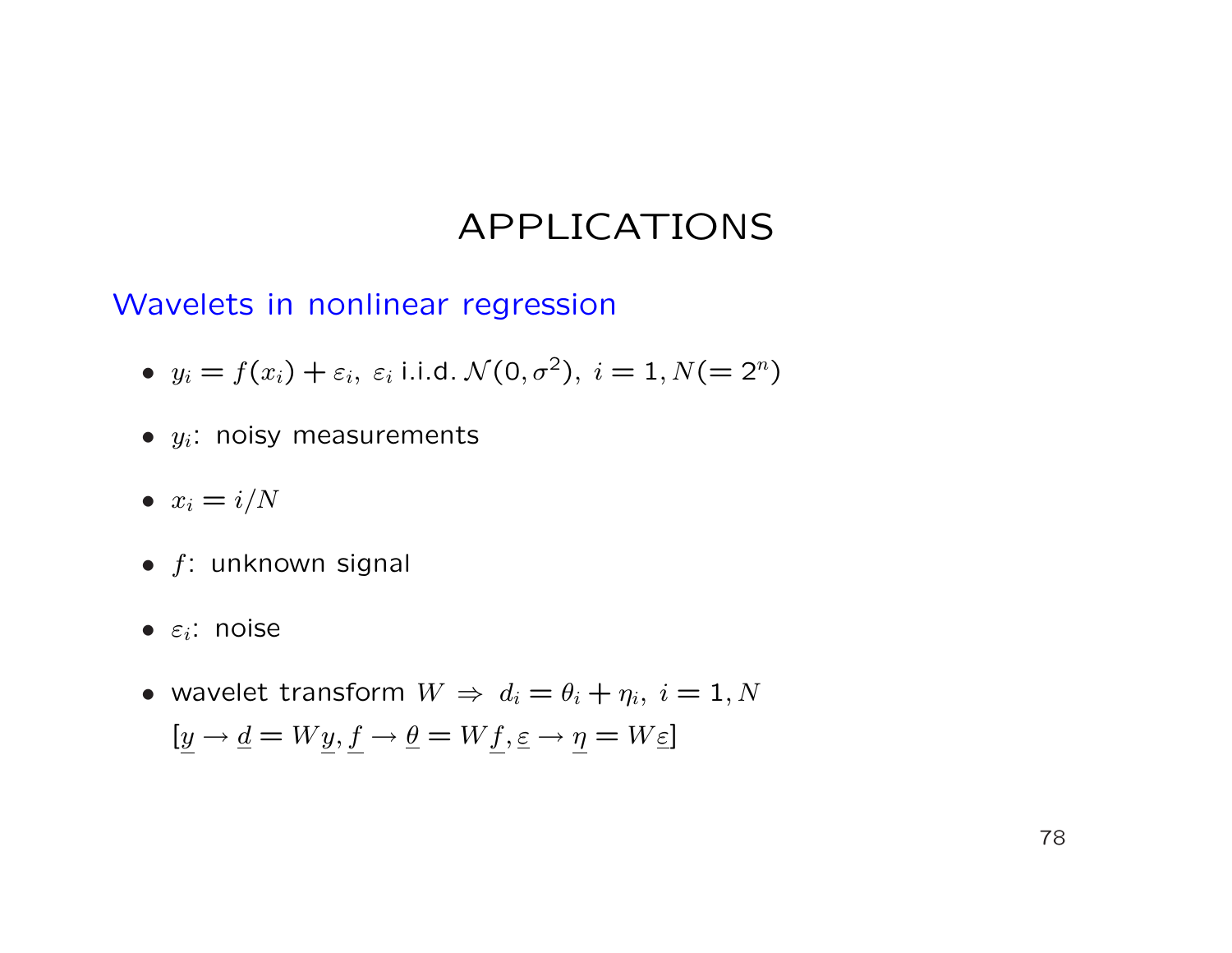Wavelets in nonlinear regression

- $y_i = f(x_i) + \varepsilon_i$ ,  $\varepsilon_i$  i.i.d.  $\mathcal{N}(0, \sigma^2)$ ,  $i = 1, N (= 2^n)$
- $\bullet$   $y_i$ : noisy measurements
- $x_i = i/N$
- $f$ : unknown signal
- $\bullet$   $\varepsilon_i$ : noise
- wavelet transform  $W \Rightarrow d_i = \theta_i + \eta_i, i = 1, N$  $[y \rightarrow \underline{d} = Wy, f \rightarrow \underline{\theta} = Wf, \underline{\varepsilon} \rightarrow \eta = W\underline{\varepsilon}]$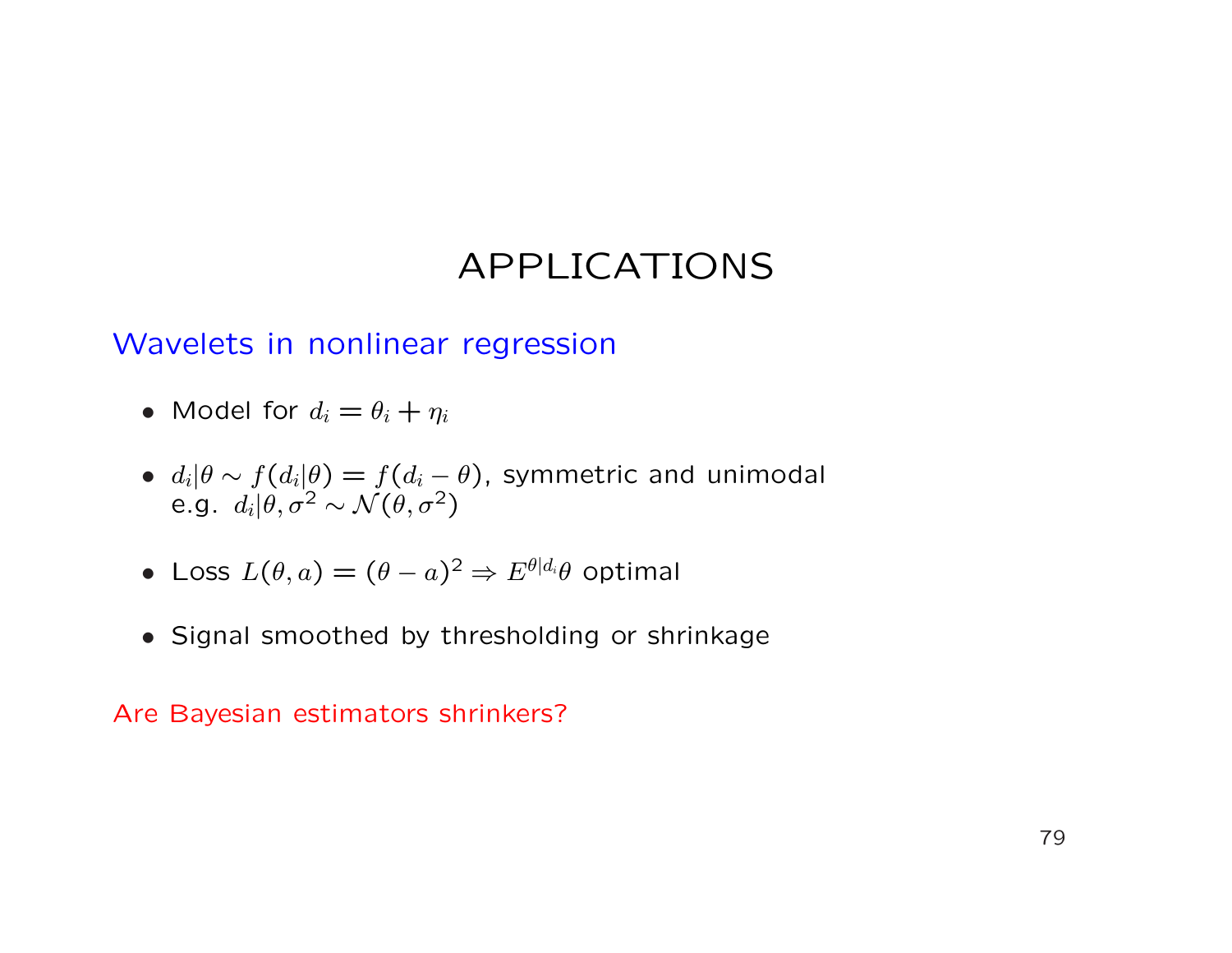#### Wavelets in nonlinear regression

- Model for  $d_i = \theta_i + \eta_i$
- $d_i|\theta \sim f(d_i|\theta) = f(d_i \theta)$ , symmetric and unimodal e.g.  $d_i | \theta, \sigma^2 \sim \mathcal{N}(\theta, \sigma^2)$
- Loss  $L(\theta, a) = (\theta a)^2 \Rightarrow E^{\theta | d_i} \theta$  optimal
- Signal smoothed by thresholding or shrinkage

Are Bayesian estimators shrinkers?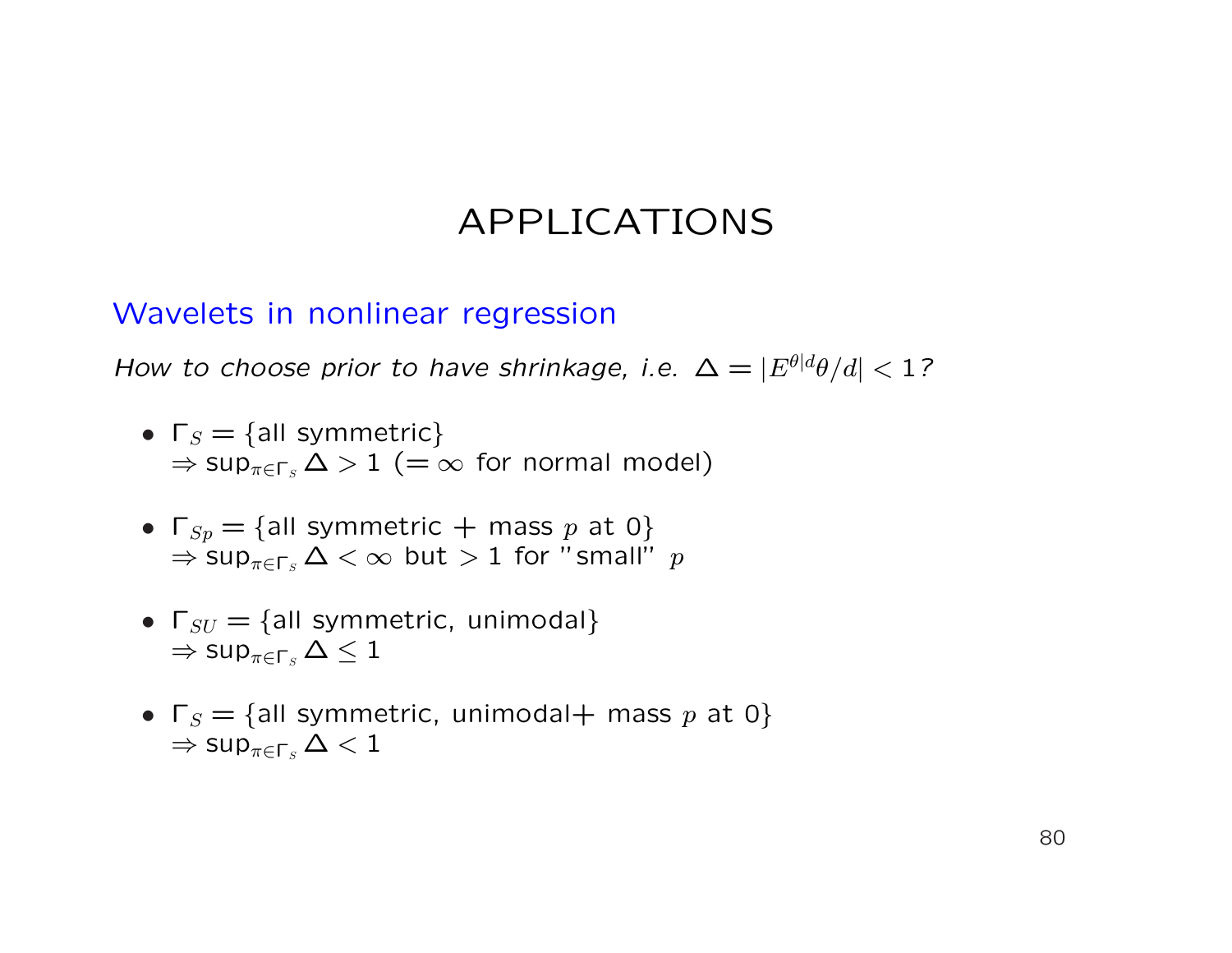#### Wavelets in nonlinear regression

How to choose prior to have shrinkage, i.e.  $\Delta = |E^{\theta|d}\theta/d| < 1$ ?

- $\Gamma_S = \{ \text{all symmetric} \}$  $\Rightarrow$  sup<sub>π∈Γs</sub>  $\Delta > 1$  (=  $\infty$  for normal model)
- $\Gamma_{Sp} = \{$ all symmetric  $+$  mass p at 0}  $\Rightarrow$  sup<sub> $\pi \in \Gamma$ s  $\Delta < \infty$  but  $> 1$  for "small" p</sub>
- $\Gamma_{SU} = \{$ all symmetric, unimodal}  $\Rightarrow$  sup<sub>π∈Γs</sub>  $\Delta \leq 1$
- $\Gamma_S = \{$ all symmetric, unimodal+ mass p at 0}  $\Rightarrow$  sup $_{\pi \in \mathsf{\Gamma}_S} \Delta < 1$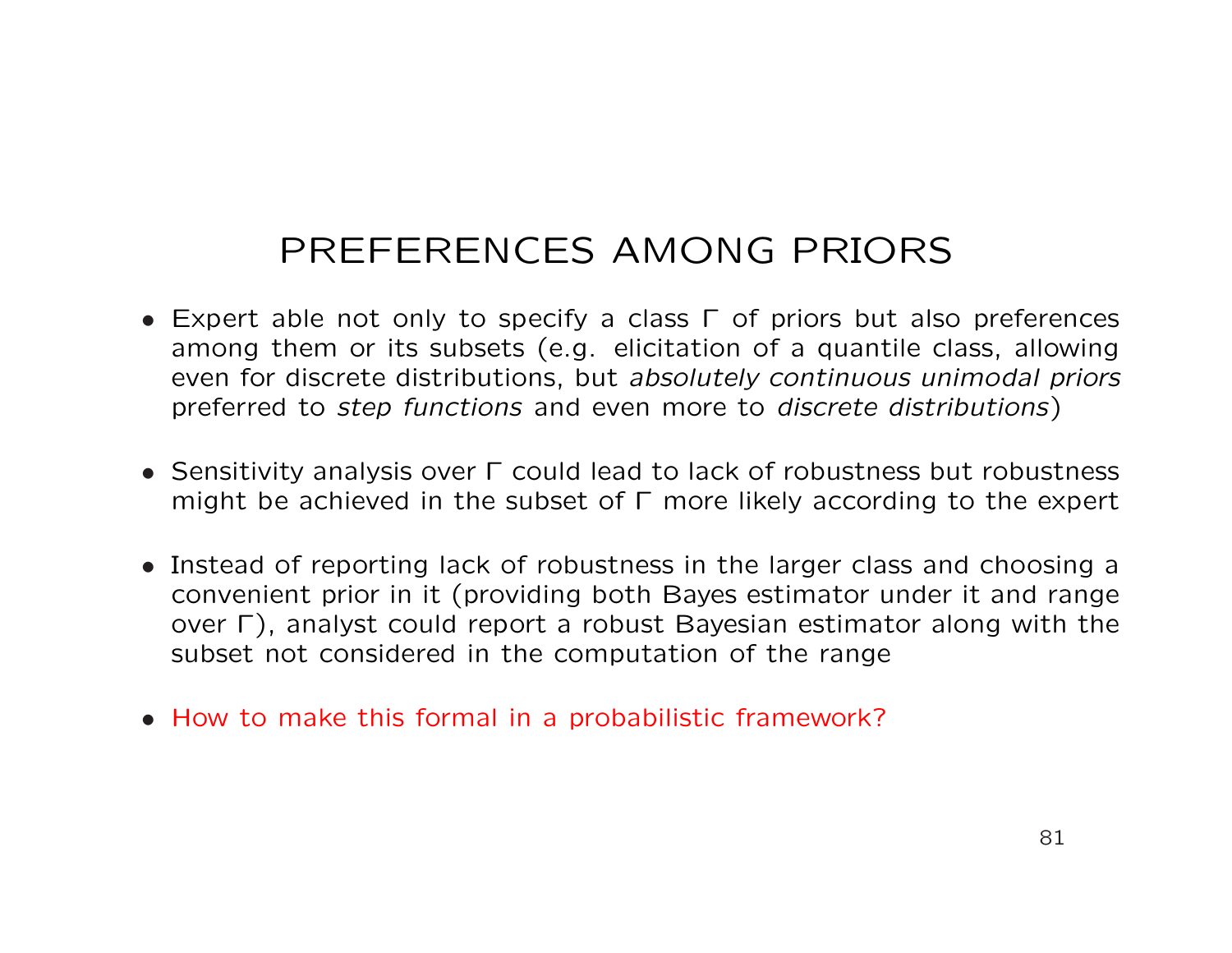# PREFERENCES AMONG PRIORS

- Expert able not only to specify a class Γ of priors but also preferences among them or its subsets (e.g. elicitation of a quantile class, allowing even for discrete distributions, but absolutely continuous unimodal priors preferred to step functions and even more to discrete distributions)
- Sensitivity analysis over Γ could lead to lack of robustness but robustness might be achieved in the subset of Γ more likely according to the expert
- Instead of reporting lack of robustness in the larger class and choosing a convenient prior in it (providing both Bayes estimator under it and range over Γ), analyst could report a robust Bayesian estimator along with the subset not considered in the computation of the range
- How to make this formal in a probabilistic framework?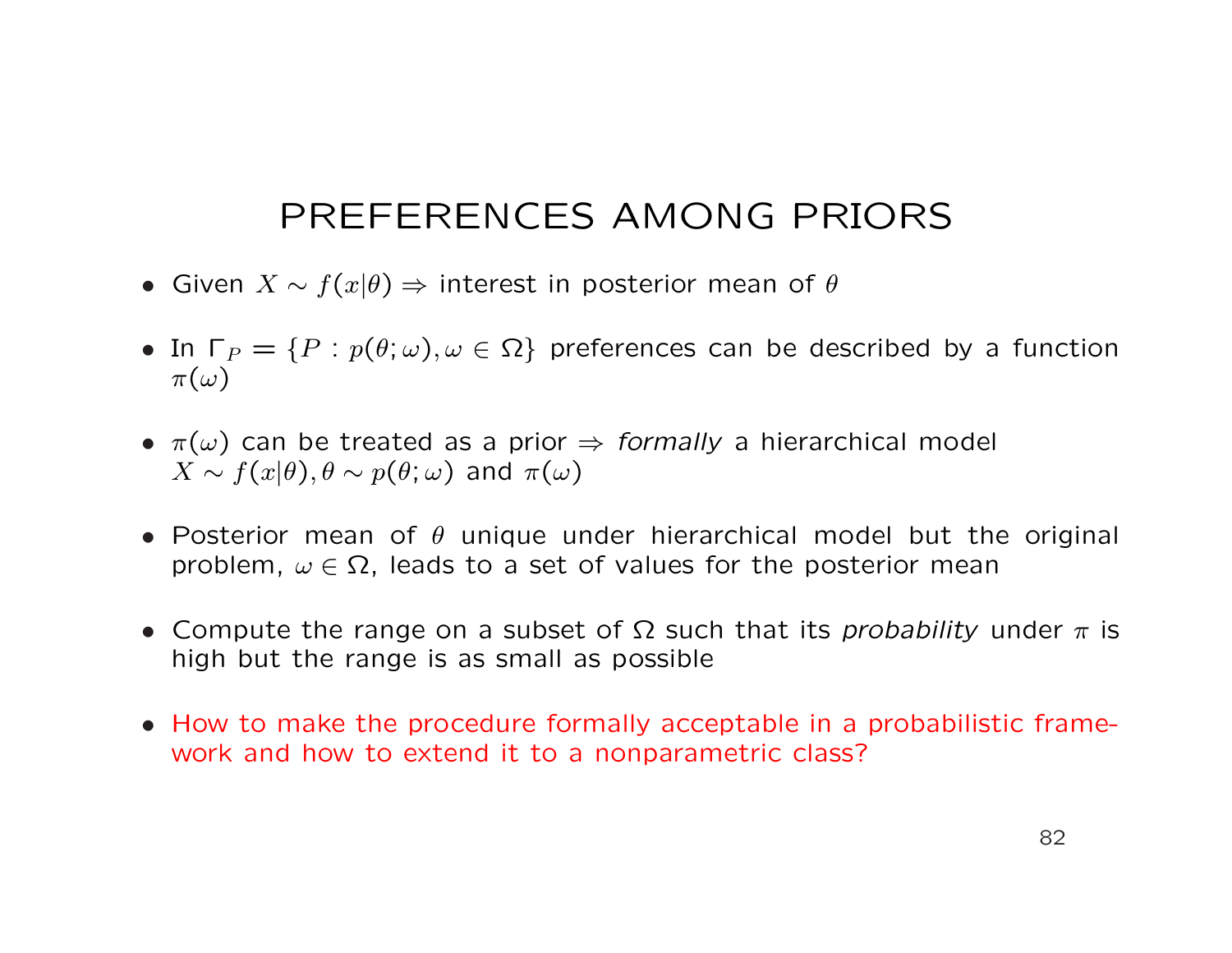## PREFERENCES AMONG PRIORS

- Given  $X \sim f(x|\theta) \Rightarrow$  interest in posterior mean of  $\theta$
- In  $\Gamma_P = \{P : p(\theta; \omega), \omega \in \Omega\}$  preferences can be described by a function  $\pi(\omega)$
- $\pi(\omega)$  can be treated as a prior  $\Rightarrow$  formally a hierarchical model  $X \sim f(x|\theta), \theta \sim p(\theta; \omega)$  and  $\pi(\omega)$
- Posterior mean of  $\theta$  unique under hierarchical model but the original problem,  $\omega \in \Omega$ , leads to a set of values for the posterior mean
- Compute the range on a subset of  $\Omega$  such that its *probability* under  $\pi$  is high but the range is as small as possible
- How to make the procedure formally acceptable in a probabilistic framework and how to extend it to a nonparametric class?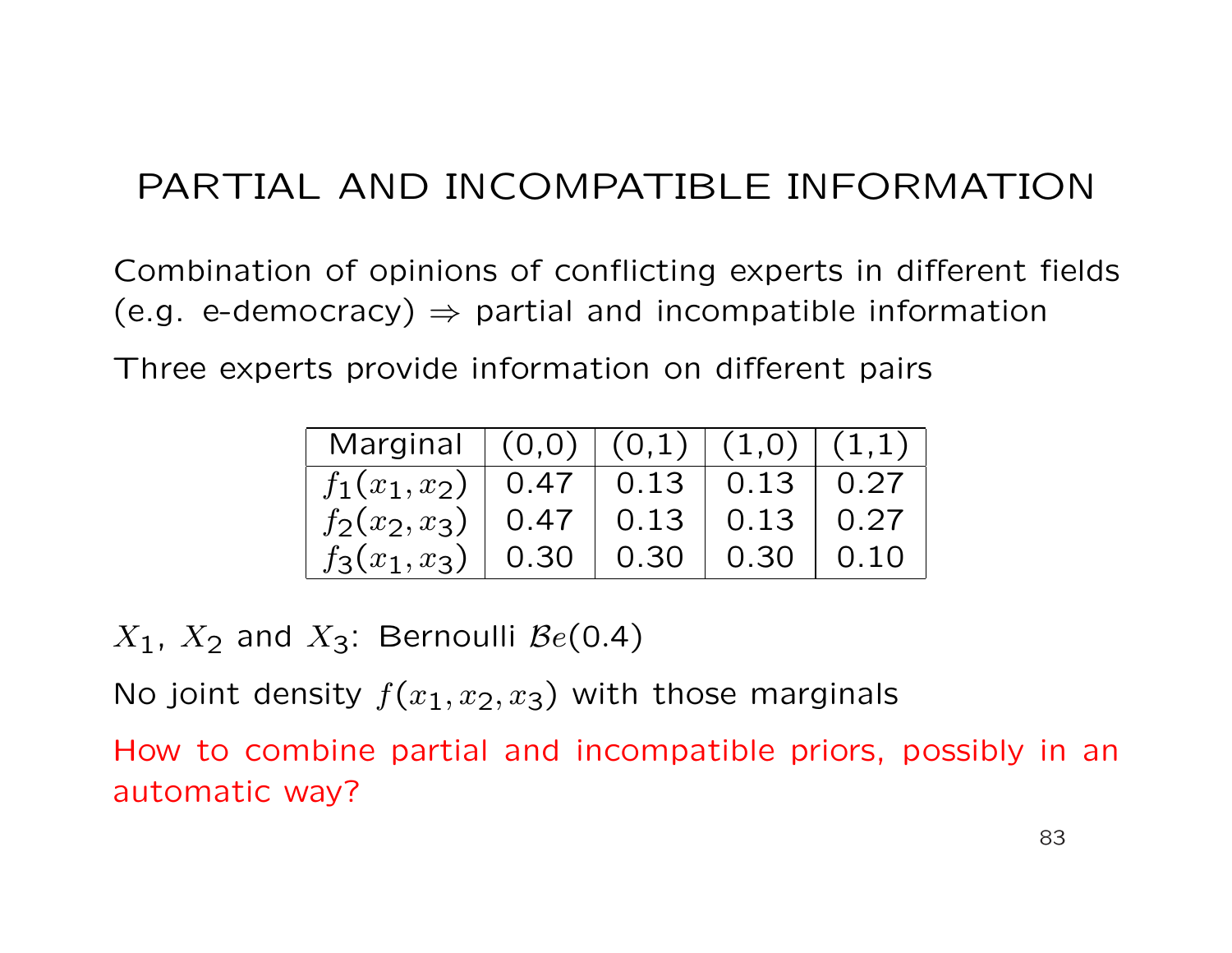Combination of opinions of conflicting experts in different fields (e.g. e-democracy)  $\Rightarrow$  partial and incompatible information

Three experts provide information on different pairs

| Marginal $ (0,0) (0,1) (1,0) (1,1)$         |  |  |
|---------------------------------------------|--|--|
| $f_1(x_1,x_2)$   0.47   0.13   0.13   0.27  |  |  |
| $f_2(x_2, x_3)$   0.47   0.13   0.13   0.27 |  |  |
| $f_3(x_1,x_3)$   0.30   0.30   0.30   0.10  |  |  |

 $X_1$ ,  $X_2$  and  $X_3$ : Bernoulli  $Be(0.4)$ 

No joint density  $f(x_1, x_2, x_3)$  with those marginals

How to combine partial and incompatible priors, possibly in an automatic way?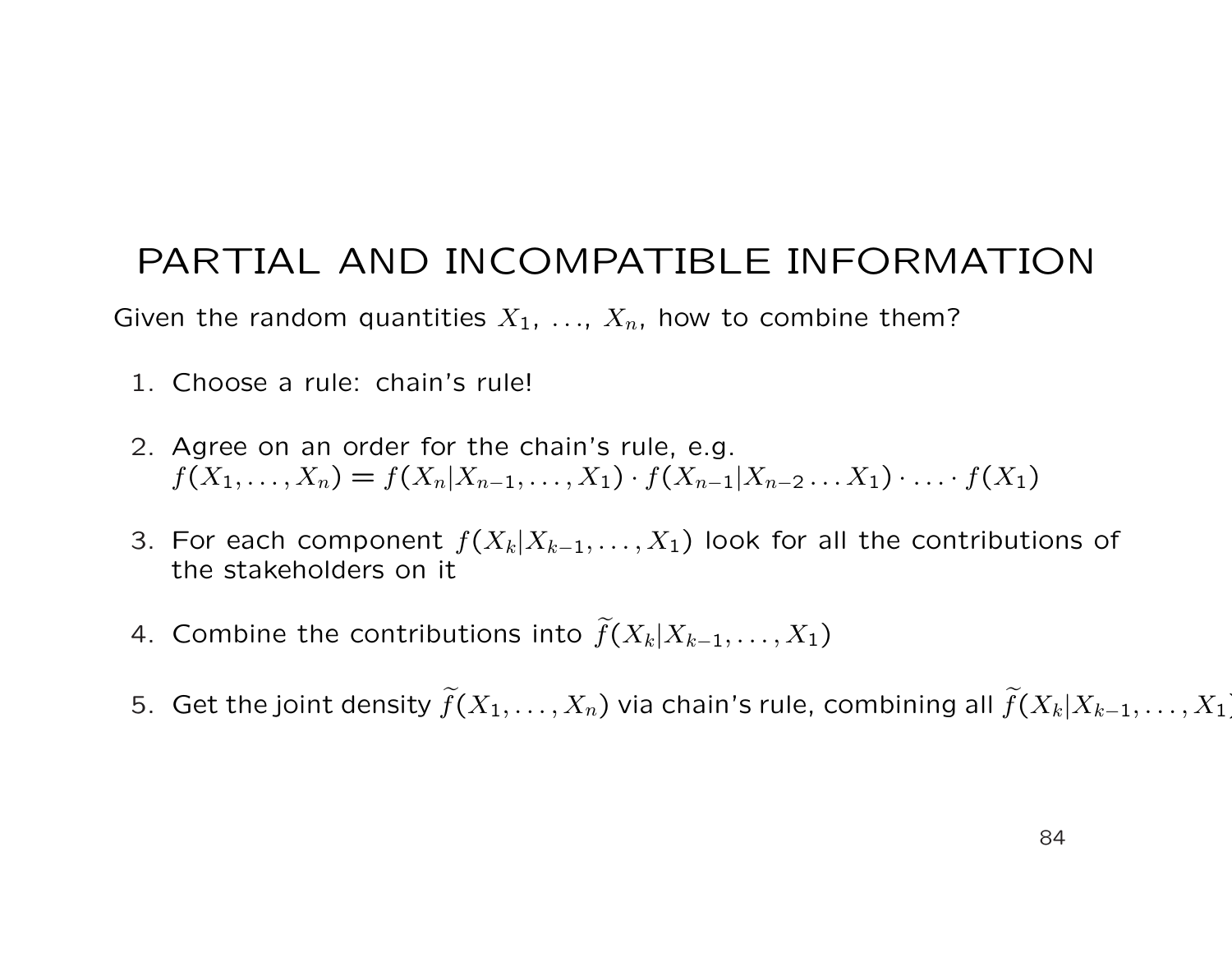Given the random quantities  $X_1, \ldots, X_n$ , how to combine them?

- 1. Choose a rule: chain's rule!
- 2. Agree on an order for the chain's rule, e.g.  $f(X_1, \ldots, X_n) = f(X_n | X_{n-1}, \ldots, X_1) \cdot f(X_{n-1} | X_{n-2} \ldots X_1) \cdot \ldots \cdot f(X_1)$
- 3. For each component  $f(X_k|X_{k-1},\ldots,X_1)$  look for all the contributions of the stakeholders on it
- 4. Combine the contributions into  $\widetilde{f}(X_k|X_{k-1},\ldots,X_1)$
- 5. Get the joint density  $\widetilde{f}(X_1,\ldots,X_n)$  via chain's rule, combining all  $\widetilde{f}(X_k|X_{k-1},\ldots,X_1)$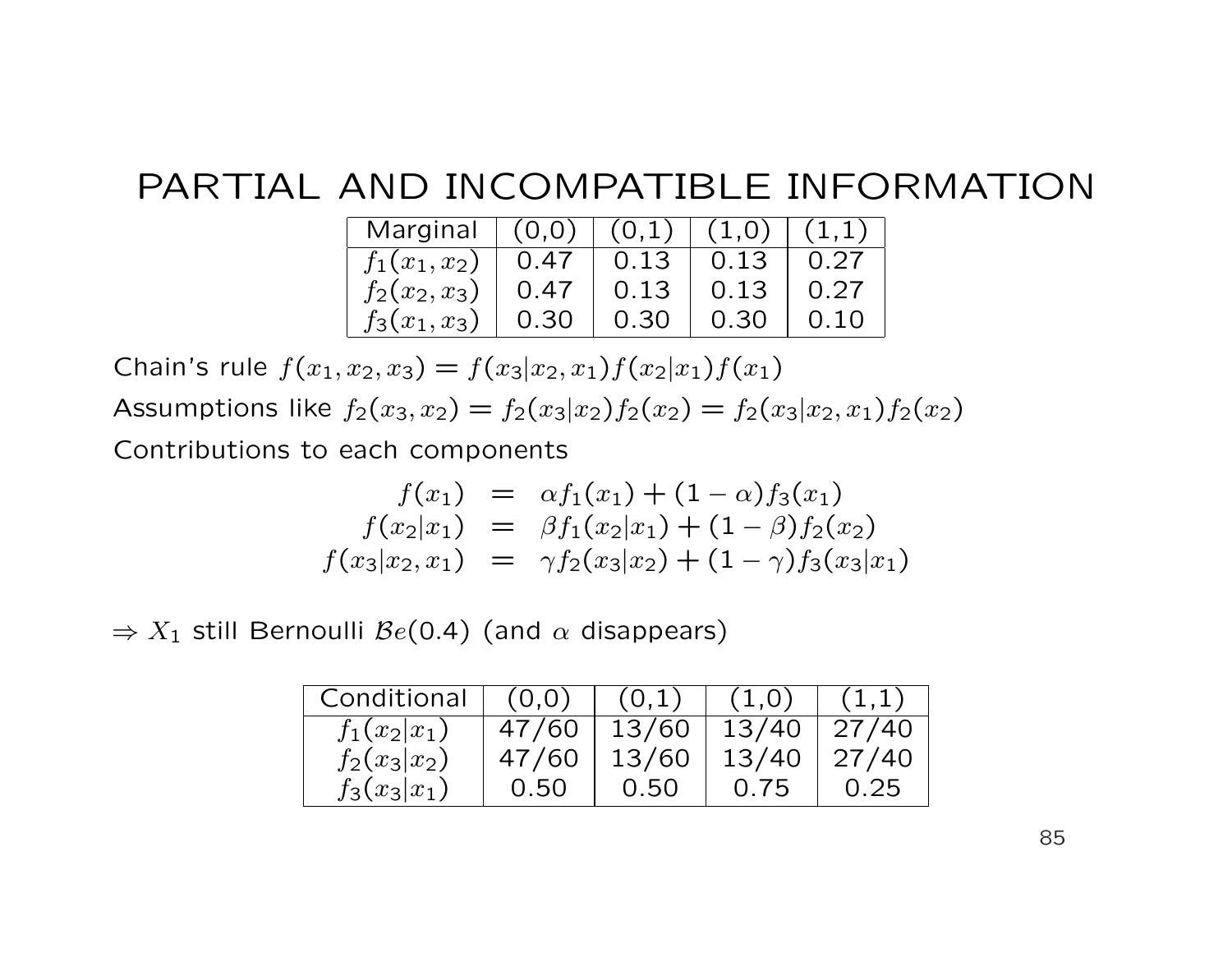| Marginal $(0,0)$ $(0,1)$ $(1,0)$ |      |      |      |      |
|----------------------------------|------|------|------|------|
| $f_1(x_1,x_2)$                   | 0.47 | 0.13 | 0.13 | 0.27 |
| $f_2(x_2, x_3)$                  | 0.47 | 0.13 | 0.13 | 0.27 |
| $f_3(x_1, x_3)$                  | 0.30 | 0.30 | 0.30 | 0.10 |

Chain's rule  $f(x_1, x_2, x_3) = f(x_3|x_2, x_1)f(x_2|x_1)f(x_1)$ Assumptions like  $f_2(x_3, x_2) = f_2(x_3|x_2)f_2(x_2) = f_2(x_3|x_2, x_1)f_2(x_2)$ Contributions to each components

$$
f(x_1) = \alpha f_1(x_1) + (1 - \alpha) f_3(x_1)
$$
  
\n
$$
f(x_2|x_1) = \beta f_1(x_2|x_1) + (1 - \beta) f_2(x_2)
$$
  
\n
$$
f(x_3|x_2, x_1) = \gamma f_2(x_3|x_2) + (1 - \gamma) f_3(x_3|x_1)
$$

 $\Rightarrow X_1$  still Bernoulli  $\mathcal{B}e(0.4)$  (and  $\alpha$  disappears)

| Conditional    | (0,0) | (0,1) | (1,0) | (1,1)           |
|----------------|-------|-------|-------|-----------------|
| $f_1(x_2 x_1)$ | 47/60 | 13/60 |       | $13/40$   27/40 |
| $f_2(x_3 x_2)$ | 47/60 | 13/60 |       | $13/40$   27/40 |
| $f_3(x_3 x_1)$ | 0.50  | 0.50  | 0.75  | 0.25            |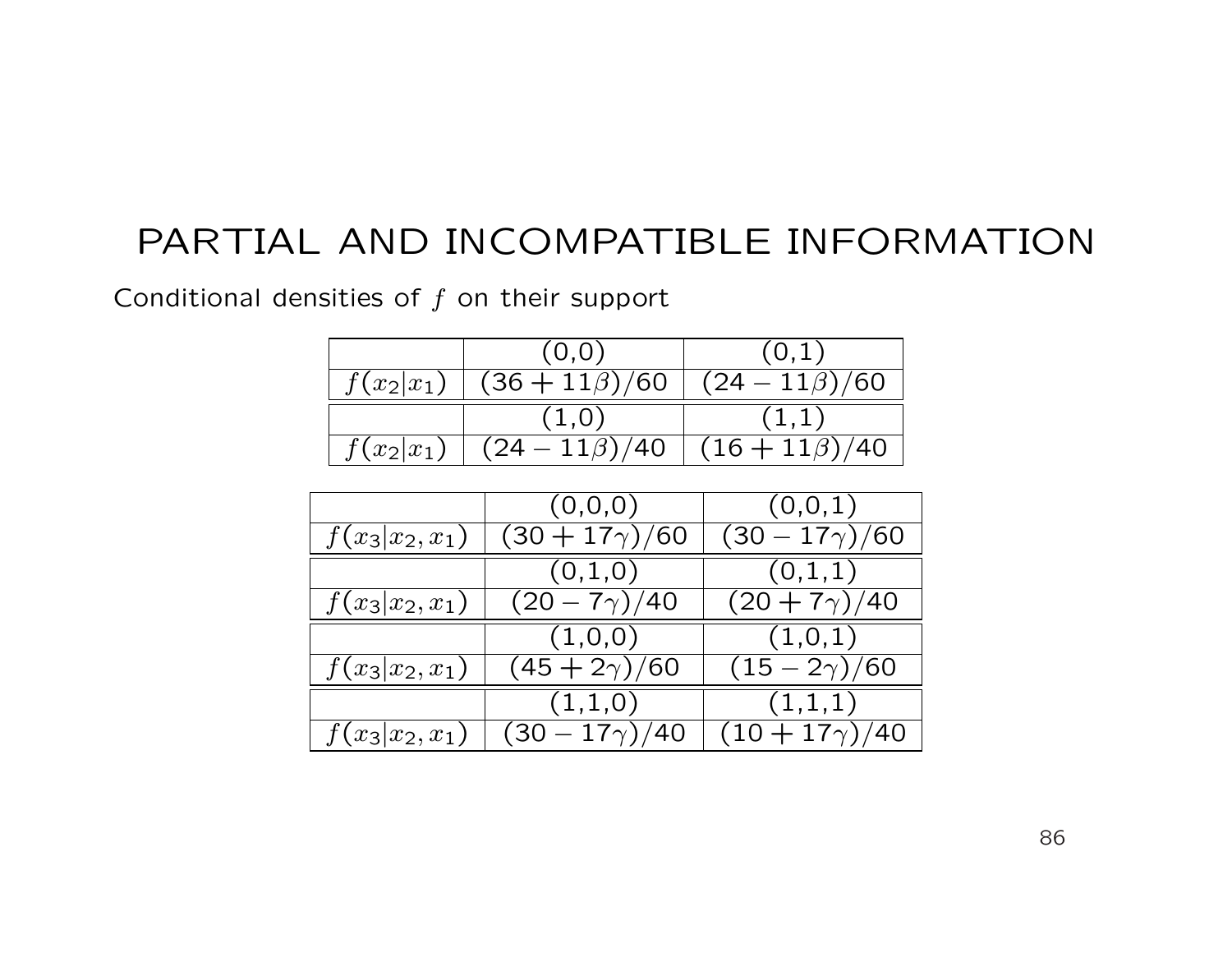Conditional densities of  $f$  on their support

| (0,0)                                                    | (0,1)             |
|----------------------------------------------------------|-------------------|
| $f(x_2 x_1)$   $(36 + 11\beta)/60$   $(24 - 11\beta)/60$ |                   |
| (1,0)                                                    | (1,1)             |
| $f(x_2 x_1)$ $(24-11\beta)\sqrt{40}$                     | $(16+11\beta)/40$ |

|                  | (0,0,0)              | (0,0,1)              |
|------------------|----------------------|----------------------|
| $f(x_3 x_2,x_1)$ | $(30 + 17\gamma)/60$ | $(30 - 17\gamma)/60$ |
|                  | (0,1,0)              | (0,1,1)              |
| $f(x_3 x_2,x_1)$ | $(20 - 7\gamma)/40$  | $(20 + 7\gamma)/40$  |
|                  | (1,0,0)              | (1,0,1)              |
| $f(x_3 x_2,x_1)$ | $(45 + 2\gamma)/60$  | $(15 - 2\gamma)/60$  |
|                  | (1,1,0)              | (1,1,1)              |
| $f(x_3 x_2,x_1)$ | $(30 - 17\gamma)/40$ | $(10+17\gamma)/40$   |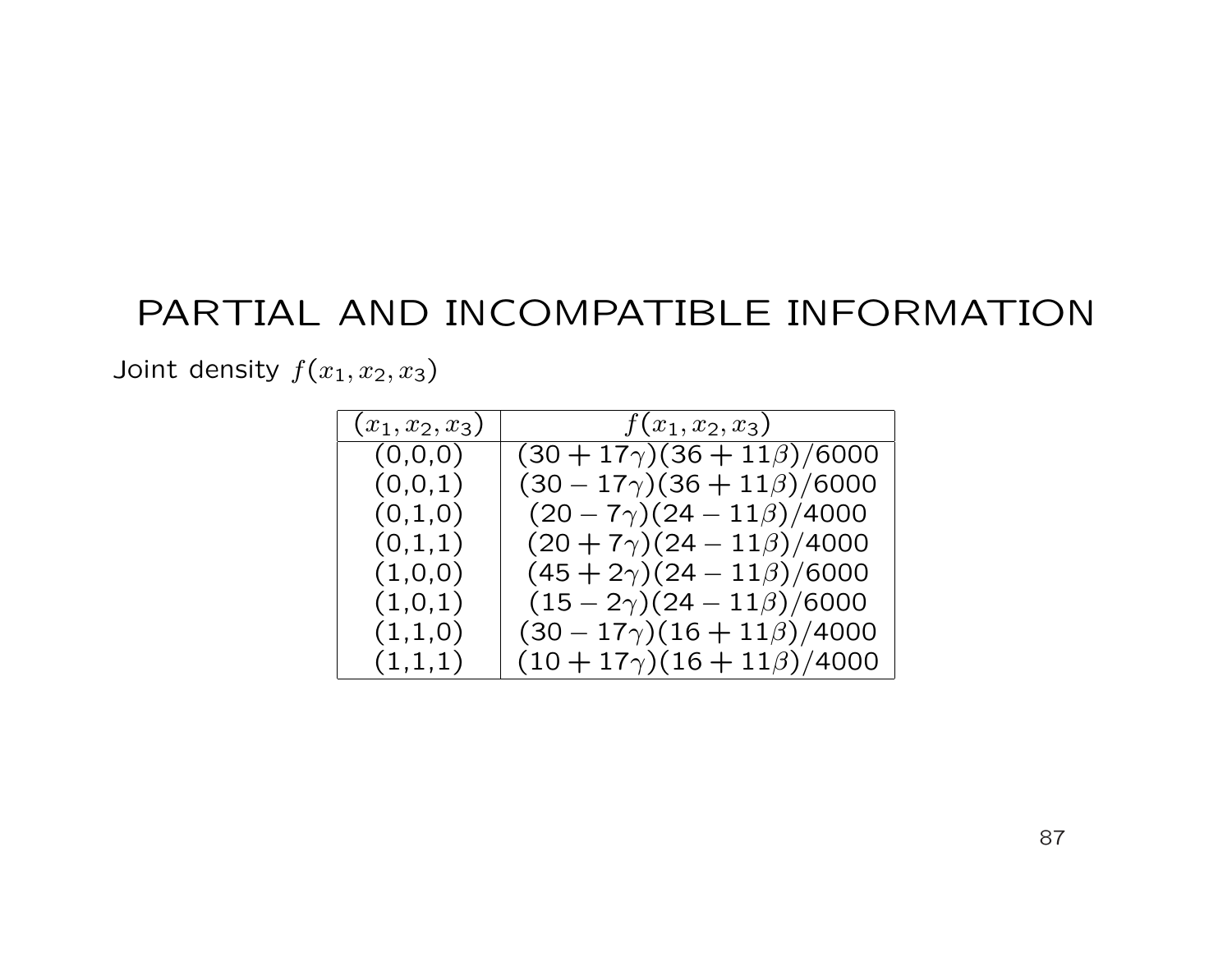Joint density  $f(x_1, x_2, x_3)$ 

| $(x_1, x_2, x_3)$ | $f(x_1, x_2, x_3)$                   |
|-------------------|--------------------------------------|
| (0,0,0)           | $(30 + 17\gamma)(36 + 11\beta)/6000$ |
| (0,0,1)           | $(30 - 17\gamma)(36 + 11\beta)/6000$ |
| (0,1,0)           | $(20 - 7\gamma)(24 - 11\beta)/4000$  |
| (0,1,1)           | $(20+7\gamma)(24-11\beta)/4000$      |
| (1,0,0)           | $(45 + 2\gamma)(24 - 11\beta)/6000$  |
| (1,0,1)           | $(15-2\gamma)(24-11\beta)/6000$      |
| (1,1,0)           | $(30 - 17\gamma)(16 + 11\beta)/4000$ |
| (1,1,1)           | $(10+17\gamma)(16+11\beta)/4000$     |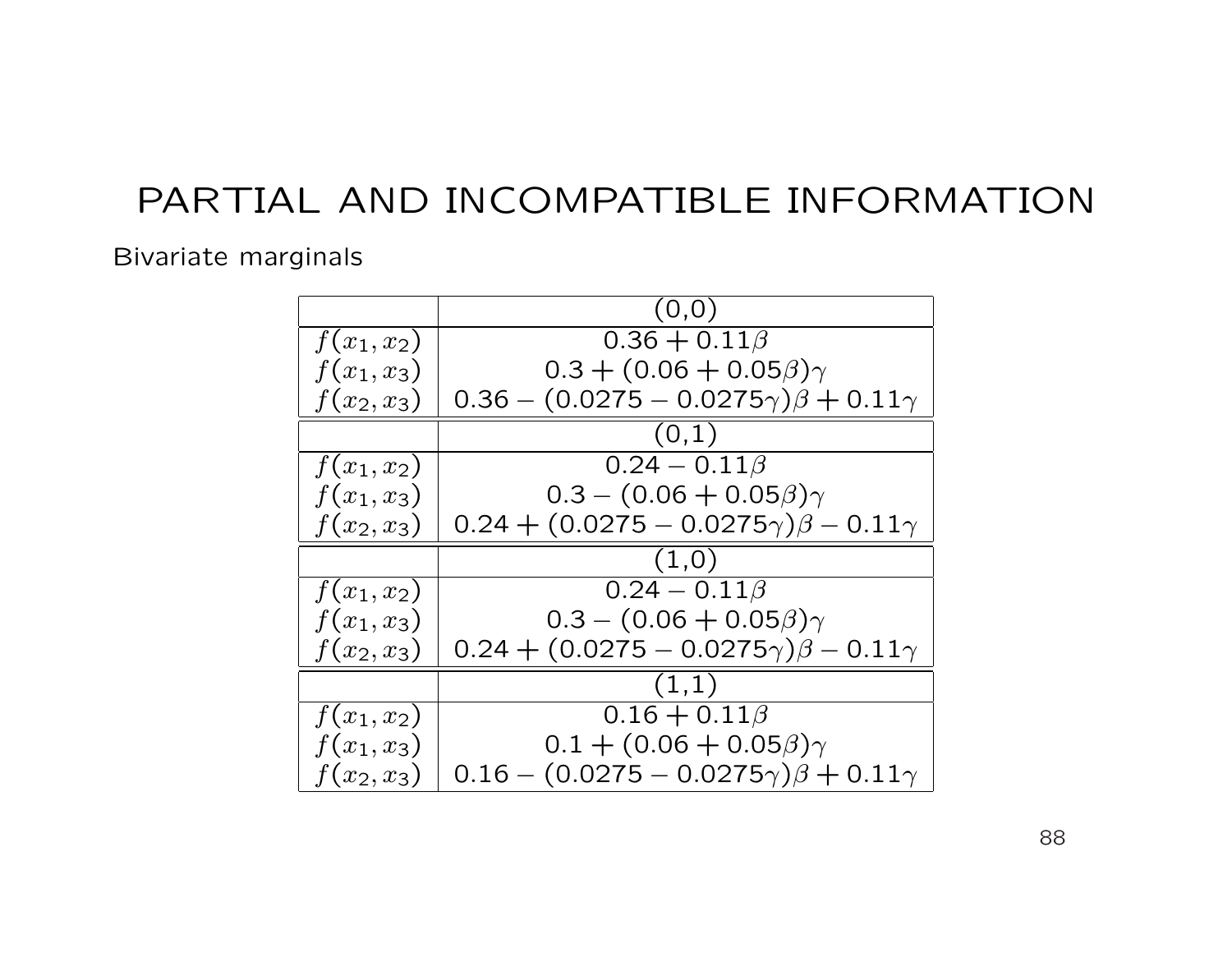#### Bivariate marginals

|               | (0,0)                                              |
|---------------|----------------------------------------------------|
| $f(x_1, x_2)$ | $0.36 + 0.11\beta$                                 |
| $f(x_1, x_3)$ | $0.3 + (0.06 + 0.05\beta)\gamma$                   |
| $f(x_2, x_3)$ | $0.36 - (0.0275 - 0.0275\gamma)\beta + 0.11\gamma$ |
|               | (0,1)                                              |
| $f(x_1, x_2)$ | $0.24 - 0.11\beta$                                 |
| $f(x_1, x_3)$ | $0.3 - (0.06 + 0.05\beta)\gamma$                   |
| $f(x_2, x_3)$ | $0.24 + (0.0275 - 0.0275\gamma)\beta - 0.11\gamma$ |
|               | (1,0)                                              |
| $f(x_1, x_2)$ | $0.24 - 0.11\beta$                                 |
| $f(x_1, x_3)$ | $0.3 - (0.06 + 0.05\beta)\gamma$                   |
| $f(x_2, x_3)$ | $0.24 + (0.0275 - 0.0275\gamma)\beta - 0.11\gamma$ |
|               | (1,1)                                              |
| $f(x_1, x_2)$ | $0.16 + 0.11\beta$                                 |
| $f(x_1, x_3)$ | $0.1 + (0.06 + 0.05\beta)\gamma$                   |
| $f(x_2, x_3)$ | $0.16 - (0.0275 - 0.0275\gamma)\beta + 0.11\gamma$ |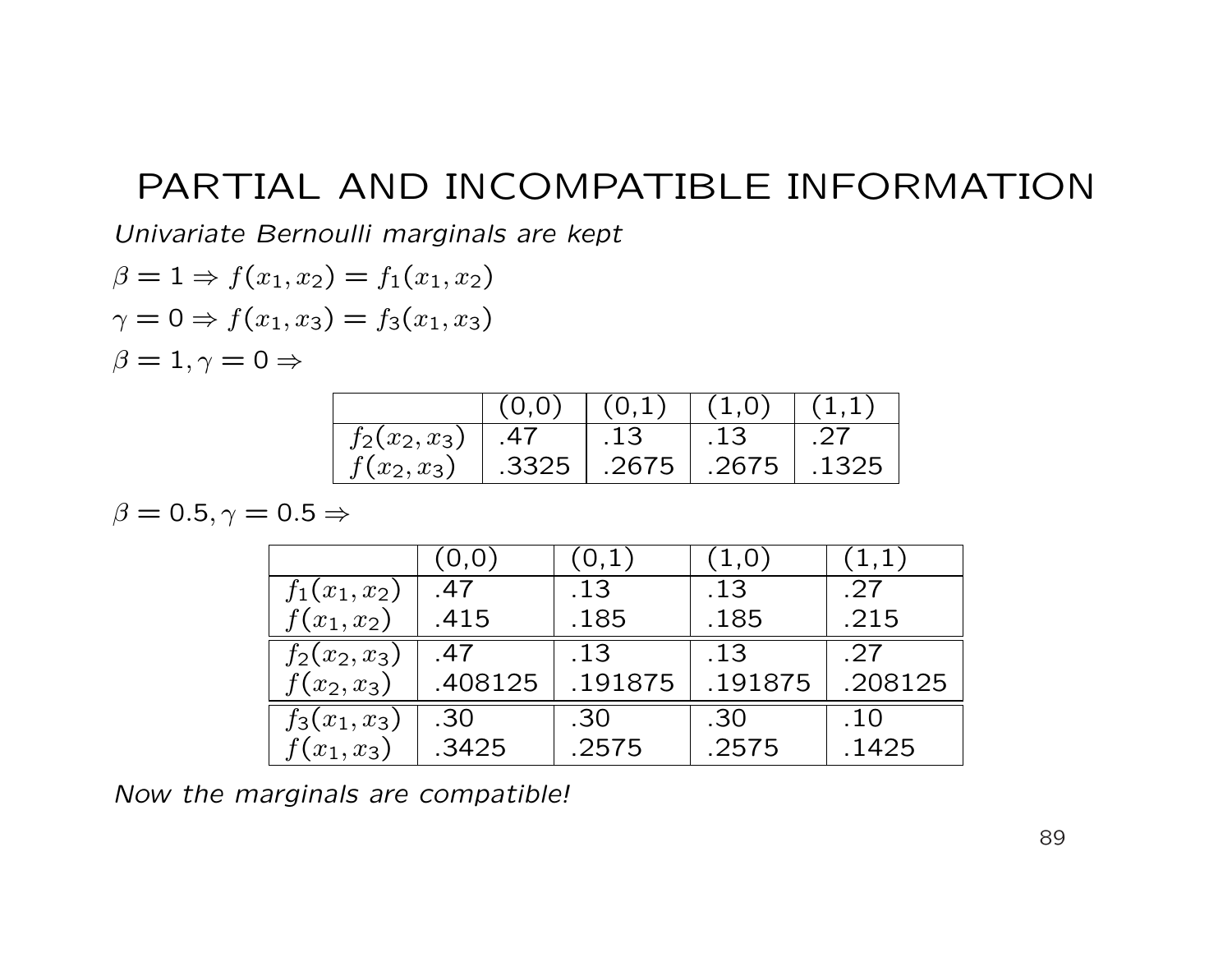Univariate Bernoulli marginals are kept

$$
\beta = 1 \Rightarrow f(x_1, x_2) = f_1(x_1, x_2)
$$
  

$$
\gamma = 0 \Rightarrow f(x_1, x_3) = f_3(x_1, x_3)
$$
  

$$
\beta = 1, \gamma = 0 \Rightarrow
$$

|                 | (0,0) | (0,1) | (1,0) |       |
|-----------------|-------|-------|-------|-------|
| $f_2(x_2, x_3)$ | .47   | .13   | .13   |       |
| $f(x_2, x_3)$   | .3325 | .2675 | .2675 | .1325 |

 $\beta = 0.5, \gamma = 0.5 \Rightarrow$ 

|                 | (0, 0)  | $(\,0,1\,)$ | (1,0)   | (1,1)   |
|-----------------|---------|-------------|---------|---------|
| $f_1(x_1,x_2)$  | .47     | .13         | .13     | .27     |
| $f(x_1, x_2)$   | .415    | .185        | .185    | .215    |
| $f_2(x_2, x_3)$ | .47     | .13         | .13     | .27     |
| $f(x_2, x_3)$   | .408125 | .191875     | .191875 | .208125 |
| $f_3(x_1, x_3)$ | .30     | .30         | .30     | .10     |
| $f(x_1, x_3)$   | .3425   | .2575       | .2575   | .1425   |

Now the marginals are compatible!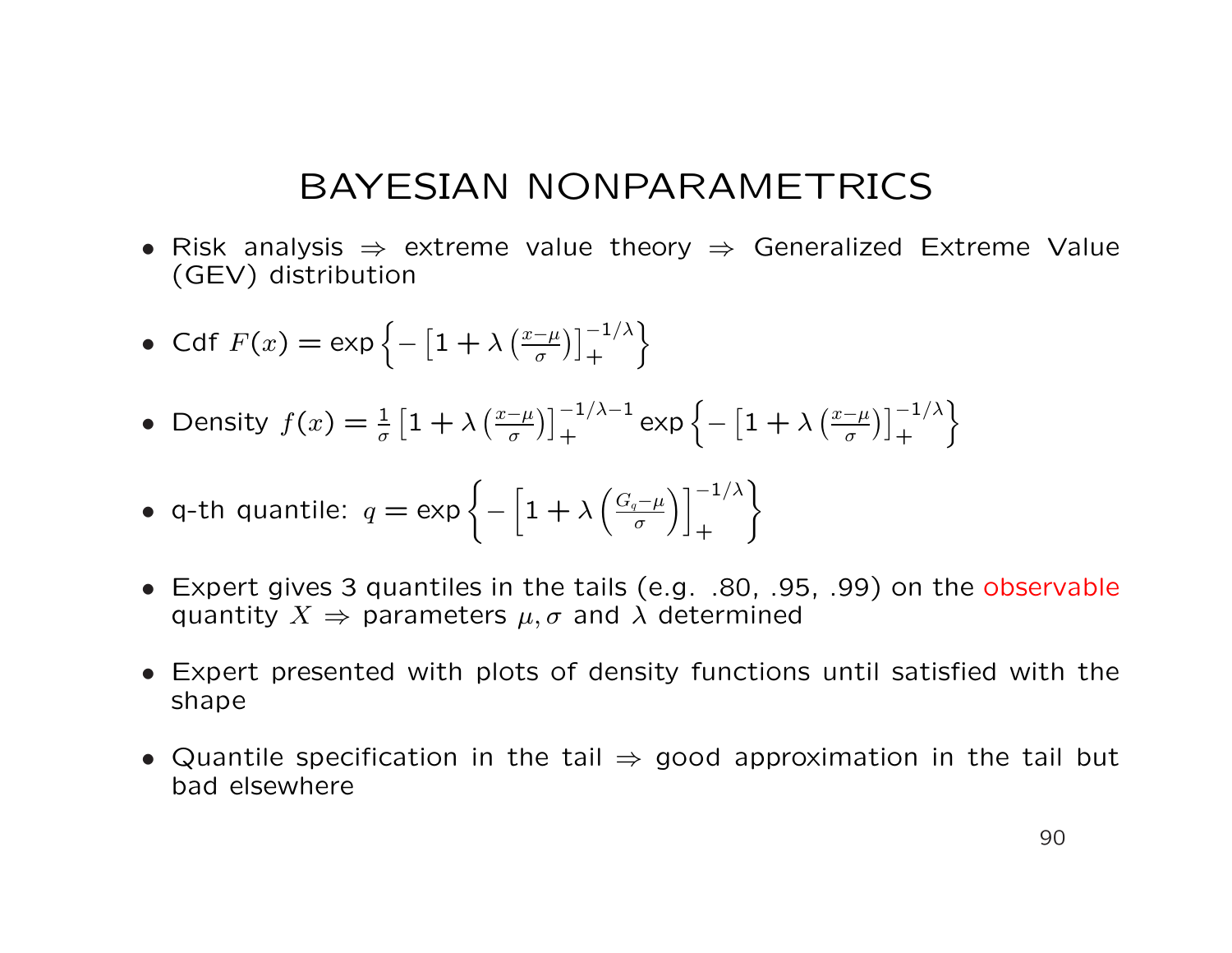- Risk analysis  $\Rightarrow$  extreme value theory  $\Rightarrow$  Generalized Extreme Value (GEV) distribution
- Cdf  $F(x) = \exp \{-\frac{1}{2}\}$ £  $1 + \lambda$  $\int x-\mu$ σ  $\lambda$ <sup>-1/λ</sup>  $+$ o
- Density  $f(x) = \frac{1}{\sigma}$  $\frac{1}{2}$  $1 + \lambda$  $\int x-\mu$ σ  $\sqrt{1-1/\lambda-1}$  $\left. + \right. \left. \begin{array}{c} -1/\lambda - 1 \\ + \end{array} \right.$ exp $\left\{ - \right.$ £  $1 + \lambda$  $\int x-\mu$ σ  $\lambda$ <sup>-1/λ</sup>  $+$ o
- q-th quantile:  $q = \exp \{-\frac{1}{2}\}$ h  $1 + \lambda$  $\overline{a}$  $G_q-\mu$ σ  $\lambda$   $\frac{-1}{\lambda}$  $+$  $\mathbf{A}^{\dagger}$
- Expert gives 3 quantiles in the tails (e.g. .80, .95, .99) on the observable quantity  $X \Rightarrow$  parameters  $\mu, \sigma$  and  $\lambda$  determined
- Expert presented with plots of density functions until satisfied with the shape
- Quantile specification in the tail  $\Rightarrow$  good approximation in the tail but bad elsewhere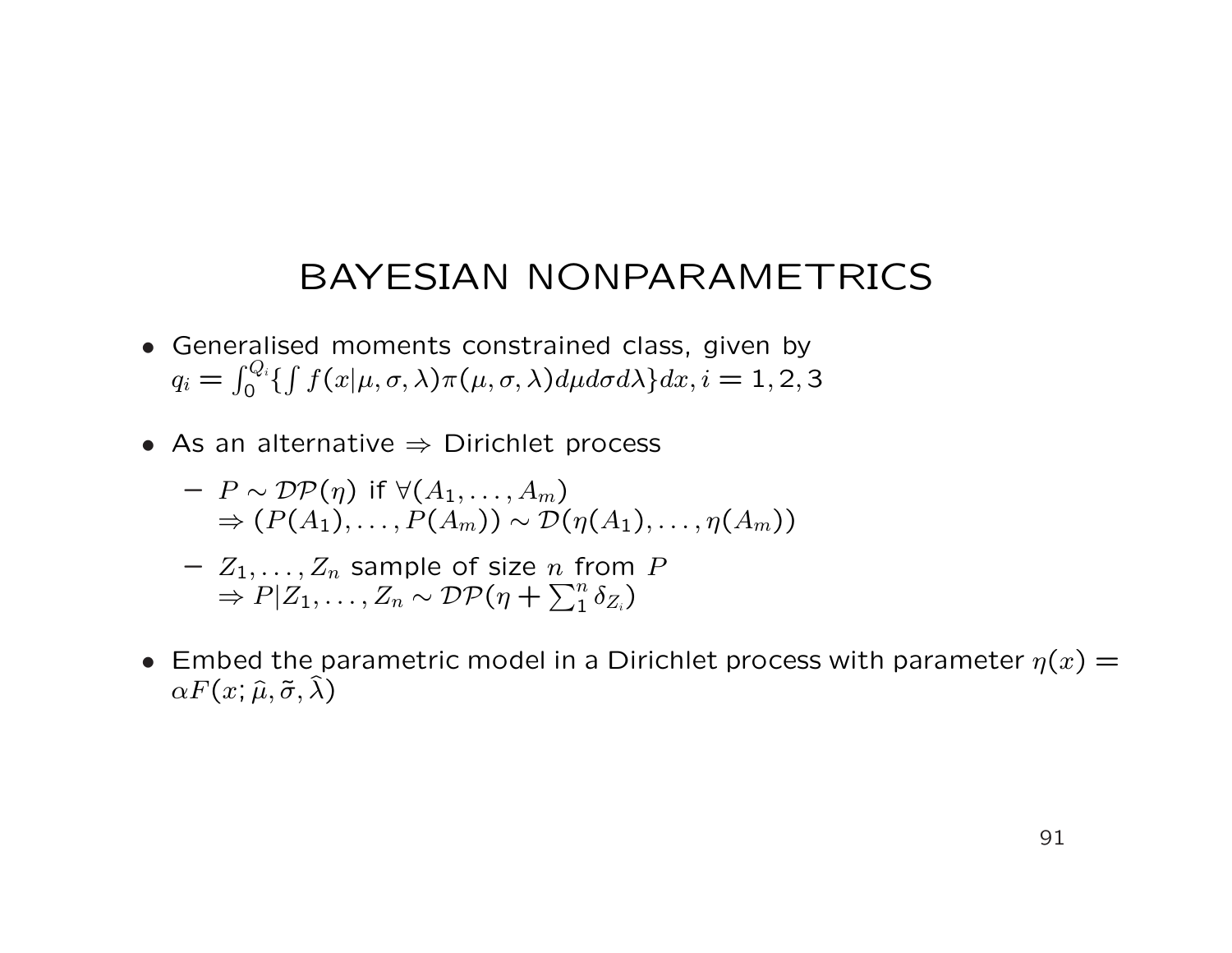- Generalised moments constrained class, given by  $q_i =$  $\frac{2}{\Gamma}$ di  $\int_0^{\infty} \{ \int f(x|\mu,\sigma,\lambda) \pi(\mu,\sigma,\lambda) d\mu d\sigma d\lambda \} dx, i = 1,2,3$
- As an alternative  $\Rightarrow$  Dirichlet process
	- $-P \sim \mathcal{DP}(n)$  if  $\forall (A_1, \ldots, A_m)$  $\Rightarrow (P(A_1), \ldots, P(A_m)) \sim \mathcal{D}(\eta(A_1), \ldots, \eta(A_m))$
	- $Z_1, \ldots, Z_n$  sample of size *n* from *P*  $\Rightarrow P|Z_1,\ldots,Z_n \sim \mathcal{DP}(\eta +$  $\frac{n}{\nabla^n}$  $\frac{n}{1} \, \delta_{Z_i}$  )
- Embed the parametric model in a Dirichlet process with parameter  $\eta(x)$  =  $\alpha F(x; \hat{\mu}, \tilde{\sigma}, \hat{\lambda})$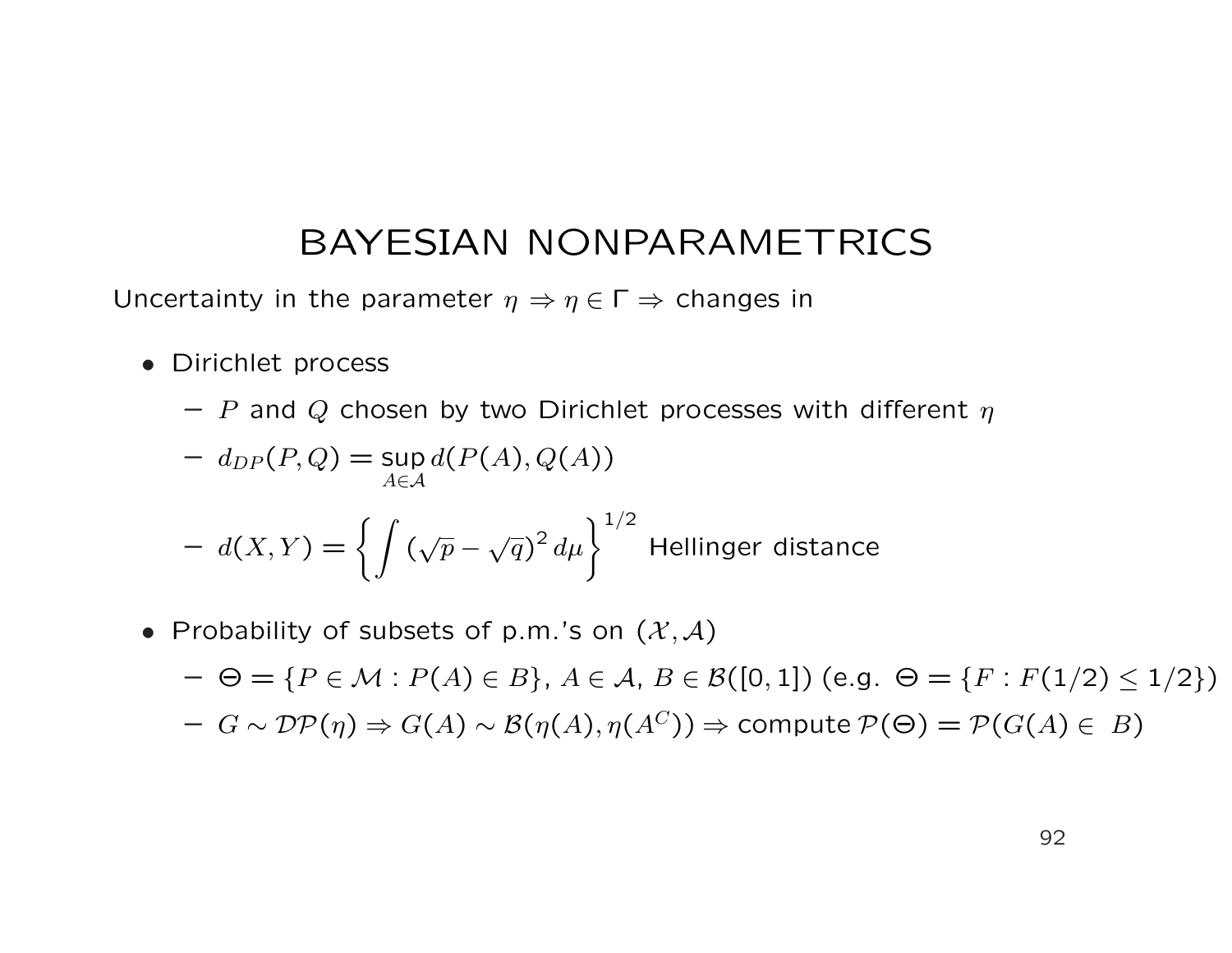Uncertainty in the parameter  $\eta \Rightarrow \eta \in \Gamma \Rightarrow$  changes in

- Dirichlet process
	- P and Q chosen by two Dirichlet processes with different  $\eta$

$$
- d_{DP}(P,Q) = \sup_{A \in \mathcal{A}} d(P(A), Q(A))
$$

$$
- d(X,Y) = \left\{ \int (\sqrt{p} - \sqrt{q})^2 d\mu \right\}^{1/2}
$$
 Hellinger distance

• Probability of subsets of p.m.'s on  $(\mathcal{X}, \mathcal{A})$ 

 $-\Theta = \{P \in \mathcal{M} : P(A) \in B\}, A \in \mathcal{A}, B \in \mathcal{B}([0,1])$  (e.g.  $\Theta = \{F : F(1/2) \le 1/2\}$ )  $-G \sim \mathcal{DP}(\eta) \Rightarrow G(A) \sim \mathcal{B}(\eta(A), \eta(A^C)) \Rightarrow$  compute  $\mathcal{P}(\Theta) = \mathcal{P}(G(A) \in B)$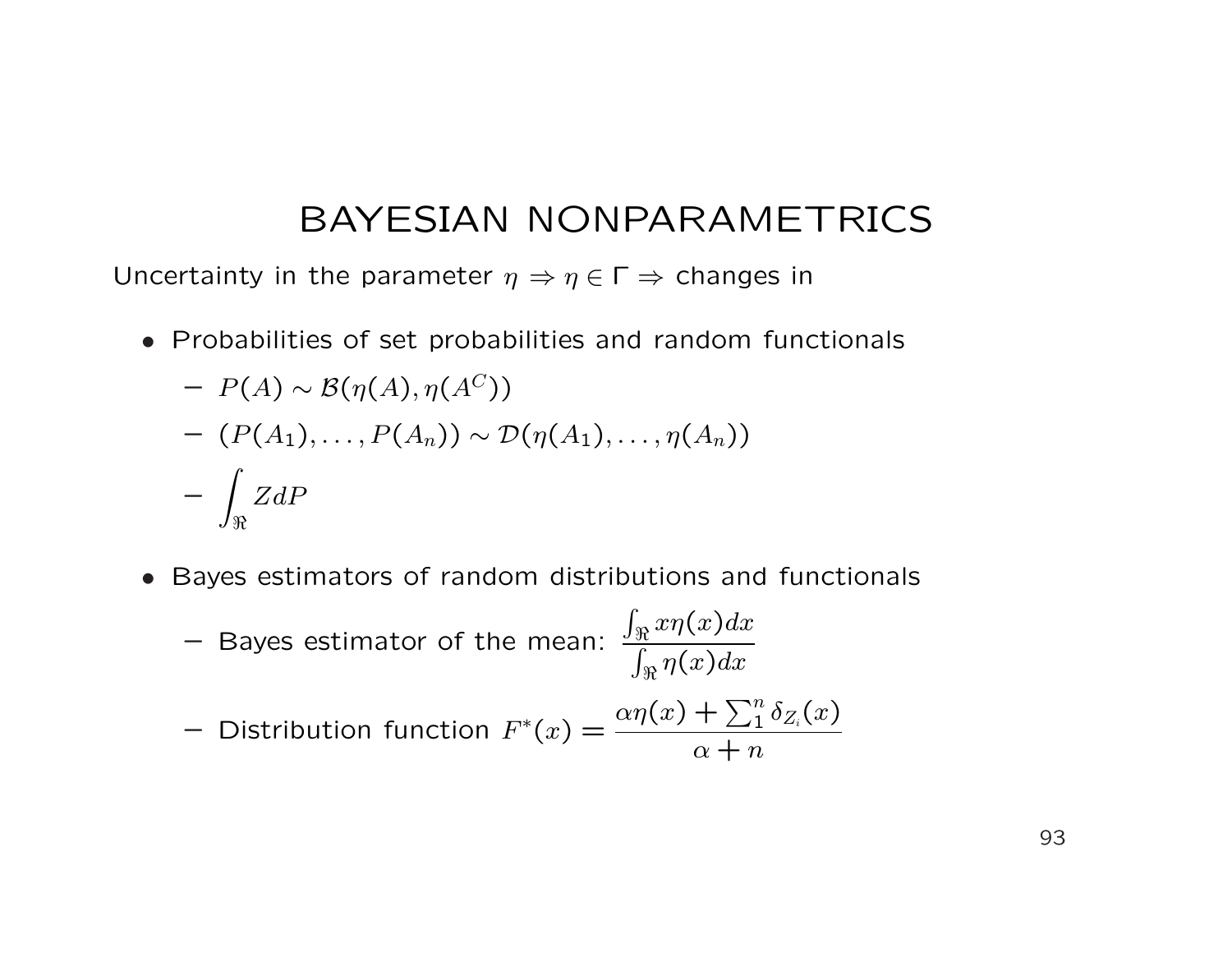Uncertainty in the parameter  $\eta \Rightarrow \eta \in \Gamma \Rightarrow$  changes in

• Probabilities of set probabilities and random functionals

$$
- P(A) \sim B(\eta(A), \eta(A^{C}))
$$
  
-  $(P(A_1), ..., P(A_n)) \sim D(\eta(A_1), ..., \eta(A_n))$   
-  $\int_{\Re} ZdP$ 

• Bayes estimators of random distributions and functionals

\n- – Bayes estimator of the mean: 
$$
\frac{\int_{\Re} x \eta(x) dx}{\int_{\Re} \eta(x) dx}
$$
\n- – Distribution function 
$$
F^*(x) = \frac{\alpha \eta(x) + \sum_1^n \delta_{Z_i}(x)}{\alpha + n}
$$
\n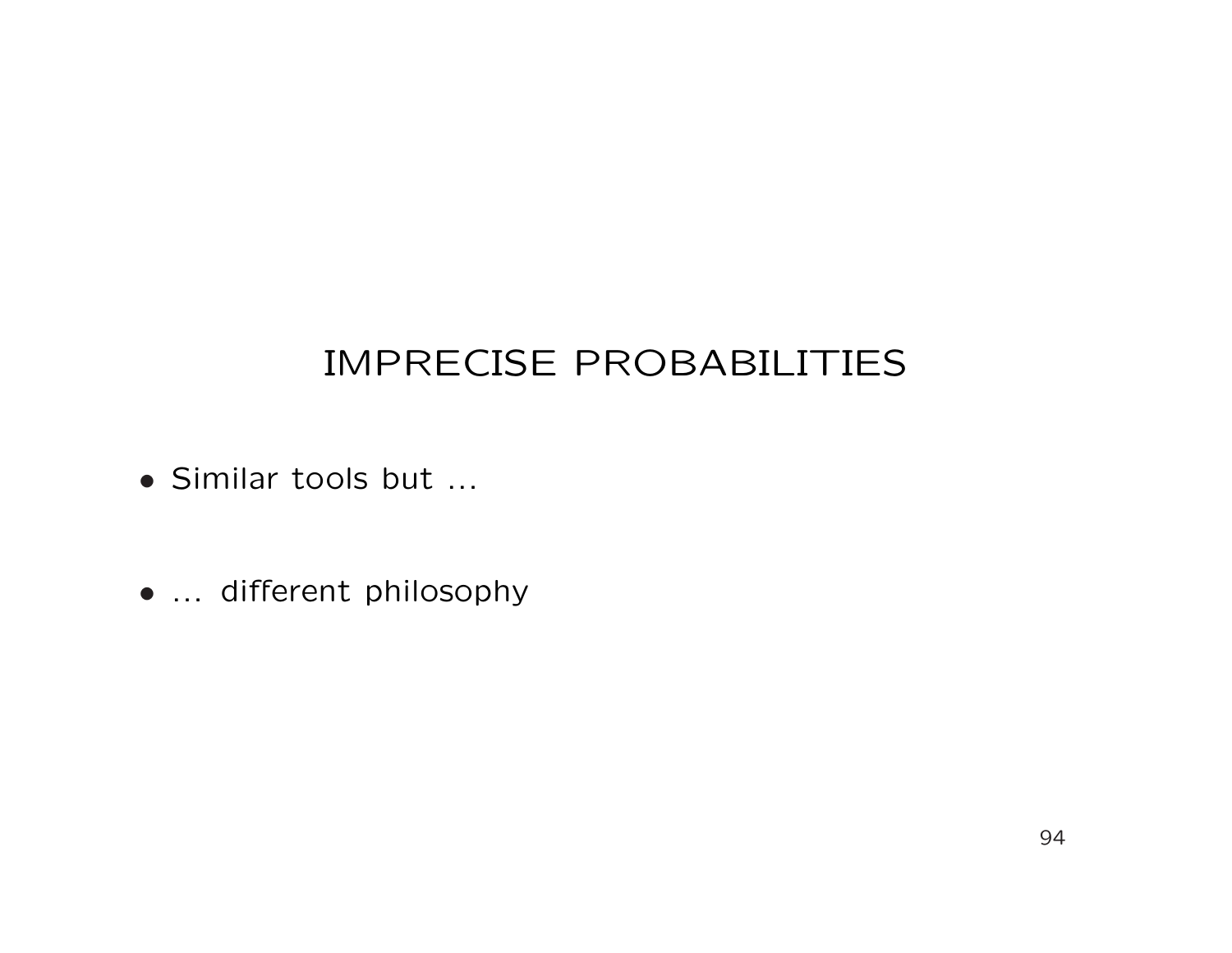# IMPRECISE PROBABILITIES

- Similar tools but ...
- ... different philosophy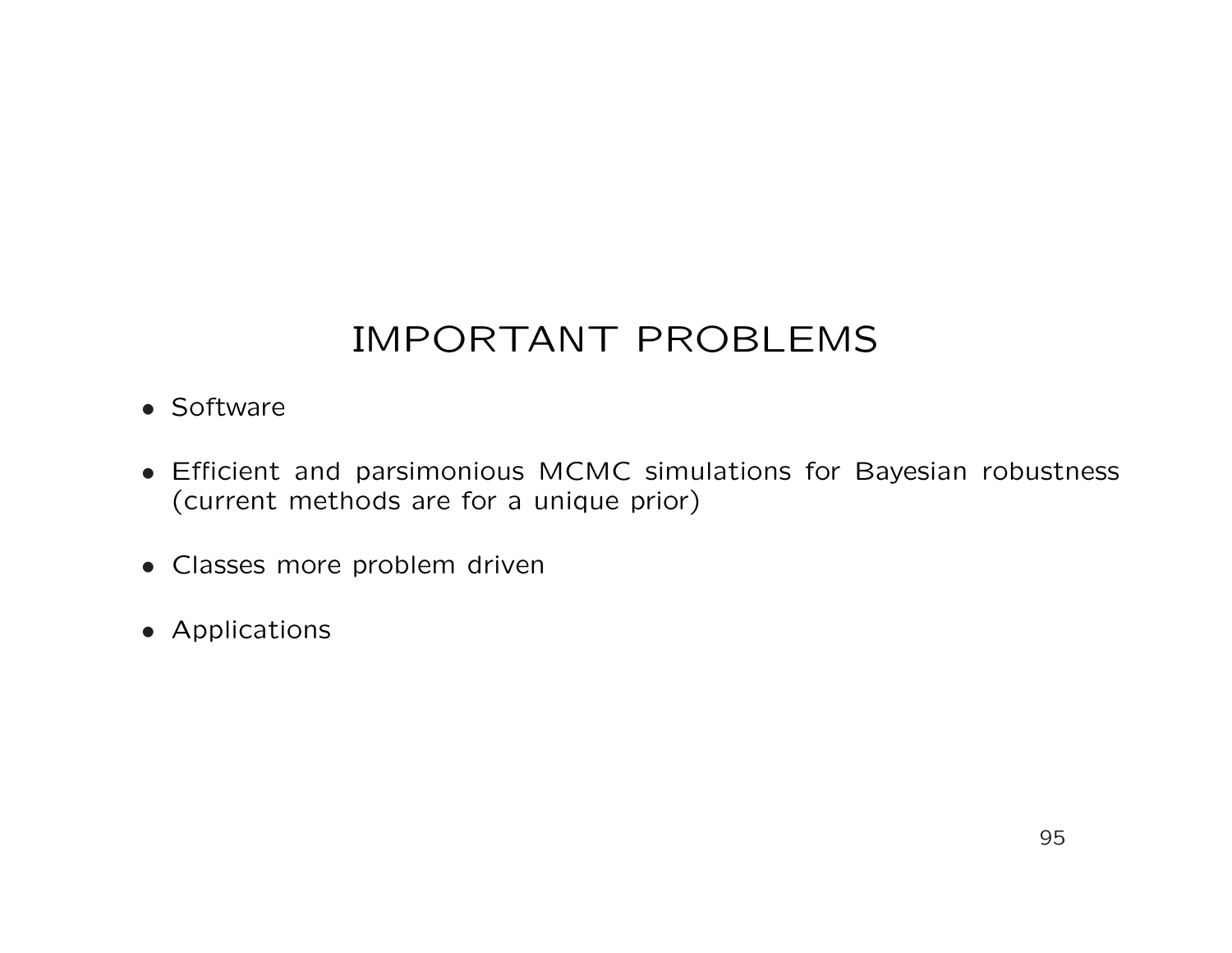# IMPORTANT PROBLEMS

- Software
- Efficient and parsimonious MCMC simulations for Bayesian robustness (current methods are for a unique prior)
- Classes more problem driven
- Applications